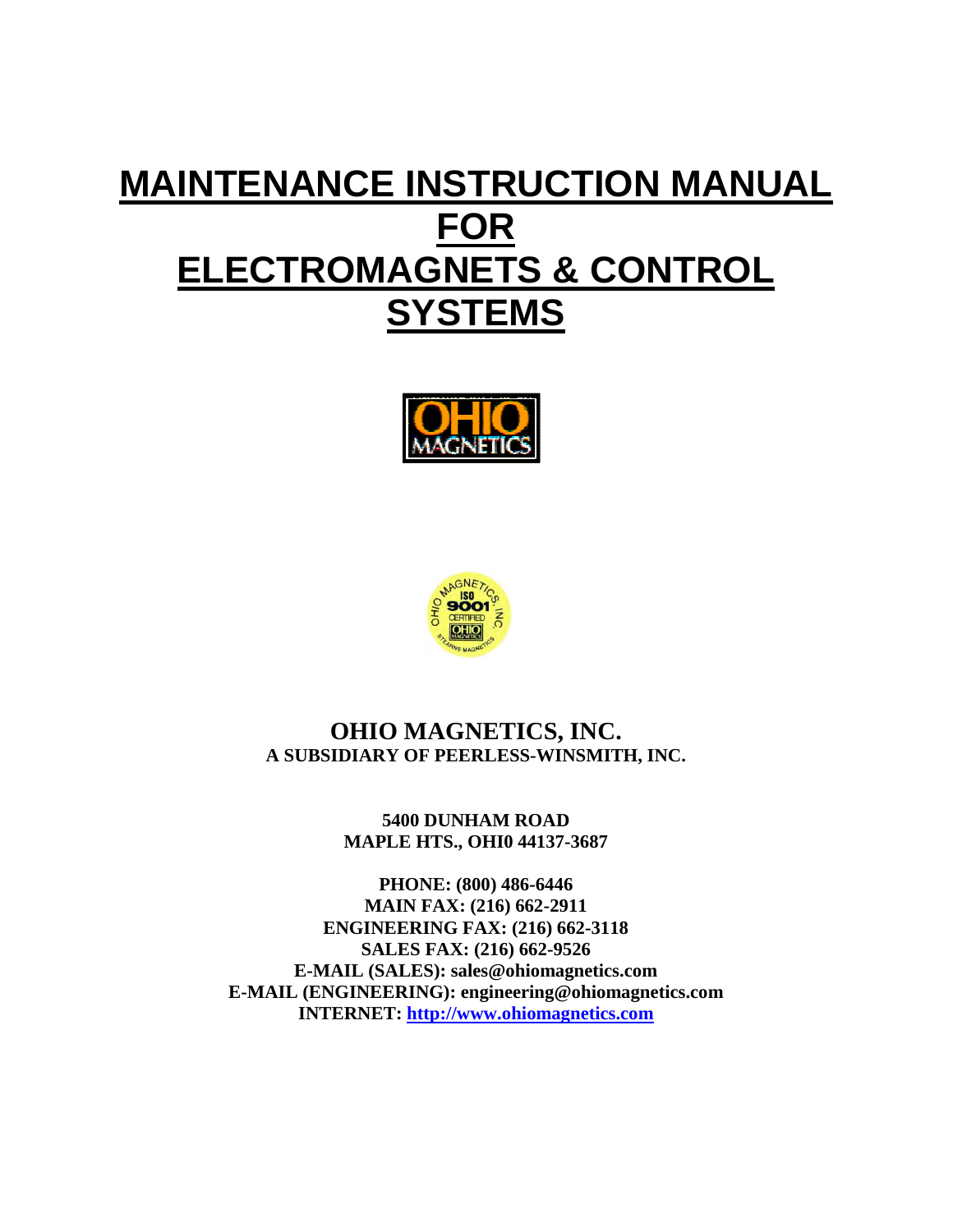# **MAINTENANCE INSTRUCTION MANUAL FOR ELECTROMAGNETS & CONTROL SYSTEMS**





### **OHIO MAGNETICS, INC. A SUBSIDIARY OF PEERLESS-WINSMITH, INC.**

**5400 DUNHAM ROAD MAPLE HTS., OHI0 44137-3687** 

**PHONE: (800) 486-6446 MAIN FAX: (216) 662-2911 ENGINEERING FAX: (216) 662-3118 SALES FAX: (216) 662-9526 E-MAIL (SALES): sales@ohiomagnetics.com E-MAIL (ENGINEERING): engineering@ohiomagnetics.com INTERNET: http://www.ohiomagnetics.com**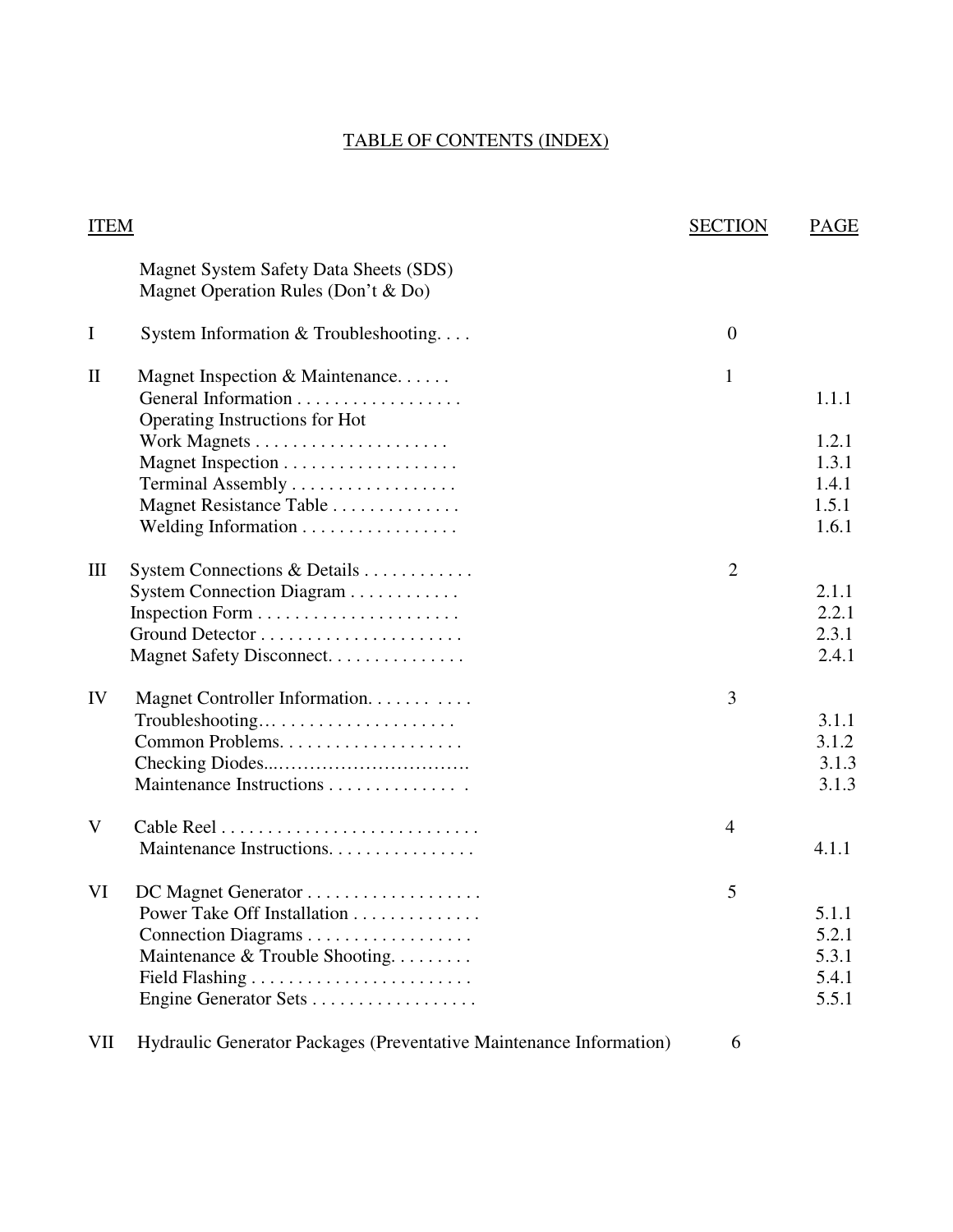### TABLE OF CONTENTS (INDEX)

| <b>ITEM</b>  |                                                                               | <b>SECTION</b> | PAGE  |
|--------------|-------------------------------------------------------------------------------|----------------|-------|
|              | Magnet System Safety Data Sheets (SDS)<br>Magnet Operation Rules (Don't & Do) |                |       |
| I            | System Information $&$ Troubleshooting                                        | $\mathbf{0}$   |       |
| $\mathbf{I}$ | Magnet Inspection & Maintenance                                               | 1              |       |
|              | General Information<br>Operating Instructions for Hot                         |                | 1.1.1 |
|              |                                                                               |                | 1.2.1 |
|              |                                                                               |                | 1.3.1 |
|              | Terminal Assembly                                                             |                | 1.4.1 |
|              | Magnet Resistance Table                                                       |                | 1.5.1 |
|              | Welding Information                                                           |                | 1.6.1 |
| III          | System Connections & Details                                                  | $\overline{2}$ |       |
|              | System Connection Diagram                                                     |                | 2.1.1 |
|              |                                                                               |                | 2.2.1 |
|              |                                                                               |                | 2.3.1 |
|              | Magnet Safety Disconnect.                                                     |                | 2.4.1 |
| IV           | Magnet Controller Information.                                                | 3              |       |
|              |                                                                               |                | 3.1.1 |
|              |                                                                               |                | 3.1.2 |
|              |                                                                               |                | 3.1.3 |
|              | Maintenance Instructions                                                      |                | 3.1.3 |
| V            |                                                                               | 4              |       |
|              | Maintenance Instructions.                                                     |                | 4.1.1 |
| VI           | DC Magnet Generator                                                           | 5              |       |
|              | Power Take Off Installation                                                   |                | 5.1.1 |
|              | Connection Diagrams                                                           |                | 5.2.1 |
|              | Maintenance & Trouble Shooting.                                               |                | 5.3.1 |
|              |                                                                               |                | 5.4.1 |
|              | Engine Generator Sets                                                         |                | 5.5.1 |
| VII          | Hydraulic Generator Packages (Preventative Maintenance Information)           | 6              |       |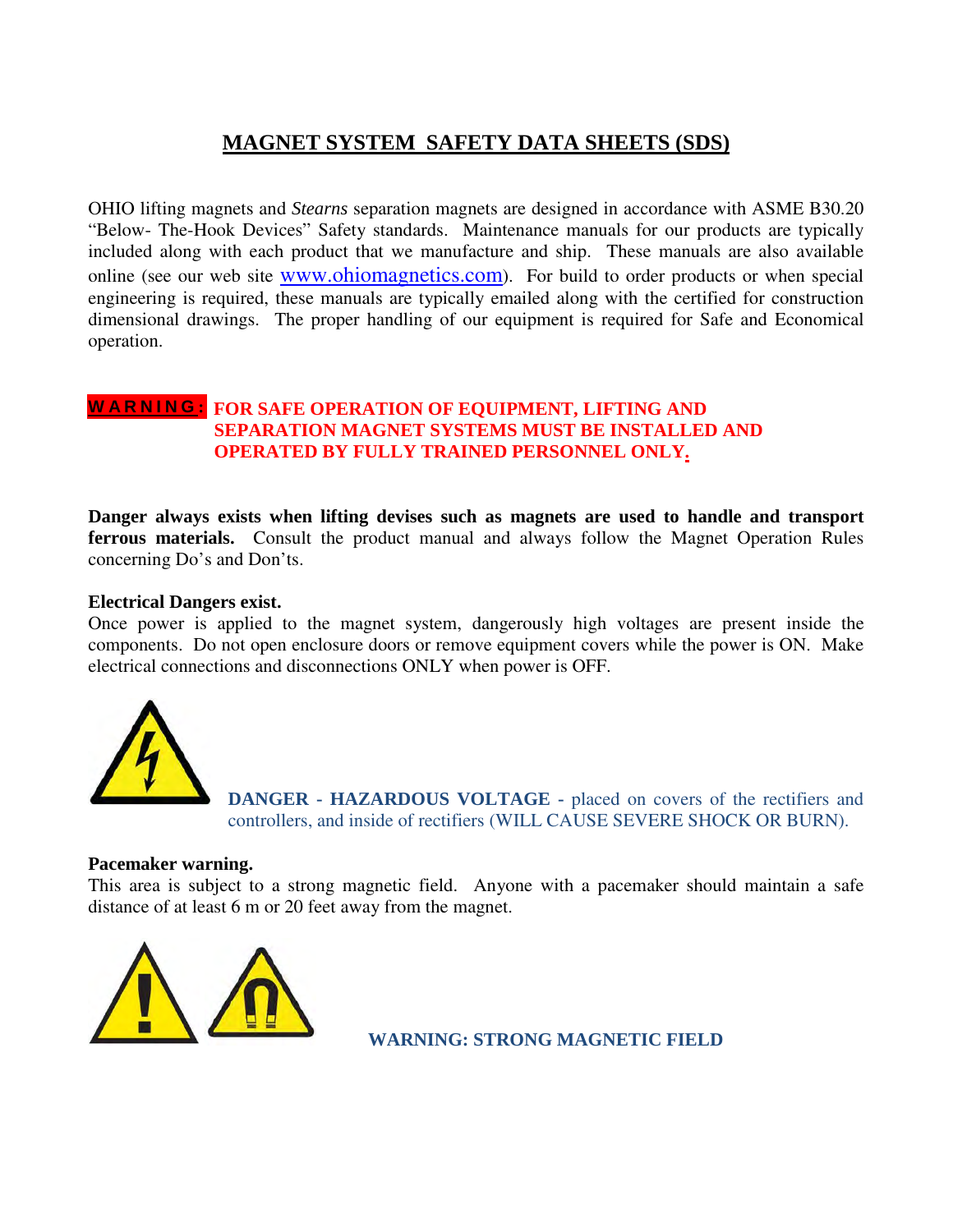### **MAGNET SYSTEM SAFETY DATA SHEETS (SDS)**

OHIO lifting magnets and *Stearns* separation magnets are designed in accordance with ASME B30.20 "Below- The-Hook Devices" Safety standards. Maintenance manuals for our products are typically included along with each product that we manufacture and ship. These manuals are also available online (see our web site www.ohiomagnetics.com). For build to order products or when special engineering is required, these manuals are typically emailed along with the certified for construction dimensional drawings. The proper handling of our equipment is required for Safe and Economical operation.

### **FOR SAFE OPERATION OF EQUIPMENT, LIFTING AND W A R N I N G : SEPARATION MAGNET SYSTEMS MUST BE INSTALLED AND OPERATED BY FULLY TRAINED PERSONNEL ONLY.**

**Danger always exists when lifting devises such as magnets are used to handle and transport ferrous materials.** Consult the product manual and always follow the Magnet Operation Rules concerning Do's and Don'ts.

### **Electrical Dangers exist.**

Once power is applied to the magnet system, dangerously high voltages are present inside the components. Do not open enclosure doors or remove equipment covers while the power is ON. Make electrical connections and disconnections ONLY when power is OFF.



 **DANGER - HAZARDOUS VOLTAGE -** placed on covers of the rectifiers and controllers, and inside of rectifiers (WILL CAUSE SEVERE SHOCK OR BURN).

### **Pacemaker warning.**

This area is subject to a strong magnetic field. Anyone with a pacemaker should maintain a safe distance of at least 6 m or 20 feet away from the magnet.



**WARNING: STRONG MAGNETIC FIELD**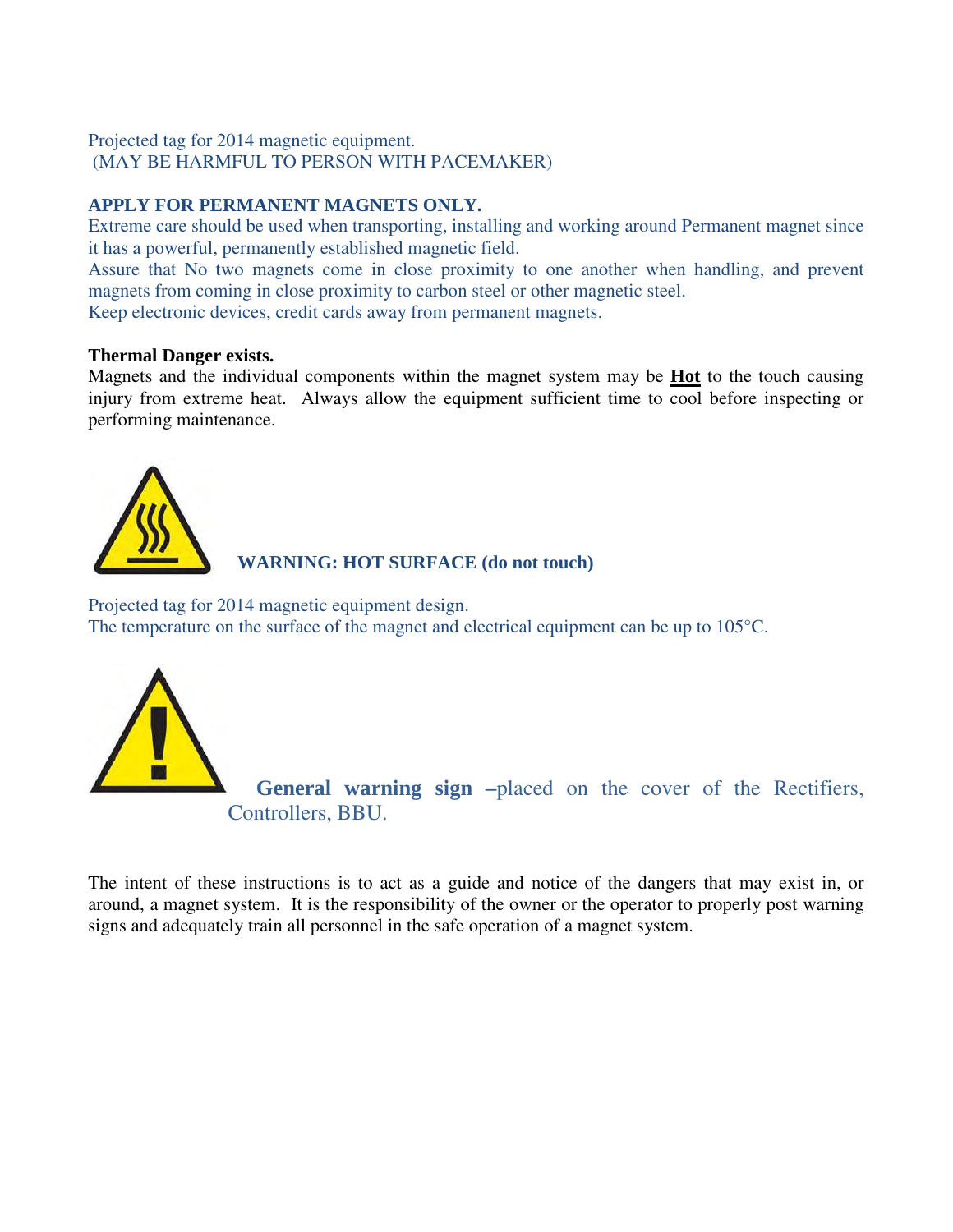### Projected tag for 2014 magnetic equipment. (MAY BE HARMFUL TO PERSON WITH PACEMAKER)

### **APPLY FOR PERMANENT MAGNETS ONLY.**

Extreme care should be used when transporting, installing and working around Permanent magnet since it has a powerful, permanently established magnetic field.

Assure that No two magnets come in close proximity to one another when handling, and prevent magnets from coming in close proximity to carbon steel or other magnetic steel.

Keep electronic devices, credit cards away from permanent magnets.

### **Thermal Danger exists.**

Magnets and the individual components within the magnet system may be **Hot** to the touch causing injury from extreme heat. Always allow the equipment sufficient time to cool before inspecting or performing maintenance.



 **WARNING: HOT SURFACE (do not touch)** 

Projected tag for 2014 magnetic equipment design. The temperature on the surface of the magnet and electrical equipment can be up to 105°C.



**General warning sign –**placed on the cover of the Rectifiers, Controllers, BBU.

The intent of these instructions is to act as a guide and notice of the dangers that may exist in, or around, a magnet system. It is the responsibility of the owner or the operator to properly post warning signs and adequately train all personnel in the safe operation of a magnet system.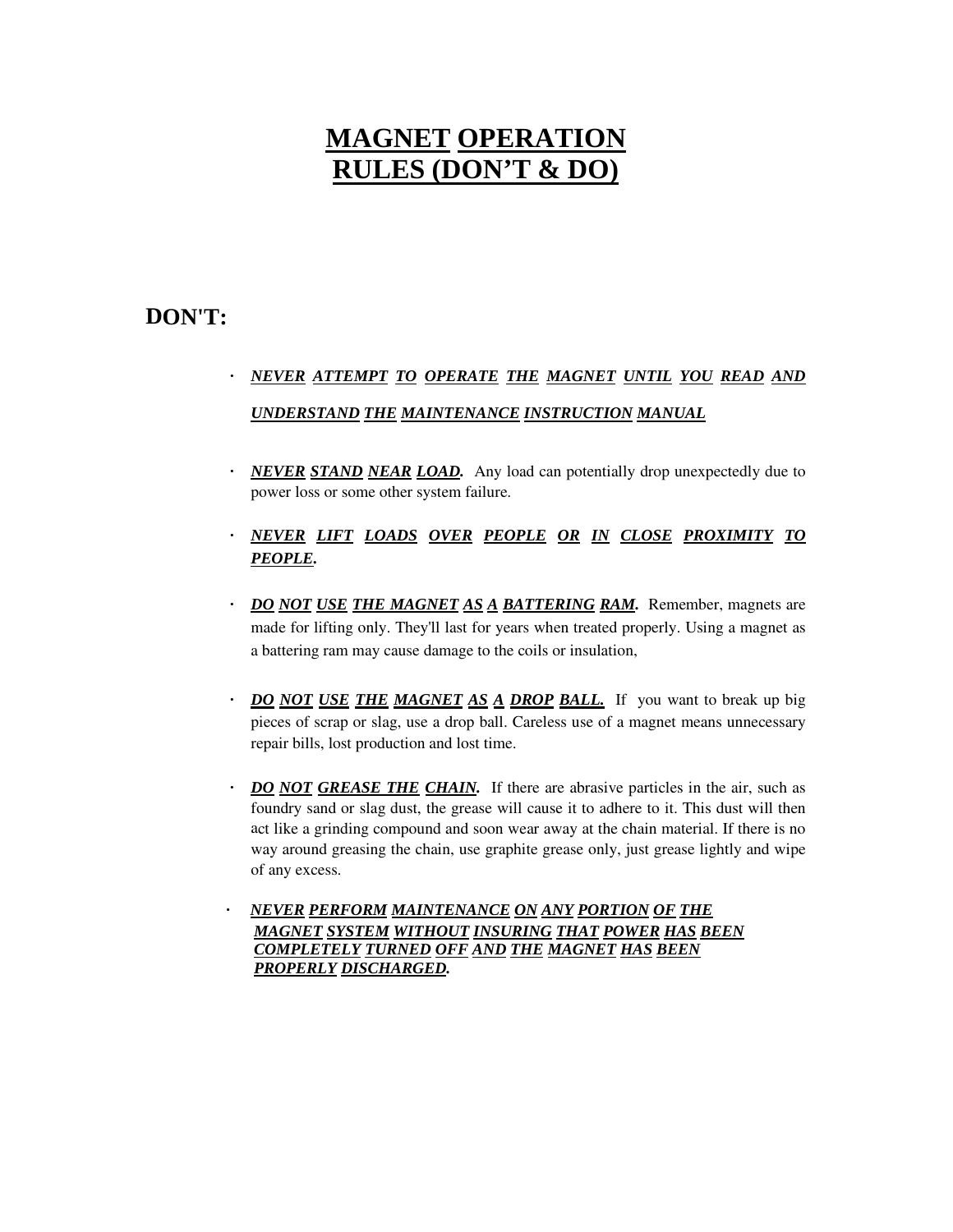# **MAGNET OPERATION RULES (DON'T & DO)**

### **DON'T:**

## *· NEVER ATTEMPT TO OPERATE THE MAGNET UNTIL YOU READ AND UNDERSTAND THE MAINTENANCE INSTRUCTION MANUAL*

- *NEVER STAND NEAR LOAD.* Any load can potentially drop unexpectedly due to power loss or some other system failure.
- *· NEVER LIFT LOADS OVER PEOPLE OR IN CLOSE PROXIMITY TO PEOPLE.*
- *· DO NOT USE THE MAGNET AS A BATTERING RAM.* Remember, magnets are made for lifting only. They'll last for years when treated properly. Using a magnet as a battering ram may cause damage to the coils or insulation,
- *· DO NOT USE THE MAGNET AS A DROP BALL.* If you want to break up big pieces of scrap or slag, use a drop ball. Careless use of a magnet means unnecessary repair bills, lost production and lost time.
- *DO NOT GREASE THE CHAIN.* If there are abrasive particles in the air, such as foundry sand or slag dust, the grease will cause it to adhere to it. This dust will then act like a grinding compound and soon wear away at the chain material. If there is no way around greasing the chain, use graphite grease only, just grease lightly and wipe of any excess.
- *· NEVER PERFORM MAINTENANCE ON ANY PORTION OF THE MAGNET SYSTEM WITHOUT INSURING THAT POWER HAS BEEN COMPLETELY TURNED OFF AND THE MAGNET HAS BEEN PROPERLY DISCHARGED.*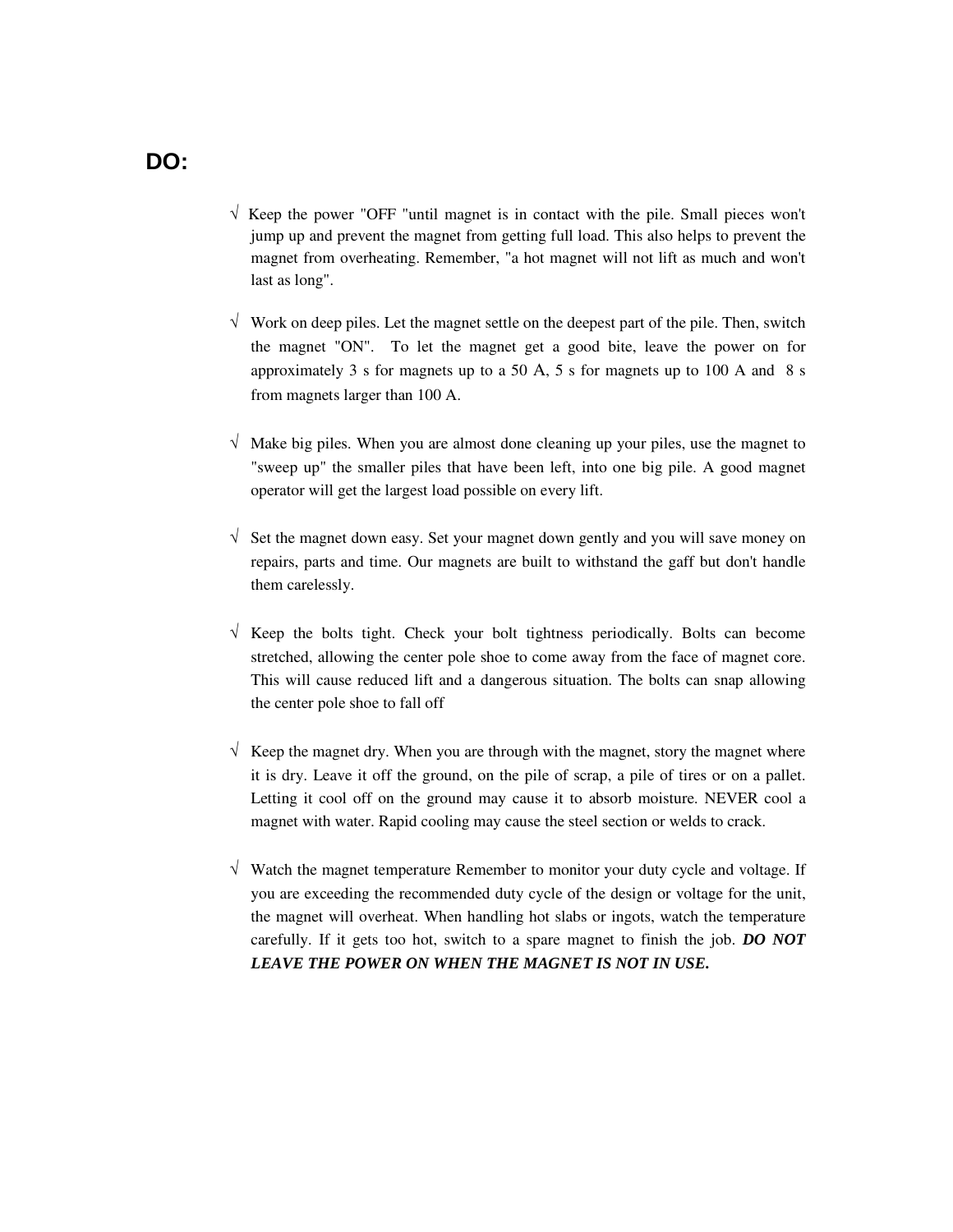- $\sqrt{\ }$  Keep the power "OFF "until magnet is in contact with the pile. Small pieces won't jump up and prevent the magnet from getting full load. This also helps to prevent the magnet from overheating. Remember, "a hot magnet will not lift as much and won't last as long".
- $\sqrt{\phantom{a}}$  Work on deep piles. Let the magnet settle on the deepest part of the pile. Then, switch the magnet "ON". To let the magnet get a good bite, leave the power on for approximately 3 s for magnets up to a 50 A, 5 s for magnets up to 100 A and  $8 \text{ s}$ from magnets larger than 100 A.
- $\sqrt{\phantom{a}}$  Make big piles. When you are almost done cleaning up your piles, use the magnet to "sweep up" the smaller piles that have been left, into one big pile. A good magnet operator will get the largest load possible on every lift.
- $\sqrt{\ }$  Set the magnet down easy. Set your magnet down gently and you will save money on repairs, parts and time. Our magnets are built to withstand the gaff but don't handle them carelessly.
- $\sqrt{\ }$  Keep the bolts tight. Check your bolt tightness periodically. Bolts can become stretched, allowing the center pole shoe to come away from the face of magnet core. This will cause reduced lift and a dangerous situation. The bolts can snap allowing the center pole shoe to fall off
- $\sqrt{\phantom{a}}$  Keep the magnet dry. When you are through with the magnet, story the magnet where it is dry. Leave it off the ground, on the pile of scrap, a pile of tires or on a pallet. Letting it cool off on the ground may cause it to absorb moisture. NEVER cool a magnet with water. Rapid cooling may cause the steel section or welds to crack.
- $\sqrt{\ }$  Watch the magnet temperature Remember to monitor your duty cycle and voltage. If you are exceeding the recommended duty cycle of the design or voltage for the unit, the magnet will overheat. When handling hot slabs or ingots, watch the temperature carefully. If it gets too hot, switch to a spare magnet to finish the job. *DO NOT LEAVE THE POWER ON WHEN THE MAGNET IS NOT IN USE.*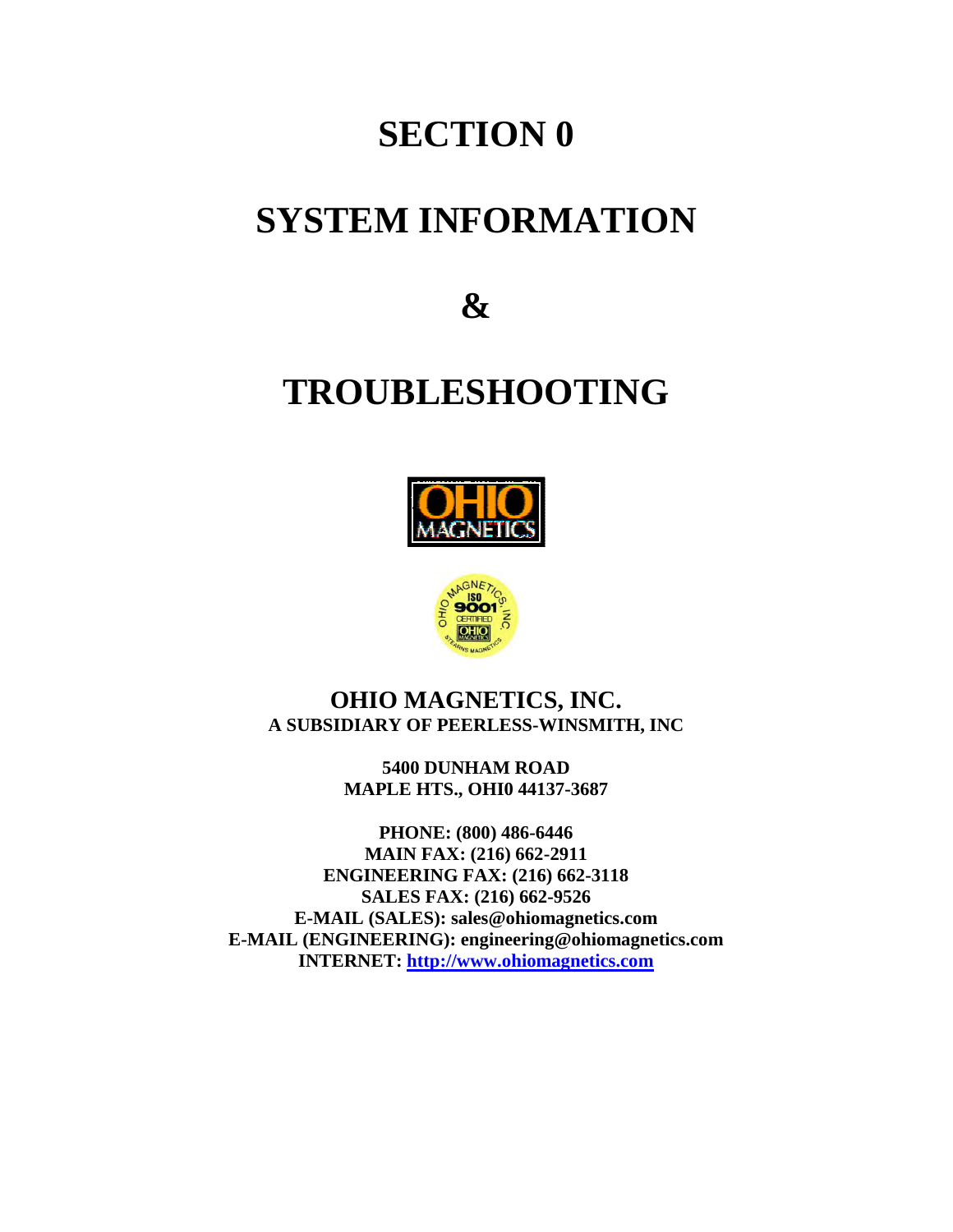# **SECTION 0**

# **SYSTEM INFORMATION**

**&** 

# **TROUBLESHOOTING**





### **OHIO MAGNETICS, INC. A SUBSIDIARY OF PEERLESS-WINSMITH, INC**

**5400 DUNHAM ROAD MAPLE HTS., OHI0 44137-3687** 

**PHONE: (800) 486-6446 MAIN FAX: (216) 662-2911 ENGINEERING FAX: (216) 662-3118 SALES FAX: (216) 662-9526 E-MAIL (SALES): sales@ohiomagnetics.com E-MAIL (ENGINEERING): engineering@ohiomagnetics.com INTERNET: http://www.ohiomagnetics.com**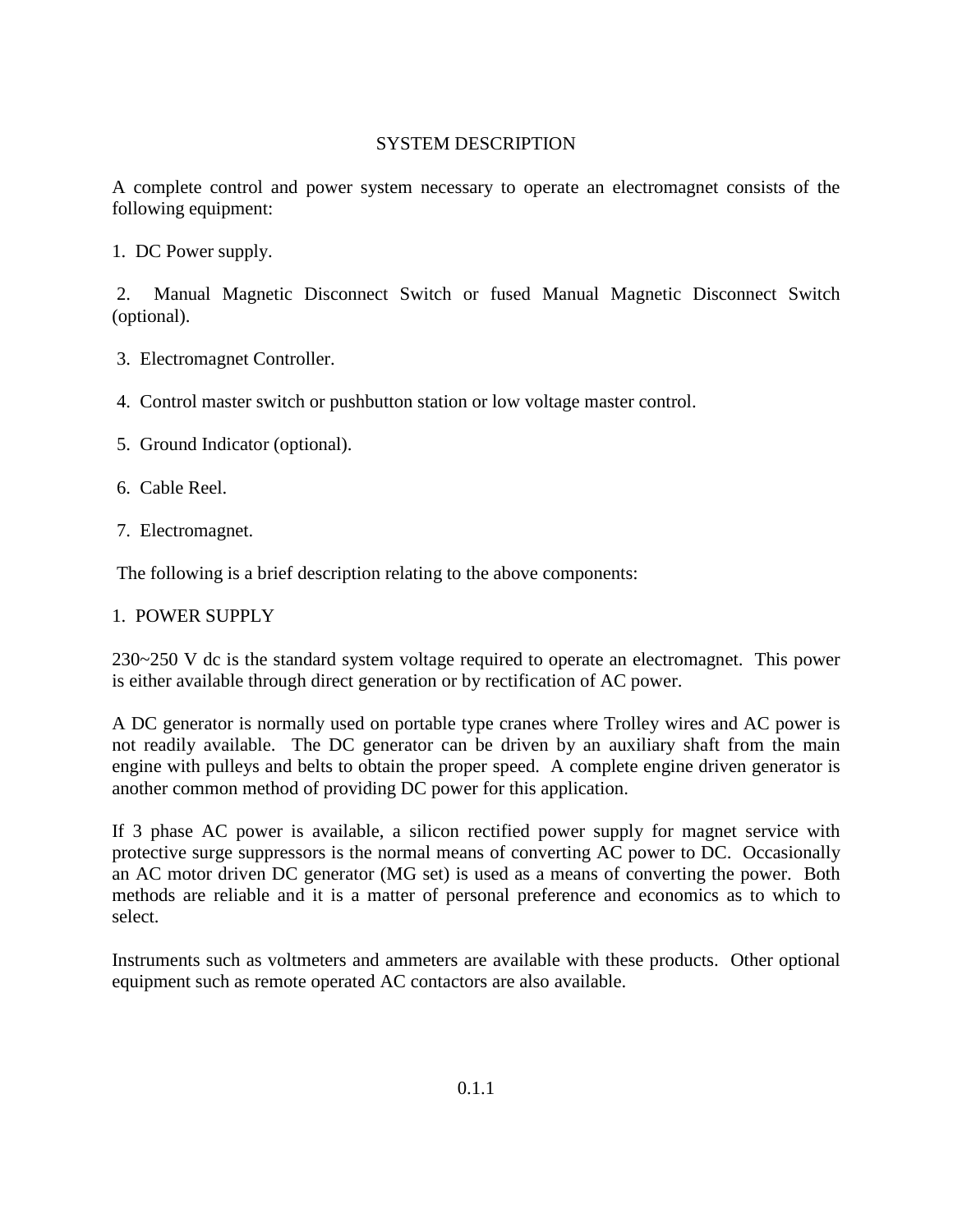### SYSTEM DESCRIPTION

A complete control and power system necessary to operate an electromagnet consists of the following equipment:

1. DC Power supply.

 2. Manual Magnetic Disconnect Switch or fused Manual Magnetic Disconnect Switch (optional).

- 3. Electromagnet Controller.
- 4. Control master switch or pushbutton station or low voltage master control.
- 5. Ground Indicator (optional).
- 6. Cable Reel.
- 7. Electromagnet.

The following is a brief description relating to the above components:

### 1. POWER SUPPLY

230~250 V dc is the standard system voltage required to operate an electromagnet. This power is either available through direct generation or by rectification of AC power.

A DC generator is normally used on portable type cranes where Trolley wires and AC power is not readily available. The DC generator can be driven by an auxiliary shaft from the main engine with pulleys and belts to obtain the proper speed. A complete engine driven generator is another common method of providing DC power for this application.

If 3 phase AC power is available, a silicon rectified power supply for magnet service with protective surge suppressors is the normal means of converting AC power to DC. Occasionally an AC motor driven DC generator (MG set) is used as a means of converting the power. Both methods are reliable and it is a matter of personal preference and economics as to which to select.

Instruments such as voltmeters and ammeters are available with these products. Other optional equipment such as remote operated AC contactors are also available.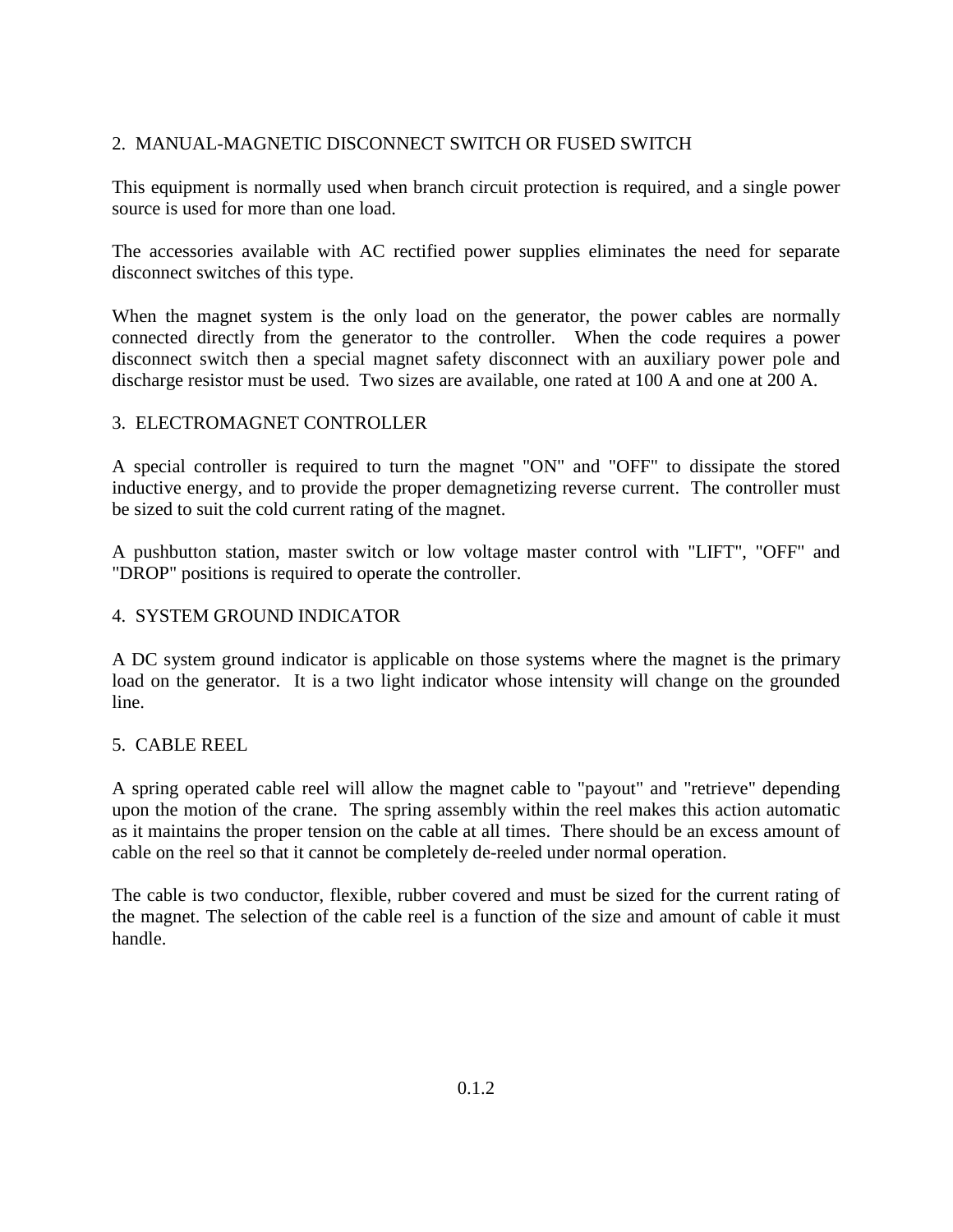### 2. MANUAL-MAGNETIC DISCONNECT SWITCH OR FUSED SWITCH

This equipment is normally used when branch circuit protection is required, and a single power source is used for more than one load.

The accessories available with AC rectified power supplies eliminates the need for separate disconnect switches of this type.

When the magnet system is the only load on the generator, the power cables are normally connected directly from the generator to the controller. When the code requires a power disconnect switch then a special magnet safety disconnect with an auxiliary power pole and discharge resistor must be used. Two sizes are available, one rated at 100 A and one at 200 A.

### 3. ELECTROMAGNET CONTROLLER

A special controller is required to turn the magnet "ON" and "OFF" to dissipate the stored inductive energy, and to provide the proper demagnetizing reverse current. The controller must be sized to suit the cold current rating of the magnet.

A pushbutton station, master switch or low voltage master control with "LIFT", "OFF" and "DROP" positions is required to operate the controller.

### 4. SYSTEM GROUND INDICATOR

A DC system ground indicator is applicable on those systems where the magnet is the primary load on the generator. It is a two light indicator whose intensity will change on the grounded line.

### 5. CABLE REEL

A spring operated cable reel will allow the magnet cable to "payout" and "retrieve" depending upon the motion of the crane. The spring assembly within the reel makes this action automatic as it maintains the proper tension on the cable at all times. There should be an excess amount of cable on the reel so that it cannot be completely de-reeled under normal operation.

The cable is two conductor, flexible, rubber covered and must be sized for the current rating of the magnet. The selection of the cable reel is a function of the size and amount of cable it must handle.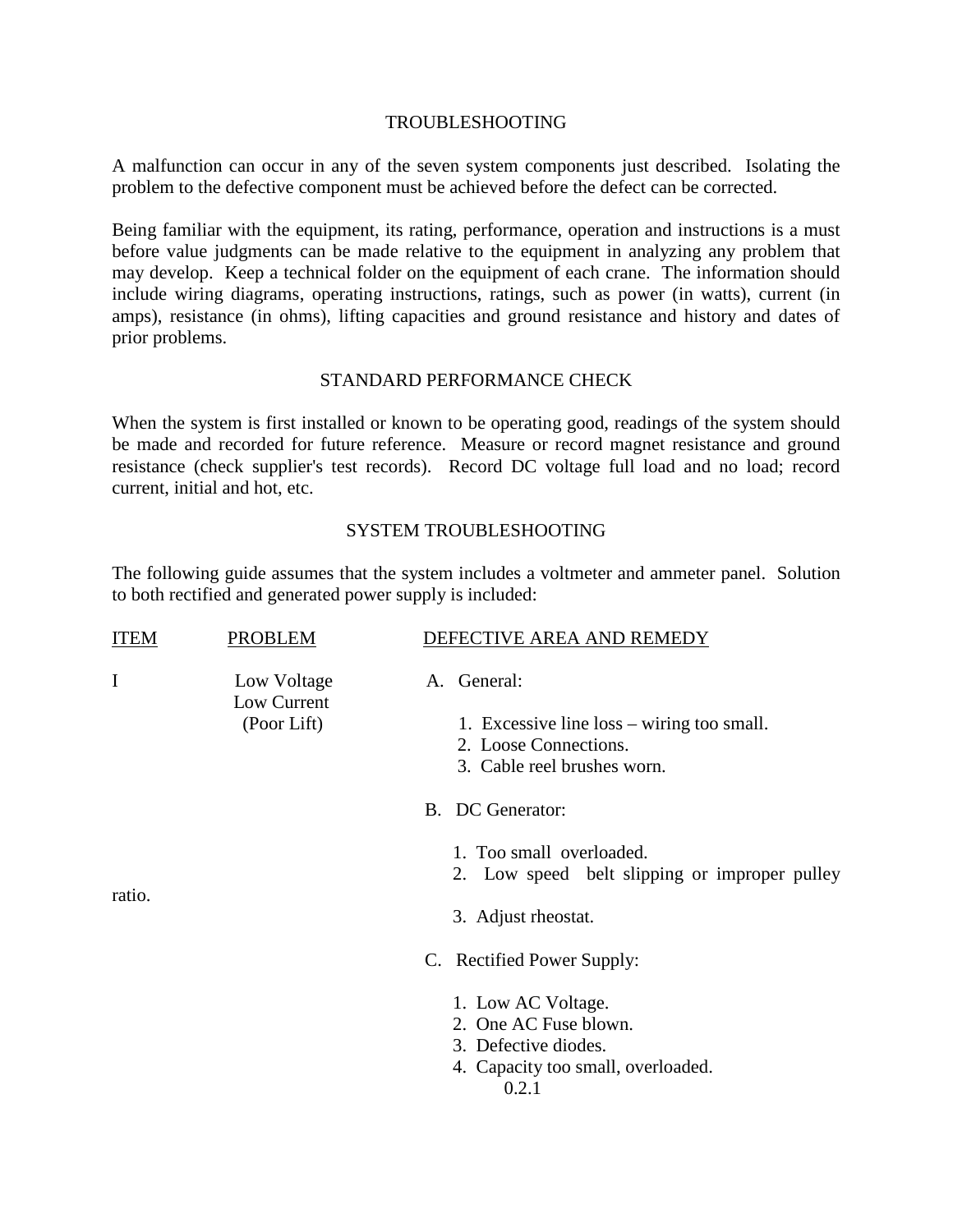### TROUBLESHOOTING

A malfunction can occur in any of the seven system components just described. Isolating the problem to the defective component must be achieved before the defect can be corrected.

Being familiar with the equipment, its rating, performance, operation and instructions is a must before value judgments can be made relative to the equipment in analyzing any problem that may develop. Keep a technical folder on the equipment of each crane. The information should include wiring diagrams, operating instructions, ratings, such as power (in watts), current (in amps), resistance (in ohms), lifting capacities and ground resistance and history and dates of prior problems.

### STANDARD PERFORMANCE CHECK

When the system is first installed or known to be operating good, readings of the system should be made and recorded for future reference. Measure or record magnet resistance and ground resistance (check supplier's test records). Record DC voltage full load and no load; record current, initial and hot, etc.

### SYSTEM TROUBLESHOOTING

The following guide assumes that the system includes a voltmeter and ammeter panel. Solution to both rectified and generated power supply is included:

| <b>ITEM</b> | <b>PROBLEM</b>                            | DEFECTIVE AREA AND REMEDY                                                                                                                        |
|-------------|-------------------------------------------|--------------------------------------------------------------------------------------------------------------------------------------------------|
| I           | Low Voltage<br>Low Current<br>(Poor Lift) | A. General:<br>1. Excessive line loss – wiring too small.<br>2. Loose Connections.<br>3. Cable reel brushes worn.                                |
| ratio.      |                                           | B. DC Generator:<br>1. Too small overloaded.<br>2. Low speed belt slipping or improper pulley<br>3. Adjust rheostat.                             |
|             |                                           | C. Rectified Power Supply:<br>1. Low AC Voltage.<br>2. One AC Fuse blown.<br>3. Defective diodes.<br>4. Capacity too small, overloaded.<br>0.2.1 |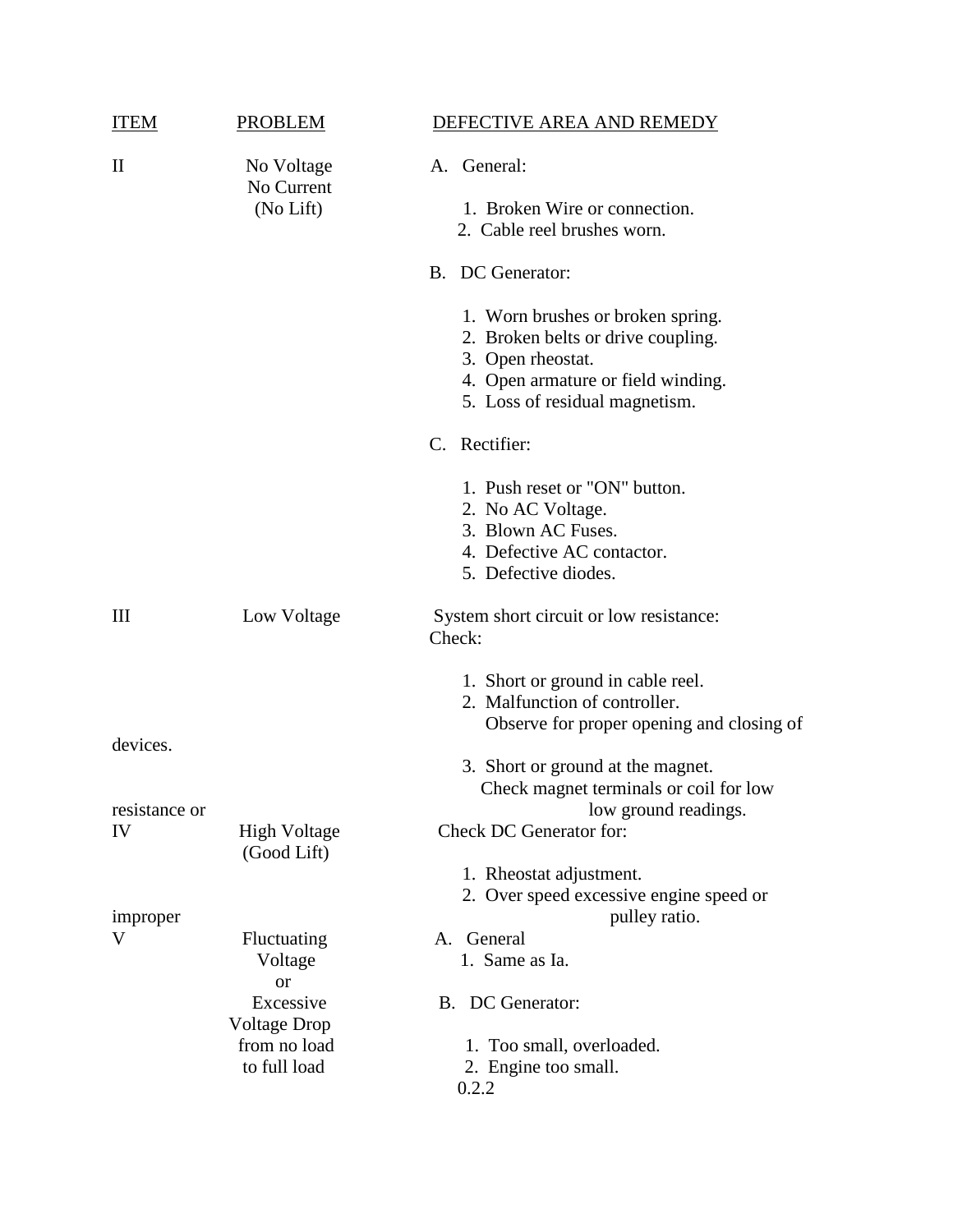| ITEM                | PROBLEM                               | DEFECTIVE AREA AND REMEDY                                                                                                                                            |
|---------------------|---------------------------------------|----------------------------------------------------------------------------------------------------------------------------------------------------------------------|
| $\mathbf{I}$        | No Voltage<br>No Current<br>(No Lift) | A. General:<br>1. Broken Wire or connection.<br>2. Cable reel brushes worn.                                                                                          |
|                     |                                       | B. DC Generator:                                                                                                                                                     |
|                     |                                       | 1. Worn brushes or broken spring.<br>2. Broken belts or drive coupling.<br>3. Open rheostat.<br>4. Open armature or field winding.<br>5. Loss of residual magnetism. |
|                     |                                       | C. Rectifier:                                                                                                                                                        |
|                     |                                       | 1. Push reset or "ON" button.<br>2. No AC Voltage.<br>3. Blown AC Fuses.<br>4. Defective AC contactor.<br>5. Defective diodes.                                       |
| Ш                   | Low Voltage                           | System short circuit or low resistance:<br>Check:                                                                                                                    |
|                     |                                       | 1. Short or ground in cable reel.<br>2. Malfunction of controller.<br>Observe for proper opening and closing of                                                      |
| devices.            |                                       | 3. Short or ground at the magnet.<br>Check magnet terminals or coil for low                                                                                          |
| resistance or<br>IV | <b>High Voltage</b><br>(Good Lift)    | low ground readings.<br>Check DC Generator for:<br>1. Rheostat adjustment.                                                                                           |
| improper            |                                       | 2. Over speed excessive engine speed or<br>pulley ratio.                                                                                                             |
| V                   | Fluctuating<br>Voltage<br><b>or</b>   | A. General<br>1. Same as Ia.                                                                                                                                         |
|                     | Excessive<br><b>Voltage Drop</b>      | B. DC Generator:                                                                                                                                                     |
|                     | from no load<br>to full load          | 1. Too small, overloaded.<br>2. Engine too small.<br>0.2.2                                                                                                           |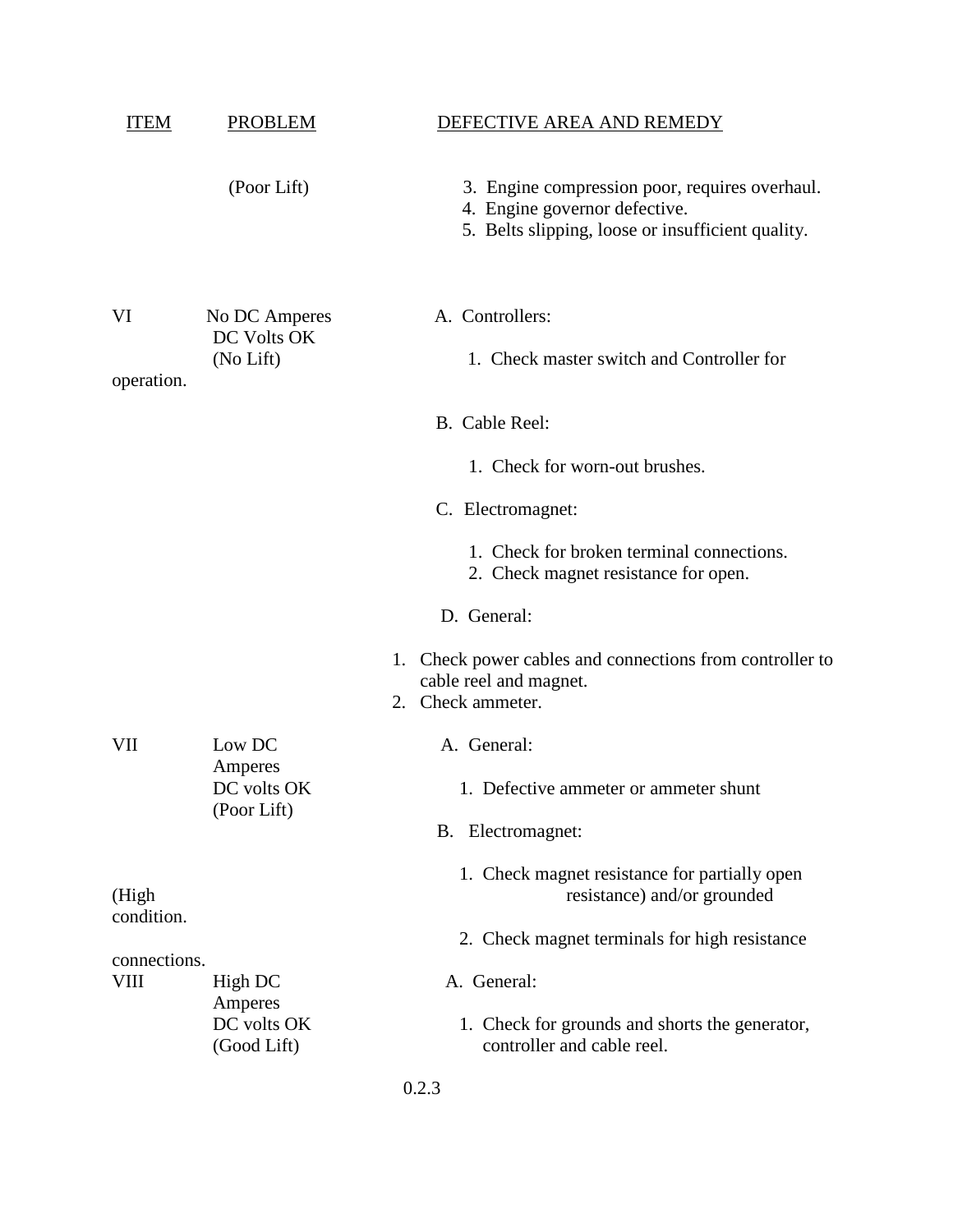| ITEM                | PROBLEM                                   | DEFECTIVE AREA AND REMEDY                                                                                                            |
|---------------------|-------------------------------------------|--------------------------------------------------------------------------------------------------------------------------------------|
|                     | (Poor Lift)                               | 3. Engine compression poor, requires overhaul.<br>4. Engine governor defective.<br>5. Belts slipping, loose or insufficient quality. |
| VI<br>operation.    | No DC Amperes<br>DC Volts OK<br>(No Lift) | A. Controllers:<br>1. Check master switch and Controller for                                                                         |
|                     |                                           | B. Cable Reel:                                                                                                                       |
|                     |                                           | 1. Check for worn-out brushes.                                                                                                       |
|                     |                                           | C. Electromagnet:                                                                                                                    |
|                     |                                           | 1. Check for broken terminal connections.<br>2. Check magnet resistance for open.                                                    |
|                     |                                           | D. General:                                                                                                                          |
|                     |                                           | 1. Check power cables and connections from controller to<br>cable reel and magnet.<br>Check ammeter.<br>2.                           |
| VII                 | Low DC                                    | A. General:                                                                                                                          |
|                     | Amperes<br>DC volts OK<br>(Poor Lift)     | 1. Defective ammeter or ammeter shunt                                                                                                |
|                     |                                           | B. Electromagnet:                                                                                                                    |
| (High<br>condition. |                                           | 1. Check magnet resistance for partially open<br>resistance) and/or grounded                                                         |
| connections.        |                                           | 2. Check magnet terminals for high resistance                                                                                        |
| VIII                | High DC<br>Amperes                        | A. General:                                                                                                                          |
|                     | DC volts OK<br>(Good Lift)                | 1. Check for grounds and shorts the generator,<br>controller and cable reel.                                                         |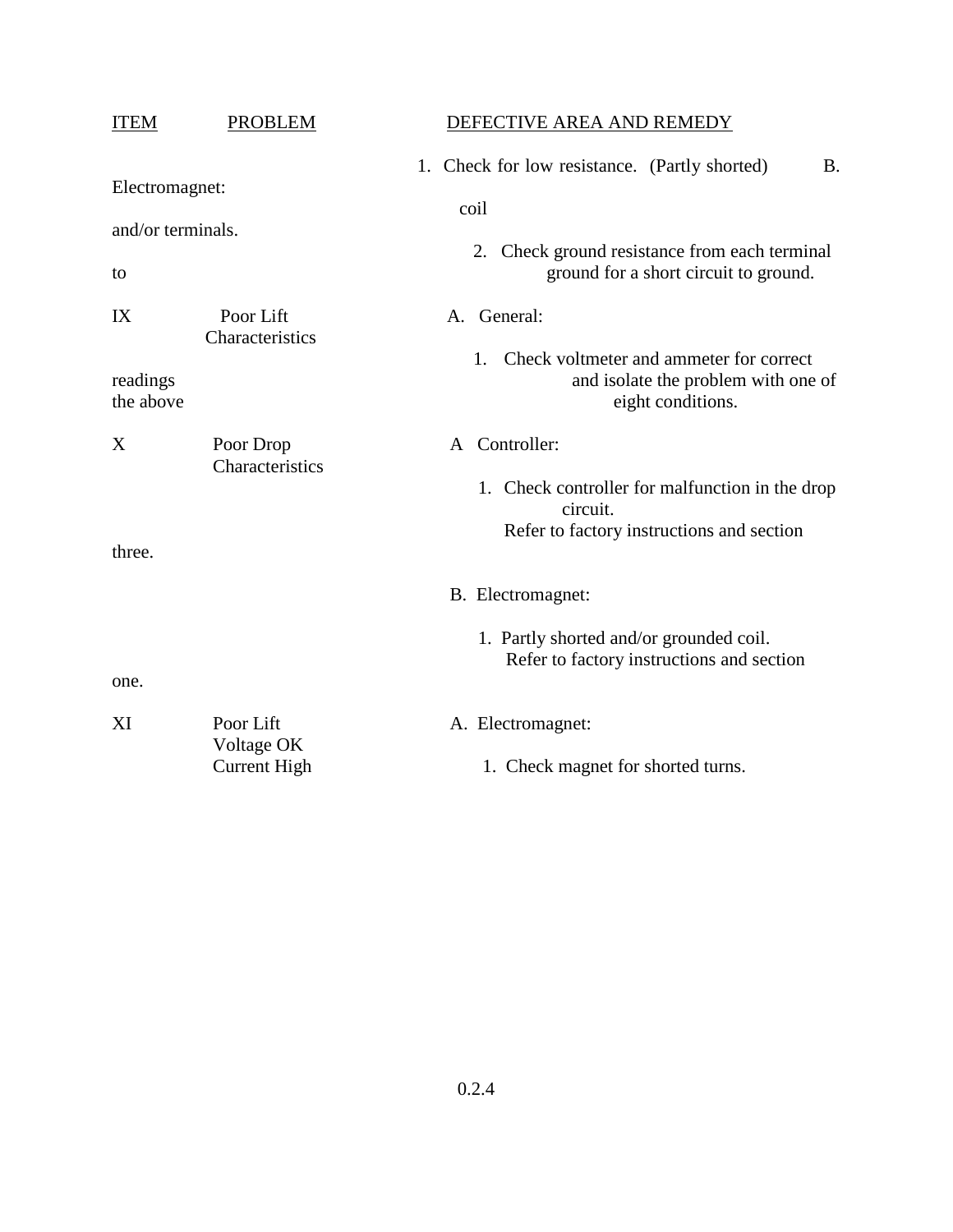| <b>ITEM</b>                               | <b>PROBLEM</b>                          | DEFECTIVE AREA AND REMEDY                                                                                                                                    |
|-------------------------------------------|-----------------------------------------|--------------------------------------------------------------------------------------------------------------------------------------------------------------|
| Electromagnet:<br>and/or terminals.<br>to |                                         | 1. Check for low resistance. (Partly shorted)<br><b>B.</b><br>coil<br>2. Check ground resistance from each terminal<br>ground for a short circuit to ground. |
| IX<br>readings<br>the above               | Poor Lift<br>Characteristics            | A. General:<br>Check voltmeter and ammeter for correct<br>1.<br>and isolate the problem with one of<br>eight conditions.                                     |
| X<br>three.                               | Poor Drop<br>Characteristics            | Controller:<br>A<br>1. Check controller for malfunction in the drop<br>circuit.<br>Refer to factory instructions and section                                 |
| one.                                      |                                         | B. Electromagnet:<br>1. Partly shorted and/or grounded coil.<br>Refer to factory instructions and section                                                    |
| XI                                        | Poor Lift<br>Voltage OK<br>Current High | A. Electromagnet:<br>1. Check magnet for shorted turns.                                                                                                      |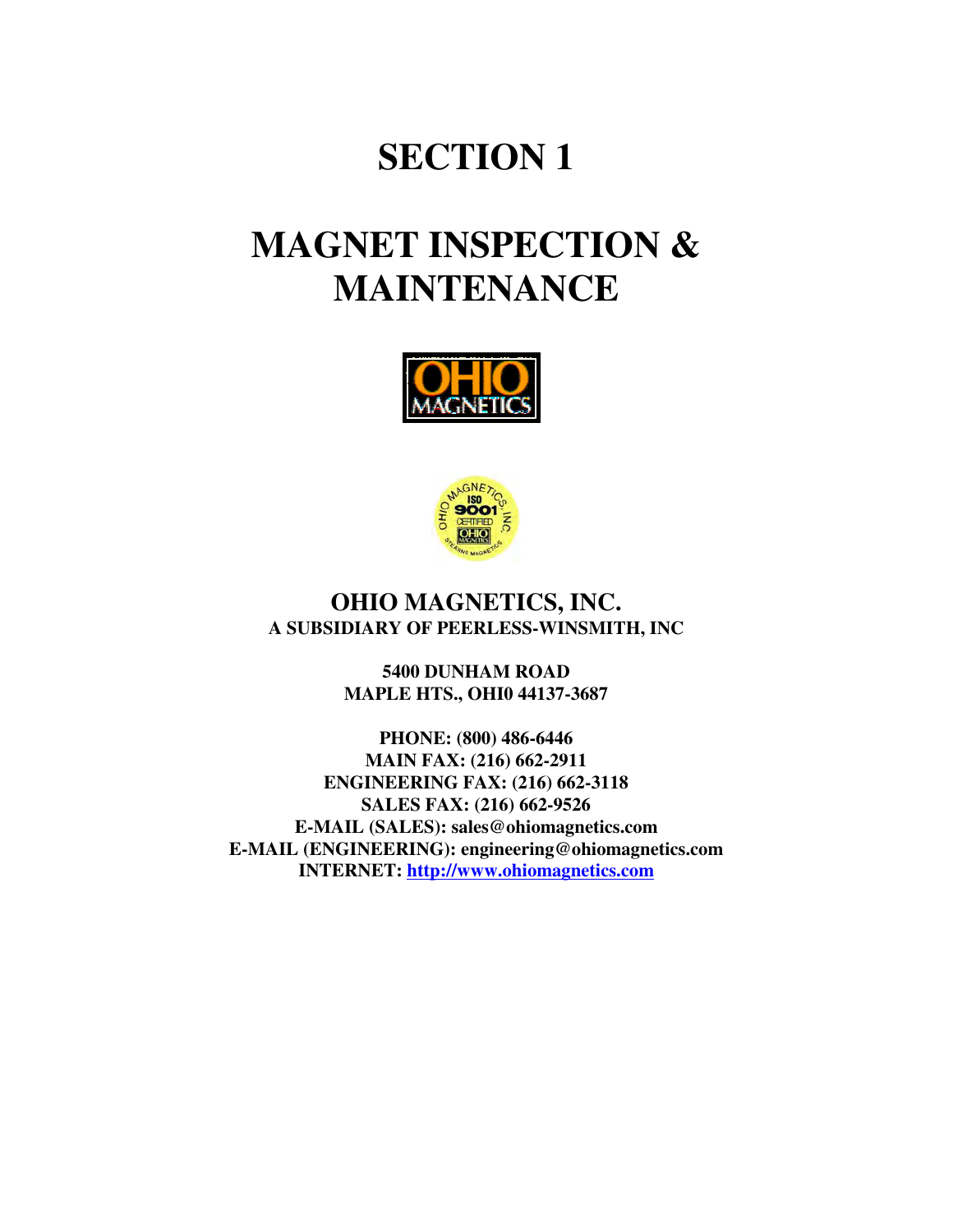# **SECTION 1**

# **MAGNET INSPECTION & MAINTENANCE**





### **OHIO MAGNETICS, INC. A SUBSIDIARY OF PEERLESS-WINSMITH, INC**

**5400 DUNHAM ROAD MAPLE HTS., OHI0 44137-3687**

**PHONE: (800) 486-6446 MAIN FAX: (216) 662-2911 ENGINEERING FAX: (216) 662-3118 SALES FAX: (216) 662-9526 E-MAIL (SALES): sales@ohiomagnetics.com E-MAIL (ENGINEERING): engineering@ohiomagnetics.com INTERNET: http://www.ohiomagnetics.com**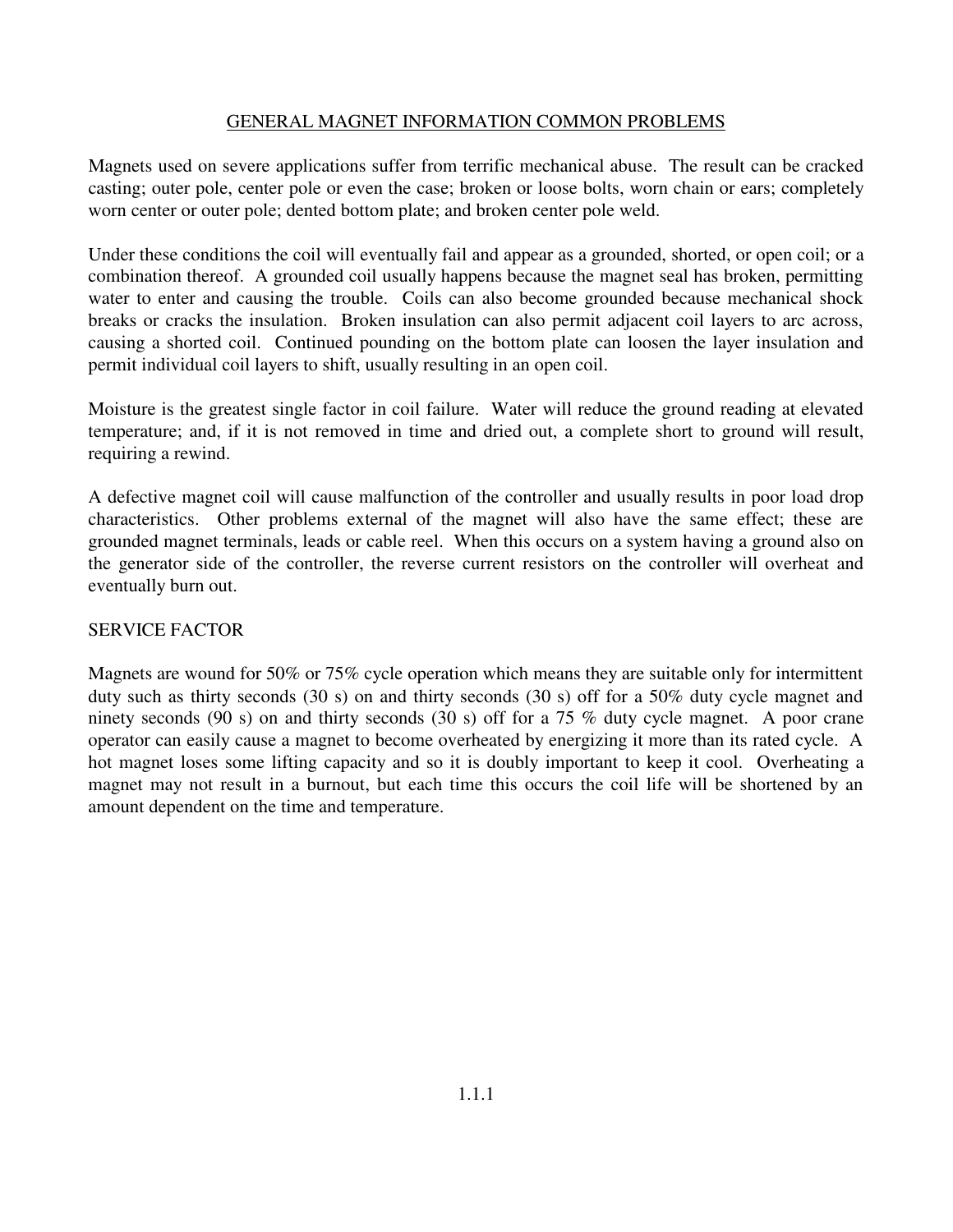### GENERAL MAGNET INFORMATION COMMON PROBLEMS

Magnets used on severe applications suffer from terrific mechanical abuse. The result can be cracked casting; outer pole, center pole or even the case; broken or loose bolts, worn chain or ears; completely worn center or outer pole; dented bottom plate; and broken center pole weld.

Under these conditions the coil will eventually fail and appear as a grounded, shorted, or open coil; or a combination thereof. A grounded coil usually happens because the magnet seal has broken, permitting water to enter and causing the trouble. Coils can also become grounded because mechanical shock breaks or cracks the insulation. Broken insulation can also permit adjacent coil layers to arc across, causing a shorted coil. Continued pounding on the bottom plate can loosen the layer insulation and permit individual coil layers to shift, usually resulting in an open coil.

Moisture is the greatest single factor in coil failure. Water will reduce the ground reading at elevated temperature; and, if it is not removed in time and dried out, a complete short to ground will result, requiring a rewind.

A defective magnet coil will cause malfunction of the controller and usually results in poor load drop characteristics. Other problems external of the magnet will also have the same effect; these are grounded magnet terminals, leads or cable reel. When this occurs on a system having a ground also on the generator side of the controller, the reverse current resistors on the controller will overheat and eventually burn out.

### SERVICE FACTOR

Magnets are wound for 50% or 75% cycle operation which means they are suitable only for intermittent duty such as thirty seconds (30 s) on and thirty seconds (30 s) off for a 50% duty cycle magnet and ninety seconds (90 s) on and thirty seconds (30 s) off for a 75 % duty cycle magnet. A poor crane operator can easily cause a magnet to become overheated by energizing it more than its rated cycle. A hot magnet loses some lifting capacity and so it is doubly important to keep it cool. Overheating a magnet may not result in a burnout, but each time this occurs the coil life will be shortened by an amount dependent on the time and temperature.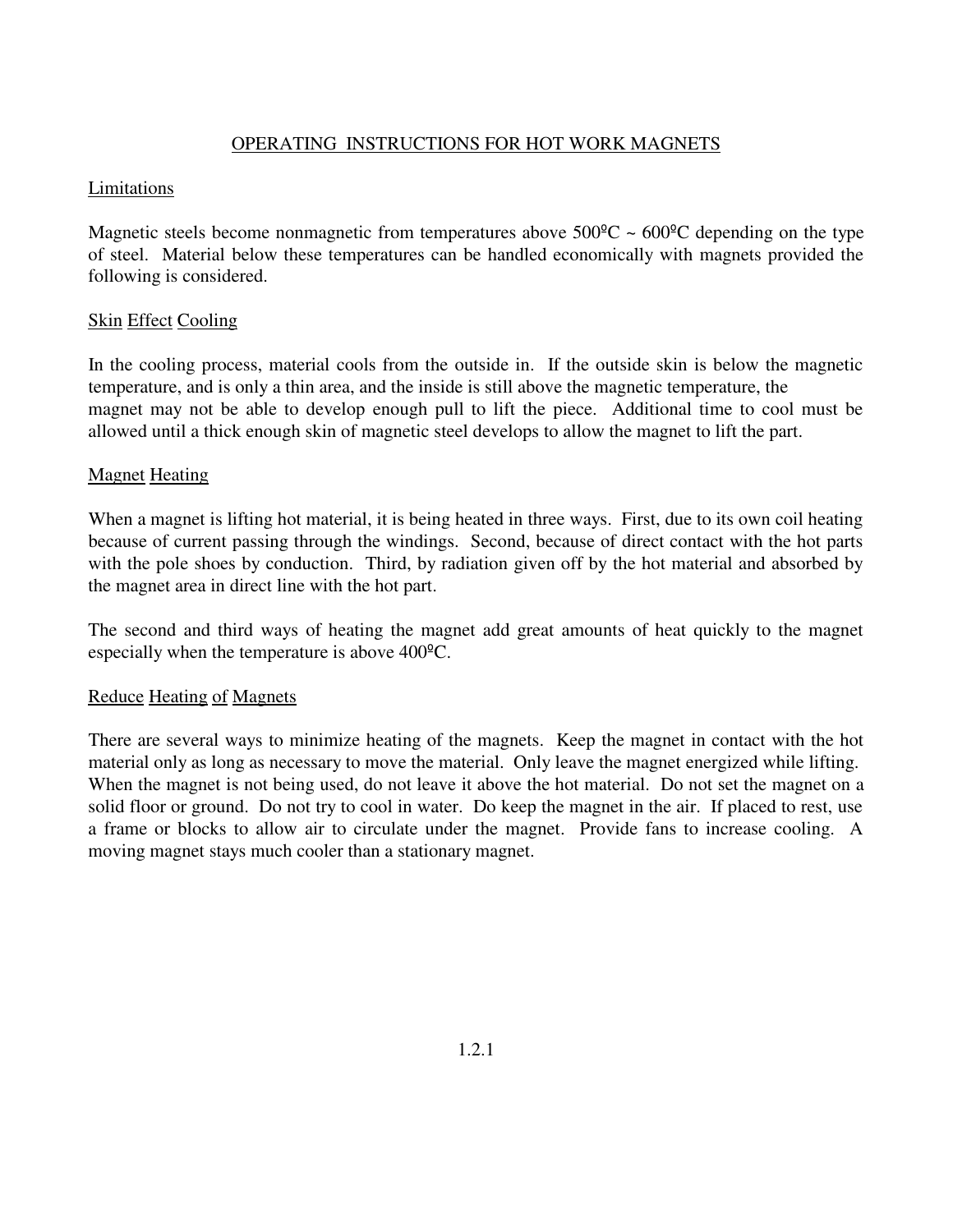### OPERATING INSTRUCTIONS FOR HOT WORK MAGNETS

### Limitations

Magnetic steels become nonmagnetic from temperatures above  $500^{\circ}$ C  $\sim 600^{\circ}$ C depending on the type of steel. Material below these temperatures can be handled economically with magnets provided the following is considered.

### Skin Effect Cooling

In the cooling process, material cools from the outside in. If the outside skin is below the magnetic temperature, and is only a thin area, and the inside is still above the magnetic temperature, the magnet may not be able to develop enough pull to lift the piece. Additional time to cool must be allowed until a thick enough skin of magnetic steel develops to allow the magnet to lift the part.

### Magnet Heating

When a magnet is lifting hot material, it is being heated in three ways. First, due to its own coil heating because of current passing through the windings. Second, because of direct contact with the hot parts with the pole shoes by conduction. Third, by radiation given off by the hot material and absorbed by the magnet area in direct line with the hot part.

The second and third ways of heating the magnet add great amounts of heat quickly to the magnet especially when the temperature is above 400ºC.

### Reduce Heating of Magnets

There are several ways to minimize heating of the magnets. Keep the magnet in contact with the hot material only as long as necessary to move the material. Only leave the magnet energized while lifting. When the magnet is not being used, do not leave it above the hot material. Do not set the magnet on a solid floor or ground. Do not try to cool in water. Do keep the magnet in the air. If placed to rest, use a frame or blocks to allow air to circulate under the magnet. Provide fans to increase cooling. A moving magnet stays much cooler than a stationary magnet.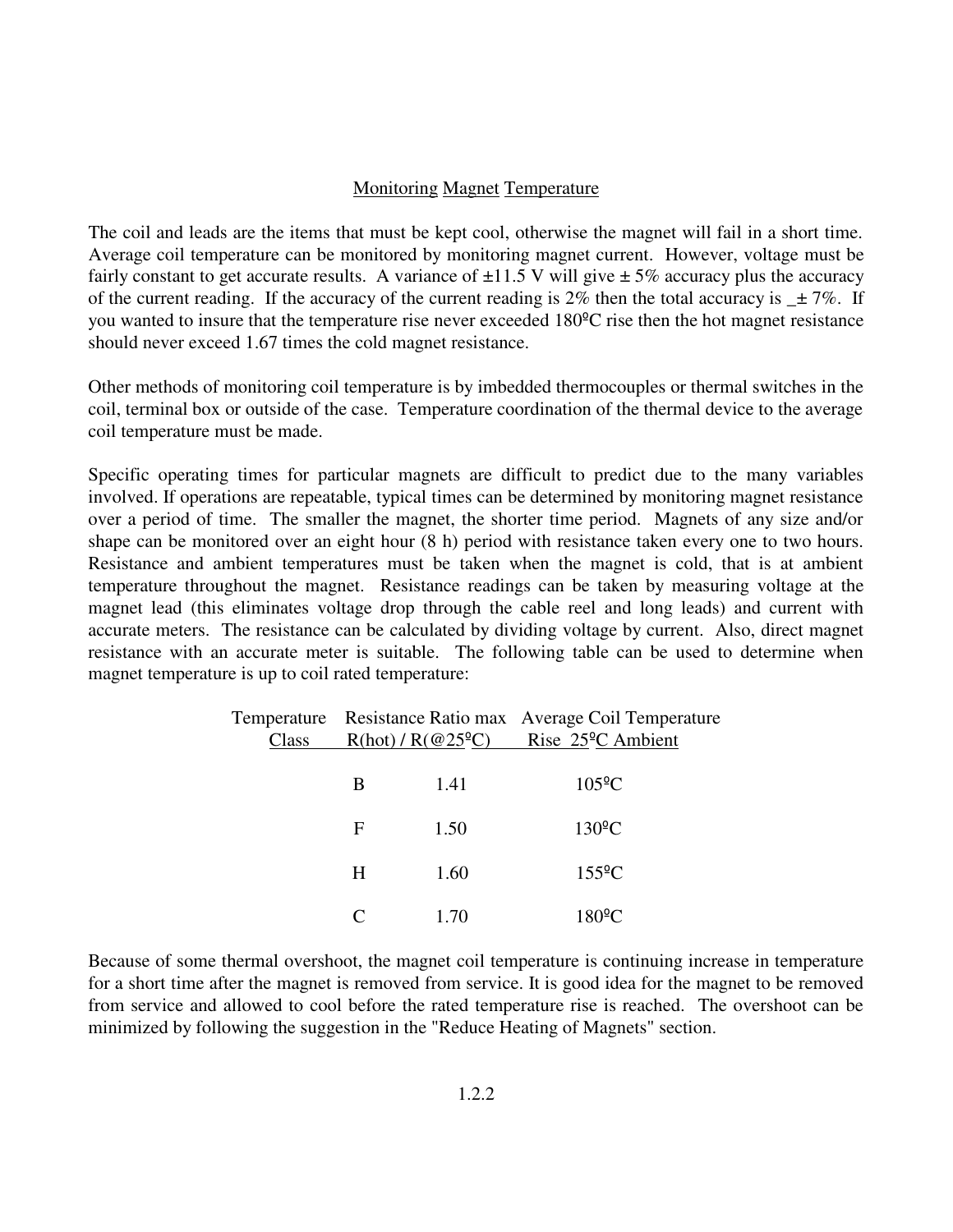### Monitoring Magnet Temperature

The coil and leads are the items that must be kept cool, otherwise the magnet will fail in a short time. Average coil temperature can be monitored by monitoring magnet current. However, voltage must be fairly constant to get accurate results. A variance of  $\pm 11.5$  V will give  $\pm 5\%$  accuracy plus the accuracy of the current reading. If the accuracy of the current reading is 2% then the total accuracy is  $\pm 7\%$ . If you wanted to insure that the temperature rise never exceeded 180ºC rise then the hot magnet resistance should never exceed 1.67 times the cold magnet resistance.

Other methods of monitoring coil temperature is by imbedded thermocouples or thermal switches in the coil, terminal box or outside of the case. Temperature coordination of the thermal device to the average coil temperature must be made.

Specific operating times for particular magnets are difficult to predict due to the many variables involved. If operations are repeatable, typical times can be determined by monitoring magnet resistance over a period of time. The smaller the magnet, the shorter time period. Magnets of any size and/or shape can be monitored over an eight hour (8 h) period with resistance taken every one to two hours. Resistance and ambient temperatures must be taken when the magnet is cold, that is at ambient temperature throughout the magnet. Resistance readings can be taken by measuring voltage at the magnet lead (this eliminates voltage drop through the cable reel and long leads) and current with accurate meters. The resistance can be calculated by dividing voltage by current. Also, direct magnet resistance with an accurate meter is suitable. The following table can be used to determine when magnet temperature is up to coil rated temperature:

| Class | $R(hot) / R(@25^{\circ}C)$ Rise 25 <sup>o</sup> C Ambient |      | Temperature Resistance Ratio max Average Coil Temperature |  |
|-------|-----------------------------------------------------------|------|-----------------------------------------------------------|--|
|       | B                                                         | 1.41 | $105^{\circ}$ C                                           |  |
|       | F                                                         | 1.50 | $130^{\circ}$ C                                           |  |
|       | H                                                         | 1.60 | $155^{\circ}$ C                                           |  |
|       |                                                           | 1.70 | $180^{\circ}$ C                                           |  |

Because of some thermal overshoot, the magnet coil temperature is continuing increase in temperature for a short time after the magnet is removed from service. It is good idea for the magnet to be removed from service and allowed to cool before the rated temperature rise is reached. The overshoot can be minimized by following the suggestion in the "Reduce Heating of Magnets" section.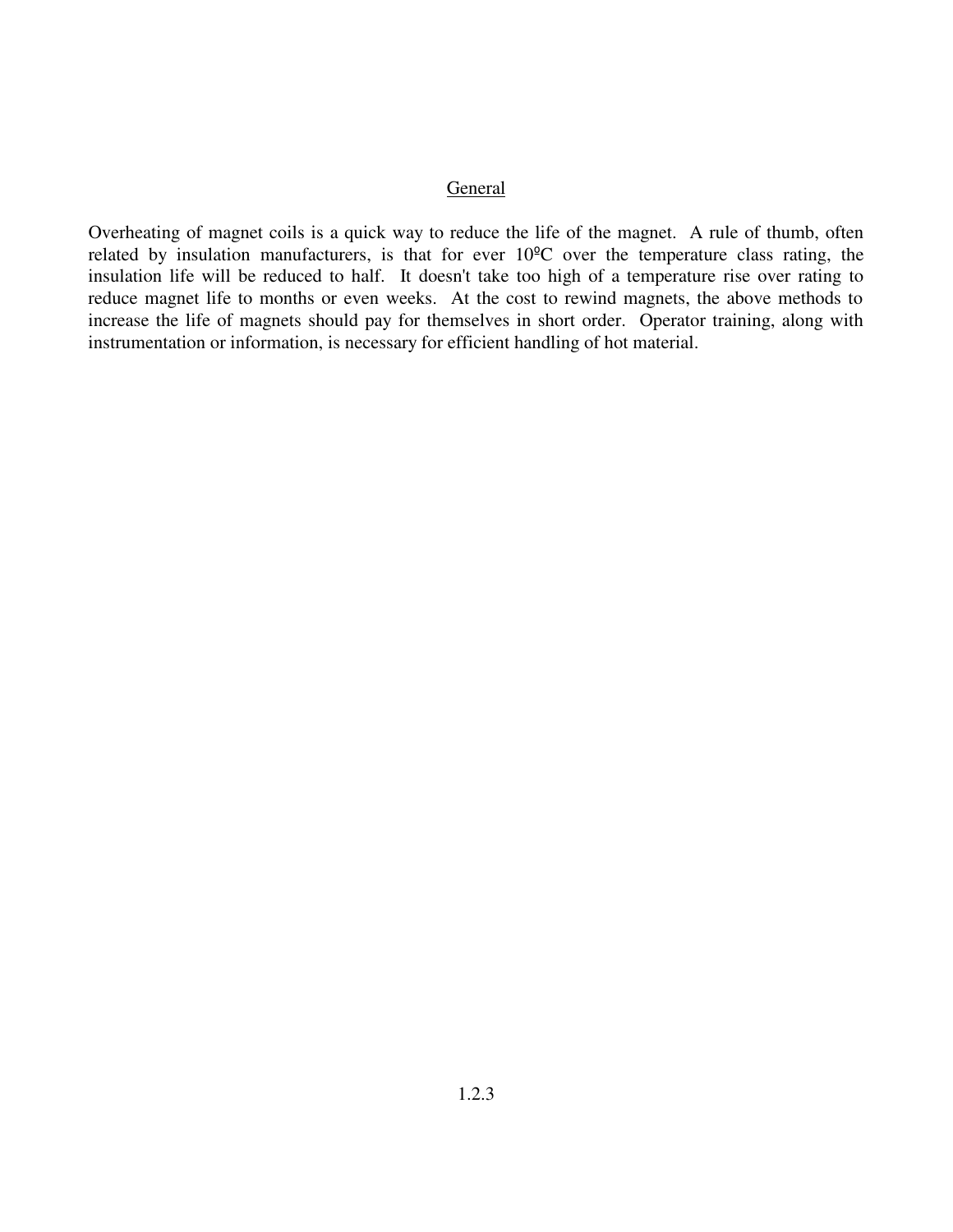### General

Overheating of magnet coils is a quick way to reduce the life of the magnet. A rule of thumb, often related by insulation manufacturers, is that for ever 10ºC over the temperature class rating, the insulation life will be reduced to half. It doesn't take too high of a temperature rise over rating to reduce magnet life to months or even weeks. At the cost to rewind magnets, the above methods to increase the life of magnets should pay for themselves in short order. Operator training, along with instrumentation or information, is necessary for efficient handling of hot material.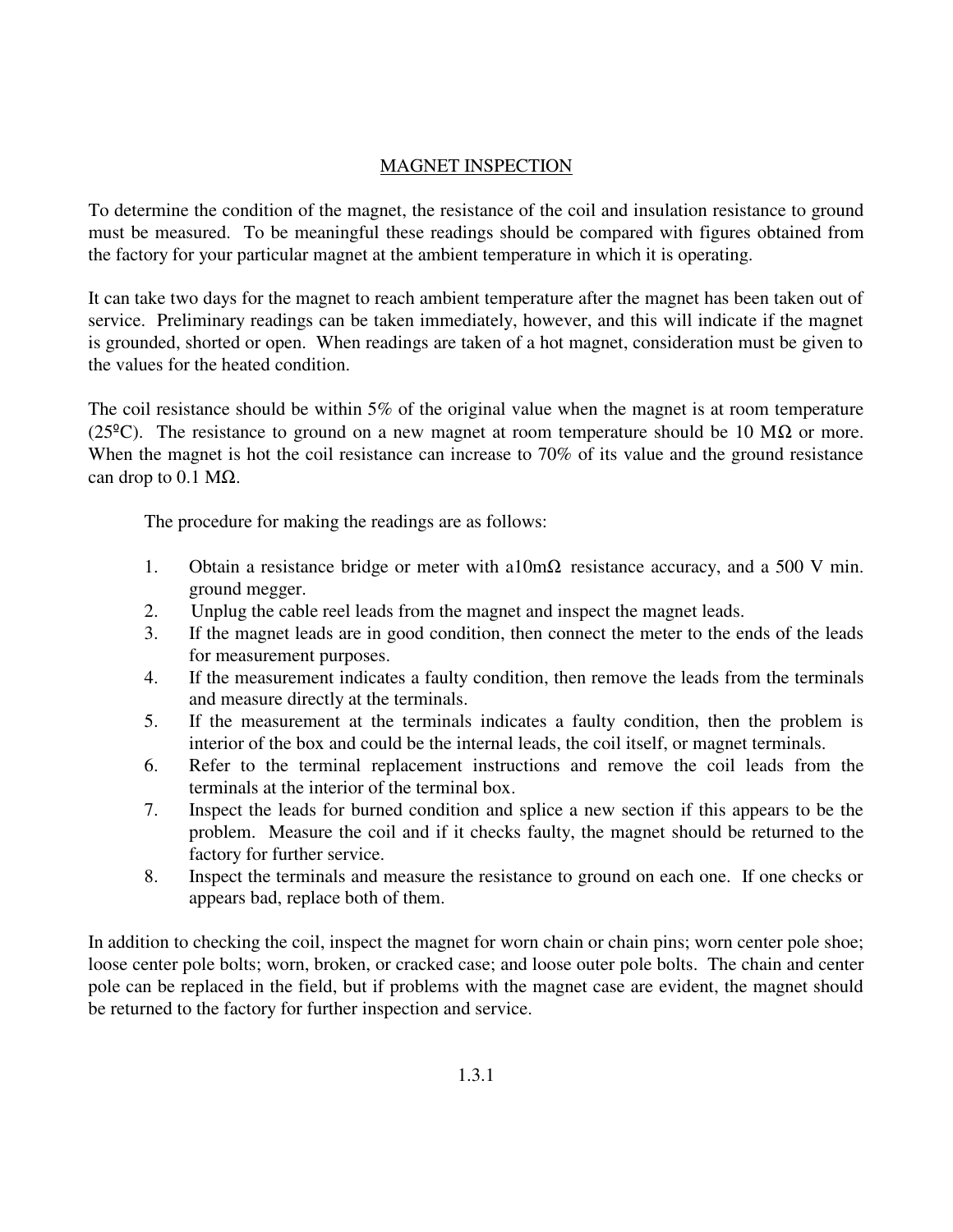### MAGNET INSPECTION

To determine the condition of the magnet, the resistance of the coil and insulation resistance to ground must be measured. To be meaningful these readings should be compared with figures obtained from the factory for your particular magnet at the ambient temperature in which it is operating.

It can take two days for the magnet to reach ambient temperature after the magnet has been taken out of service. Preliminary readings can be taken immediately, however, and this will indicate if the magnet is grounded, shorted or open. When readings are taken of a hot magnet, consideration must be given to the values for the heated condition.

The coil resistance should be within 5% of the original value when the magnet is at room temperature (25<sup>o</sup>C). The resistance to ground on a new magnet at room temperature should be 10 M $\Omega$  or more. When the magnet is hot the coil resistance can increase to 70% of its value and the ground resistance can drop to 0.1 M $\Omega$ .

The procedure for making the readings are as follows:

- 1. Obtain a resistance bridge or meter with a $10 \text{m}\Omega$  resistance accuracy, and a 500 V min. ground megger.
- 2. Unplug the cable reel leads from the magnet and inspect the magnet leads.
- 3. If the magnet leads are in good condition, then connect the meter to the ends of the leads for measurement purposes.
- 4. If the measurement indicates a faulty condition, then remove the leads from the terminals and measure directly at the terminals.
- 5. If the measurement at the terminals indicates a faulty condition, then the problem is interior of the box and could be the internal leads, the coil itself, or magnet terminals.
- 6. Refer to the terminal replacement instructions and remove the coil leads from the terminals at the interior of the terminal box.
- 7. Inspect the leads for burned condition and splice a new section if this appears to be the problem. Measure the coil and if it checks faulty, the magnet should be returned to the factory for further service.
- 8. Inspect the terminals and measure the resistance to ground on each one. If one checks or appears bad, replace both of them.

In addition to checking the coil, inspect the magnet for worn chain or chain pins; worn center pole shoe; loose center pole bolts; worn, broken, or cracked case; and loose outer pole bolts. The chain and center pole can be replaced in the field, but if problems with the magnet case are evident, the magnet should be returned to the factory for further inspection and service.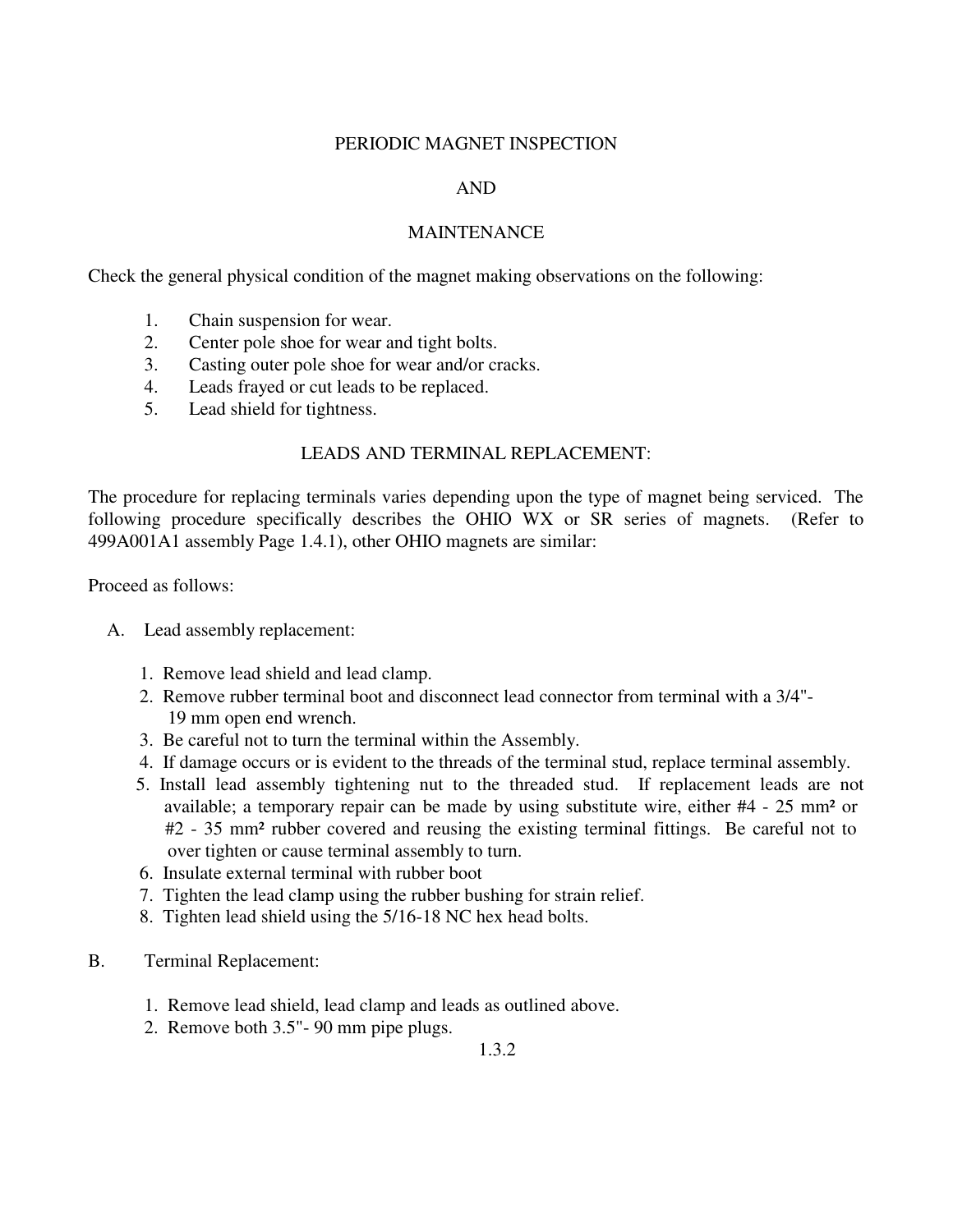### PERIODIC MAGNET INSPECTION

### AND

### MAINTENANCE

Check the general physical condition of the magnet making observations on the following:

- 1. Chain suspension for wear.
- 2. Center pole shoe for wear and tight bolts.
- 3. Casting outer pole shoe for wear and/or cracks.
- 4. Leads frayed or cut leads to be replaced.
- 5. Lead shield for tightness.

### LEADS AND TERMINAL REPLACEMENT:

The procedure for replacing terminals varies depending upon the type of magnet being serviced. The following procedure specifically describes the OHIO WX or SR series of magnets. (Refer to 499A001A1 assembly Page 1.4.1), other OHIO magnets are similar:

Proceed as follows:

- A. Lead assembly replacement:
	- 1. Remove lead shield and lead clamp.
	- 2. Remove rubber terminal boot and disconnect lead connector from terminal with a 3/4"- 19 mm open end wrench.
	- 3. Be careful not to turn the terminal within the Assembly.
	- 4. If damage occurs or is evident to the threads of the terminal stud, replace terminal assembly.
	- 5. Install lead assembly tightening nut to the threaded stud. If replacement leads are not available; a temporary repair can be made by using substitute wire, either #4 - 25 mm² or #2 - 35 mm² rubber covered and reusing the existing terminal fittings. Be careful not to over tighten or cause terminal assembly to turn.
	- 6. Insulate external terminal with rubber boot
	- 7. Tighten the lead clamp using the rubber bushing for strain relief.
	- 8. Tighten lead shield using the 5/16-18 NC hex head bolts.
- B. Terminal Replacement:
	- 1. Remove lead shield, lead clamp and leads as outlined above.
	- 2. Remove both 3.5"- 90 mm pipe plugs.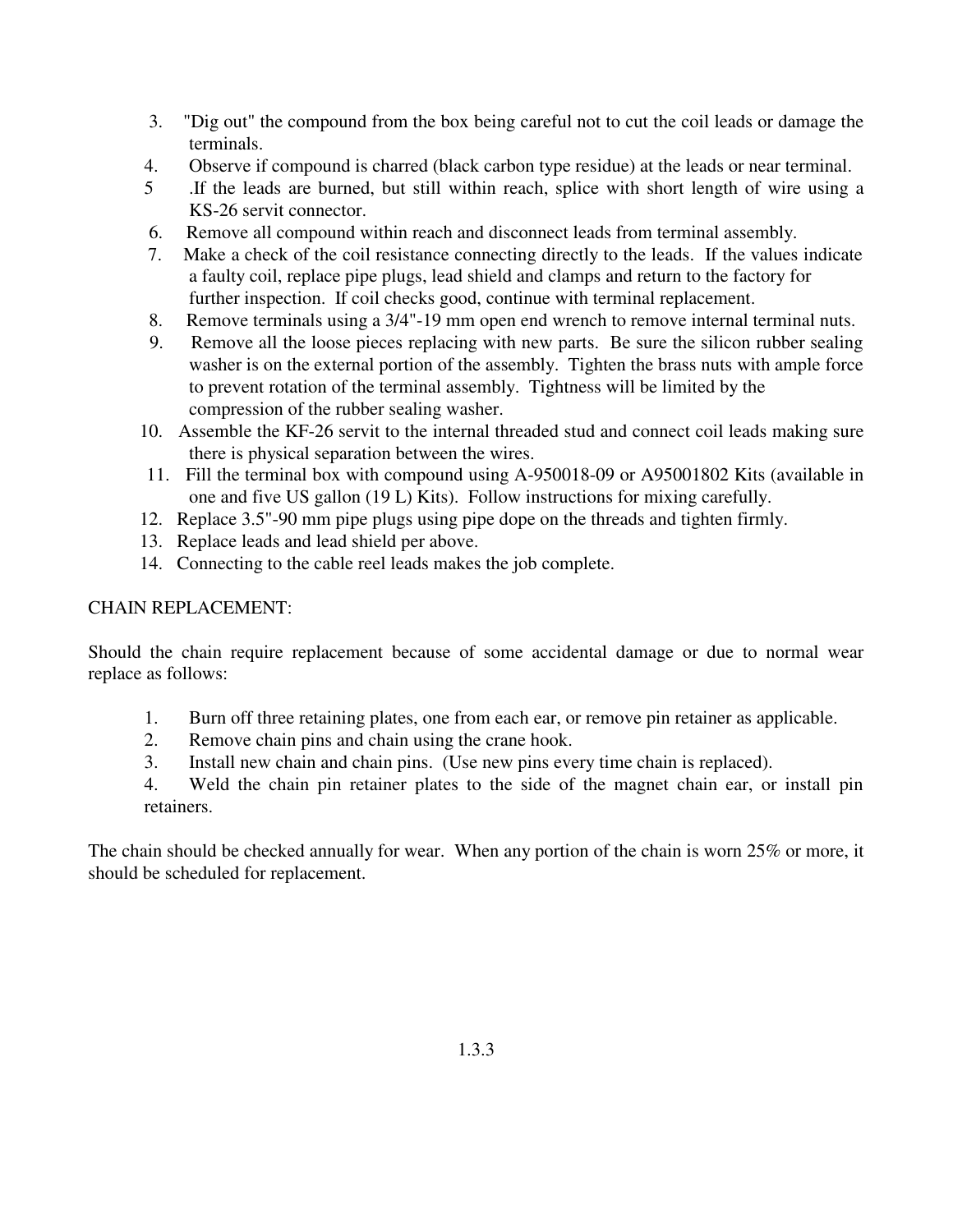- 3. "Dig out" the compound from the box being careful not to cut the coil leads or damage the terminals.
- 4. Observe if compound is charred (black carbon type residue) at the leads or near terminal.
- 5 .If the leads are burned, but still within reach, splice with short length of wire using a KS-26 servit connector.
- 6. Remove all compound within reach and disconnect leads from terminal assembly.
- 7. Make a check of the coil resistance connecting directly to the leads. If the values indicate a faulty coil, replace pipe plugs, lead shield and clamps and return to the factory for further inspection. If coil checks good, continue with terminal replacement.
- 8. Remove terminals using a 3/4"-19 mm open end wrench to remove internal terminal nuts.
- 9. Remove all the loose pieces replacing with new parts. Be sure the silicon rubber sealing washer is on the external portion of the assembly. Tighten the brass nuts with ample force to prevent rotation of the terminal assembly. Tightness will be limited by the compression of the rubber sealing washer.
- 10. Assemble the KF-26 servit to the internal threaded stud and connect coil leads making sure there is physical separation between the wires.
- 11. Fill the terminal box with compound using A-950018-09 or A95001802 Kits (available in one and five US gallon (19 L) Kits). Follow instructions for mixing carefully.
- 12. Replace 3.5"-90 mm pipe plugs using pipe dope on the threads and tighten firmly.
- 13. Replace leads and lead shield per above.
- 14. Connecting to the cable reel leads makes the job complete.

### CHAIN REPLACEMENT:

Should the chain require replacement because of some accidental damage or due to normal wear replace as follows:

- 1. Burn off three retaining plates, one from each ear, or remove pin retainer as applicable.
- 2. Remove chain pins and chain using the crane hook.
- 3. Install new chain and chain pins. (Use new pins every time chain is replaced).
- 4. Weld the chain pin retainer plates to the side of the magnet chain ear, or install pin retainers.

The chain should be checked annually for wear. When any portion of the chain is worn 25% or more, it should be scheduled for replacement.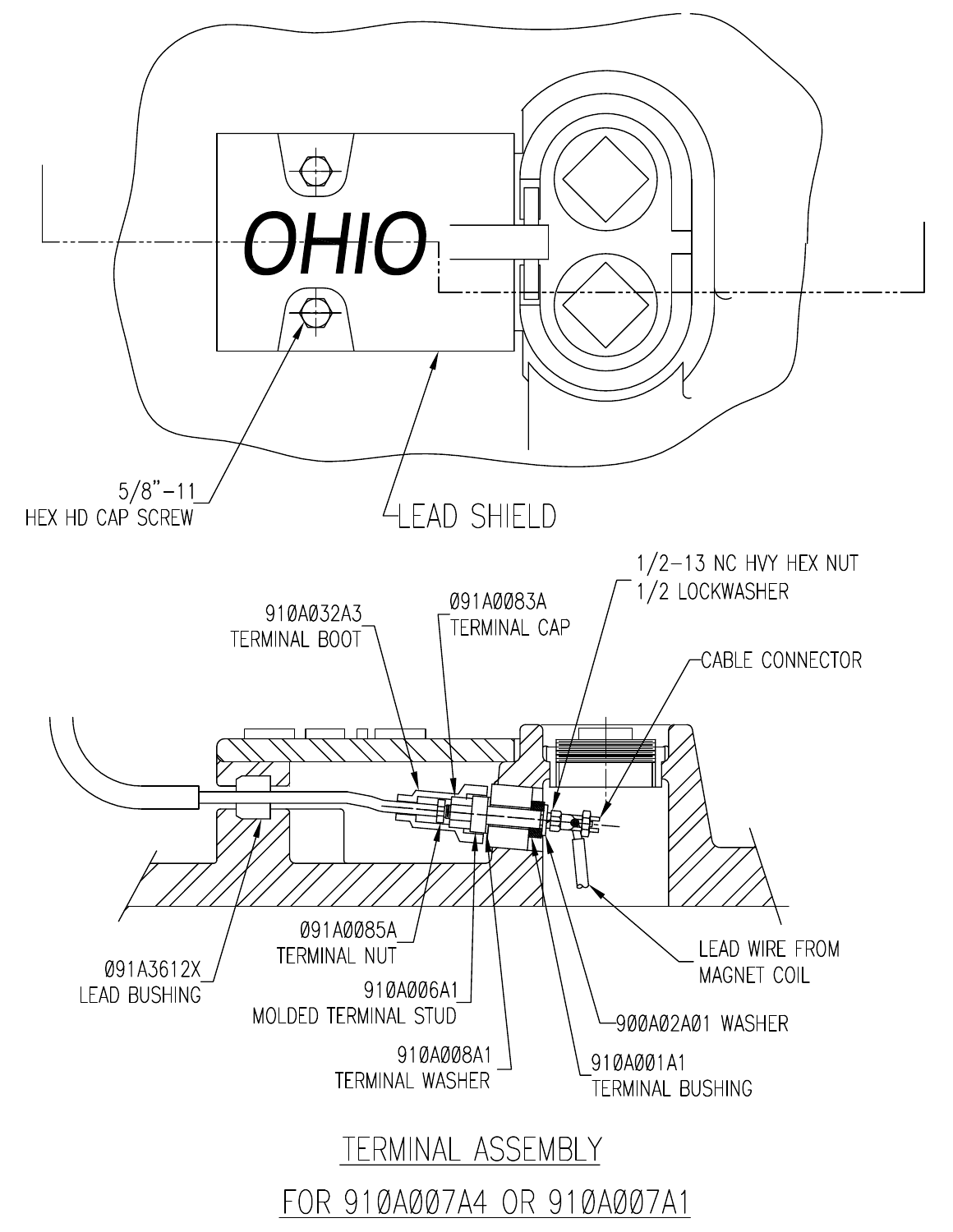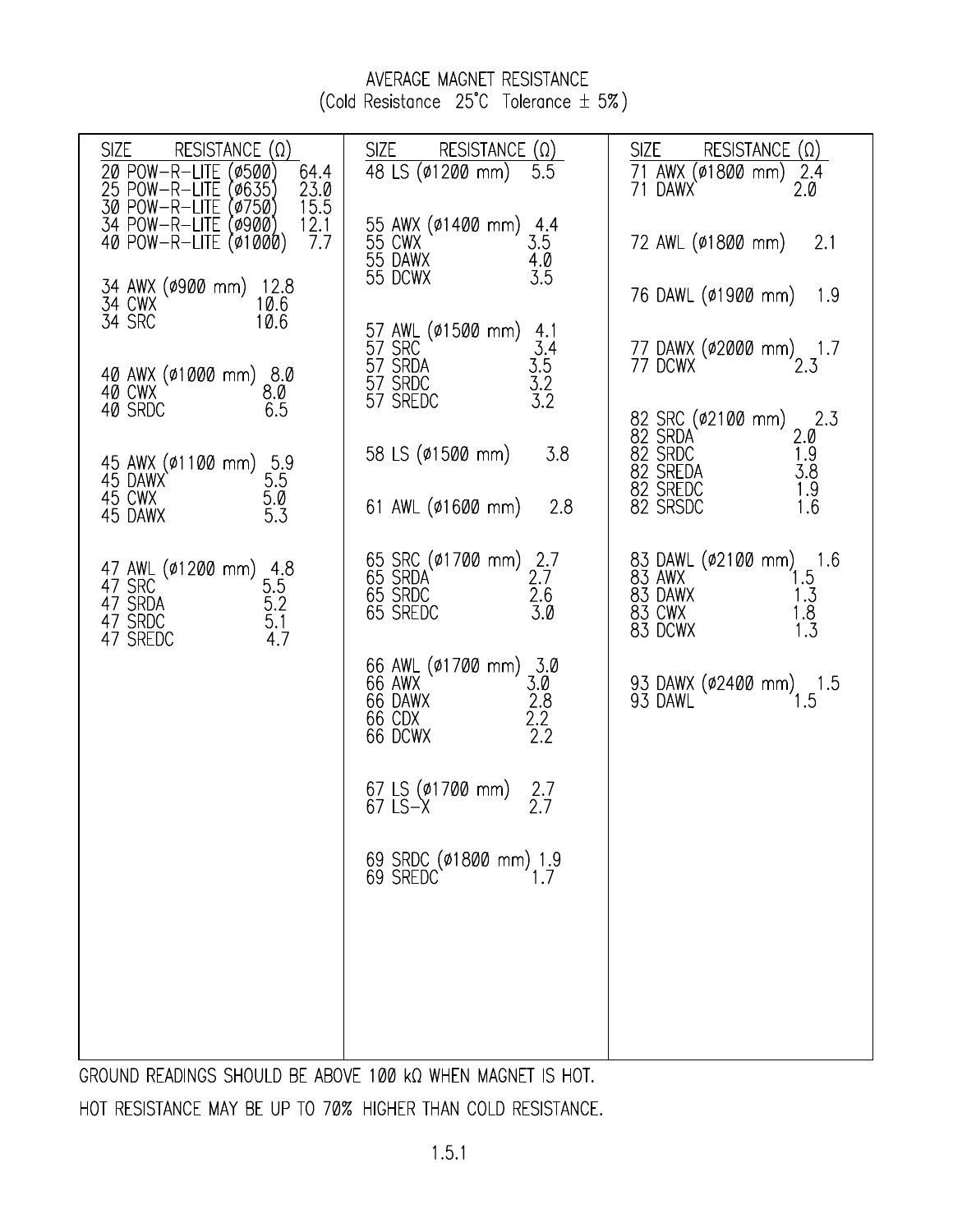### AVERAGE MAGNET RESISTANCE (Cold Resistance 25°C Tolerance ± 5%)

| <b>SIZE</b><br>RESISTANCE $(\Omega)$<br>20 POW-R-LITE<br>(0500)<br>64.4<br>23.0                                               | SIZE<br>RESISTANCE $(\Omega)$<br>48 LS (01200 mm)<br>5.5                                              | <b>SIZE</b><br>RESISTANCE $(\Omega)$<br>71 AWX (ø1800 mm)<br>71 DAWX<br>2.4<br>2.0                  |
|-------------------------------------------------------------------------------------------------------------------------------|-------------------------------------------------------------------------------------------------------|-----------------------------------------------------------------------------------------------------|
| 25 POW-R-LITE (0635)<br>30 POW-R-LITE (0750)<br>34 POW-R-LITE (0900)<br>40 POW-R-LITE (01000)<br>$\frac{15.5}{12.1}$<br>7.7   | 55 AWX (01400 mm) 4.4<br>55 CWX 3.5<br>55 DAWX 4.0<br>55 DCWX 3.5                                     | 72 AWL (ø1800 mm)<br>2.1                                                                            |
| 34 AWX (0900 mm) 12.8<br>34 CWX 10.6<br>34 SRC 10.6                                                                           | $57$ AWL (\$1500 mm) $4.1$                                                                            | 76 DAWL (ø1900 mm) 1.9                                                                              |
| 40 AWX (01000 mm) 8.0<br>40 CWX 8.0<br>40 SRDC 65                                                                             | $3.4$<br>$3.5$<br>$3.2$<br>$3.2$<br>57 SRC<br>57 SRDA<br>57 SRDC<br>57 SREDC                          | 77 DAWX (\$2000 mm) 1.7<br>77 DCWX 2.3                                                              |
| 40 SRDC<br>6.5                                                                                                                | 58 LS (ø1500 mm)<br>3.8                                                                               | 82 SRC (ø2100 mm) 2.3<br>82 SRDA 2.0<br>82 SRDC 1.9<br>82 SREDA 3.8<br>82 SREDC 1.9<br>82 SRSDC 1.6 |
| 45 AWX (\$1100 mm) 5.9<br>45 DAWX 5.5<br>45 CWX 5.0<br>45 DAWX 5.3<br>45 DAWX                                                 | 61 AWL (ø1600 mm)<br>2.8                                                                              |                                                                                                     |
| 47 AWL (\$1288 mm) 4.8<br>47 SRC 5.5<br>47 SRDA 5.2<br>47 SRDC 5.1<br>47 SREDC 4.7<br>, SKC<br>47 SRDA<br>47 SRDC<br>47 SPFFC | 65 SRC (ø1700 mm) 2.7<br>65 SRDA 2.7<br>65 SRDC 2.6<br>65 SREDC 3.0                                   | 83 DAWL (ø2100 mm) 1.6<br>83 AWX 1.5<br>83 DAWX 1.3<br>83 CWX 1.8<br>83 DCWX 1.3                    |
|                                                                                                                               | 66 AWL (01700 mm) 3.0<br>$3.0$<br>$2.8$<br>$2.2$<br>$2.2$<br>66 AWX `<br>66 DAWX<br>66 CDX<br>66 DCWX | 93 DAWX (02400 mm) 1.5<br>93 DAWL                                                                   |
|                                                                                                                               | 67 LS (ø1700 mm)<br>67 LS-X<br>2.7<br>2.7                                                             |                                                                                                     |
|                                                                                                                               | 69 SRDC (ø1800 mm) 1.9<br>69 SREDC 1.7                                                                |                                                                                                     |
|                                                                                                                               |                                                                                                       |                                                                                                     |
|                                                                                                                               |                                                                                                       |                                                                                                     |
|                                                                                                                               |                                                                                                       |                                                                                                     |

GROUND READINGS SHOULD BE ABOVE 100 KQ WHEN MAGNET IS HOT.

HOT RESISTANCE MAY BE UP TO 70% HIGHER THAN COLD RESISTANCE.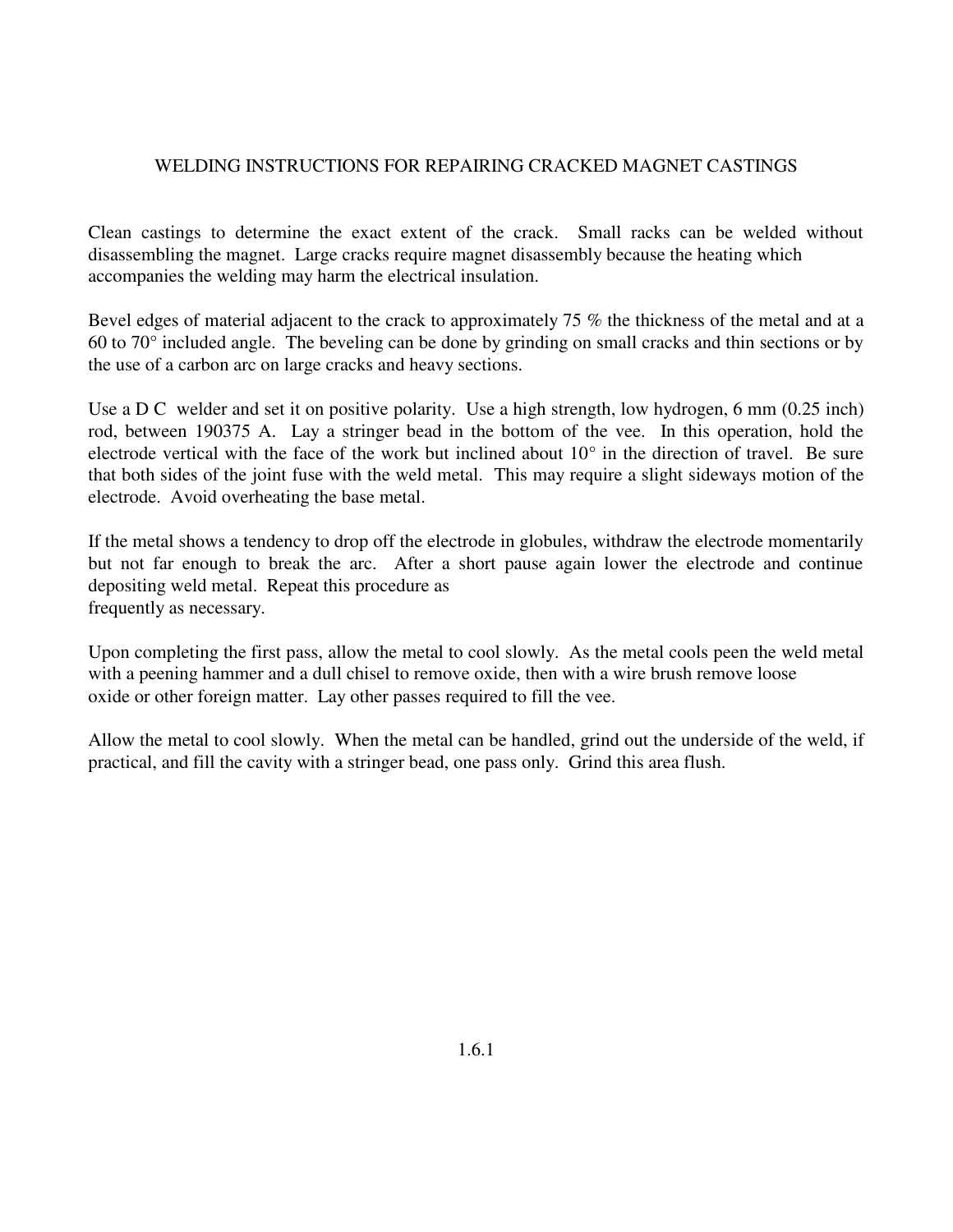### WELDING INSTRUCTIONS FOR REPAIRING CRACKED MAGNET CASTINGS

Clean castings to determine the exact extent of the crack. Small racks can be welded without disassembling the magnet. Large cracks require magnet disassembly because the heating which accompanies the welding may harm the electrical insulation.

Bevel edges of material adjacent to the crack to approximately 75 % the thickness of the metal and at a 60 to 70° included angle. The beveling can be done by grinding on small cracks and thin sections or by the use of a carbon arc on large cracks and heavy sections.

Use a D C welder and set it on positive polarity. Use a high strength, low hydrogen, 6 mm (0.25 inch) rod, between 190375 A. Lay a stringer bead in the bottom of the vee. In this operation, hold the electrode vertical with the face of the work but inclined about 10° in the direction of travel. Be sure that both sides of the joint fuse with the weld metal. This may require a slight sideways motion of the electrode. Avoid overheating the base metal.

If the metal shows a tendency to drop off the electrode in globules, withdraw the electrode momentarily but not far enough to break the arc. After a short pause again lower the electrode and continue depositing weld metal. Repeat this procedure as frequently as necessary.

Upon completing the first pass, allow the metal to cool slowly. As the metal cools peen the weld metal with a peening hammer and a dull chisel to remove oxide, then with a wire brush remove loose oxide or other foreign matter. Lay other passes required to fill the vee.

Allow the metal to cool slowly. When the metal can be handled, grind out the underside of the weld, if practical, and fill the cavity with a stringer bead, one pass only. Grind this area flush.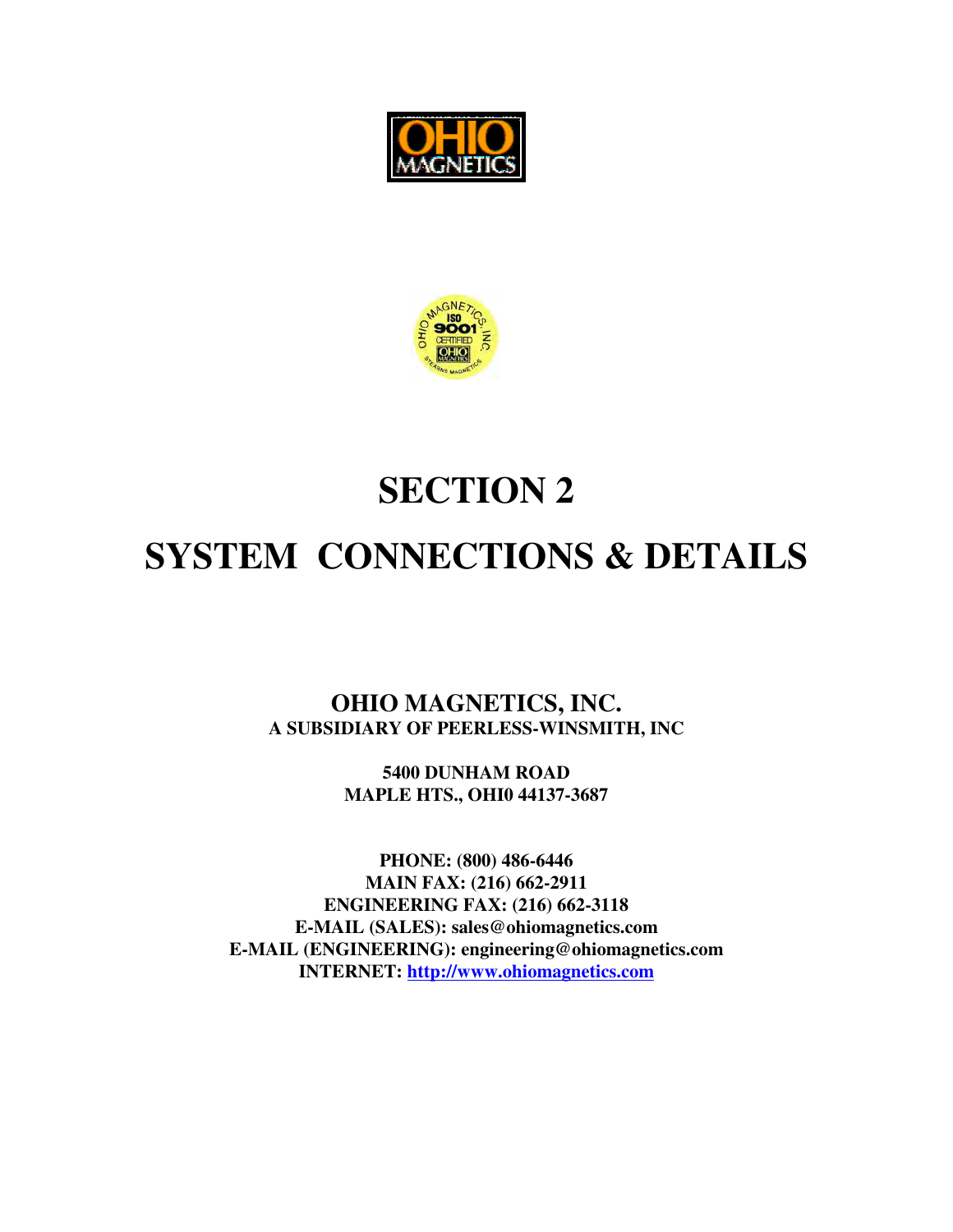



# **SECTION 2**

# **SYSTEM CONNECTIONS & DETAILS**

**OHIO MAGNETICS, INC. A SUBSIDIARY OF PEERLESS-WINSMITH, INC**

> **5400 DUNHAM ROAD MAPLE HTS., OHI0 44137-3687**

**PHONE: (800) 486-6446 MAIN FAX: (216) 662-2911 ENGINEERING FAX: (216) 662-3118 E-MAIL (SALES): sales@ohiomagnetics.com E-MAIL (ENGINEERING): engineering@ohiomagnetics.com INTERNET: http://www.ohiomagnetics.com**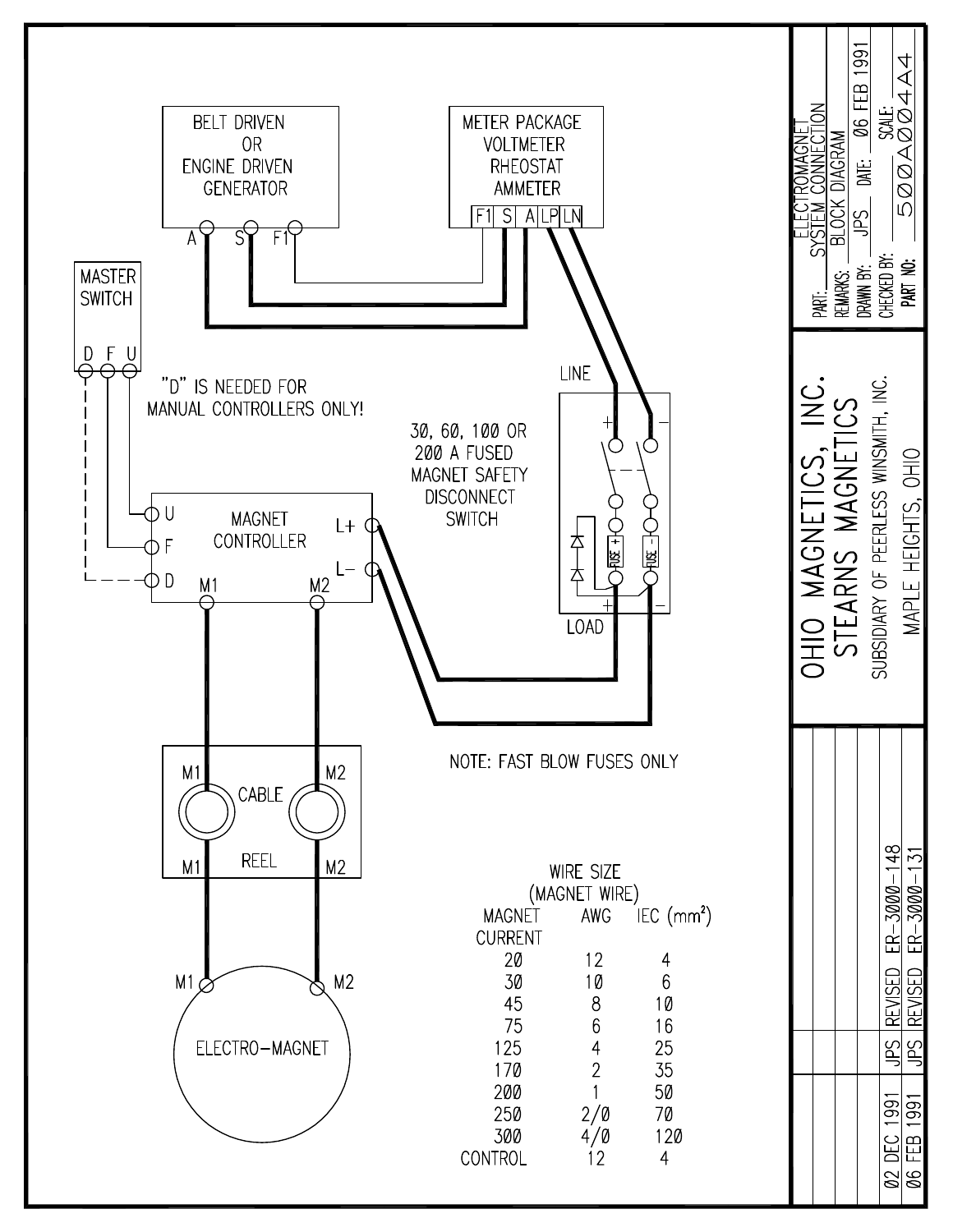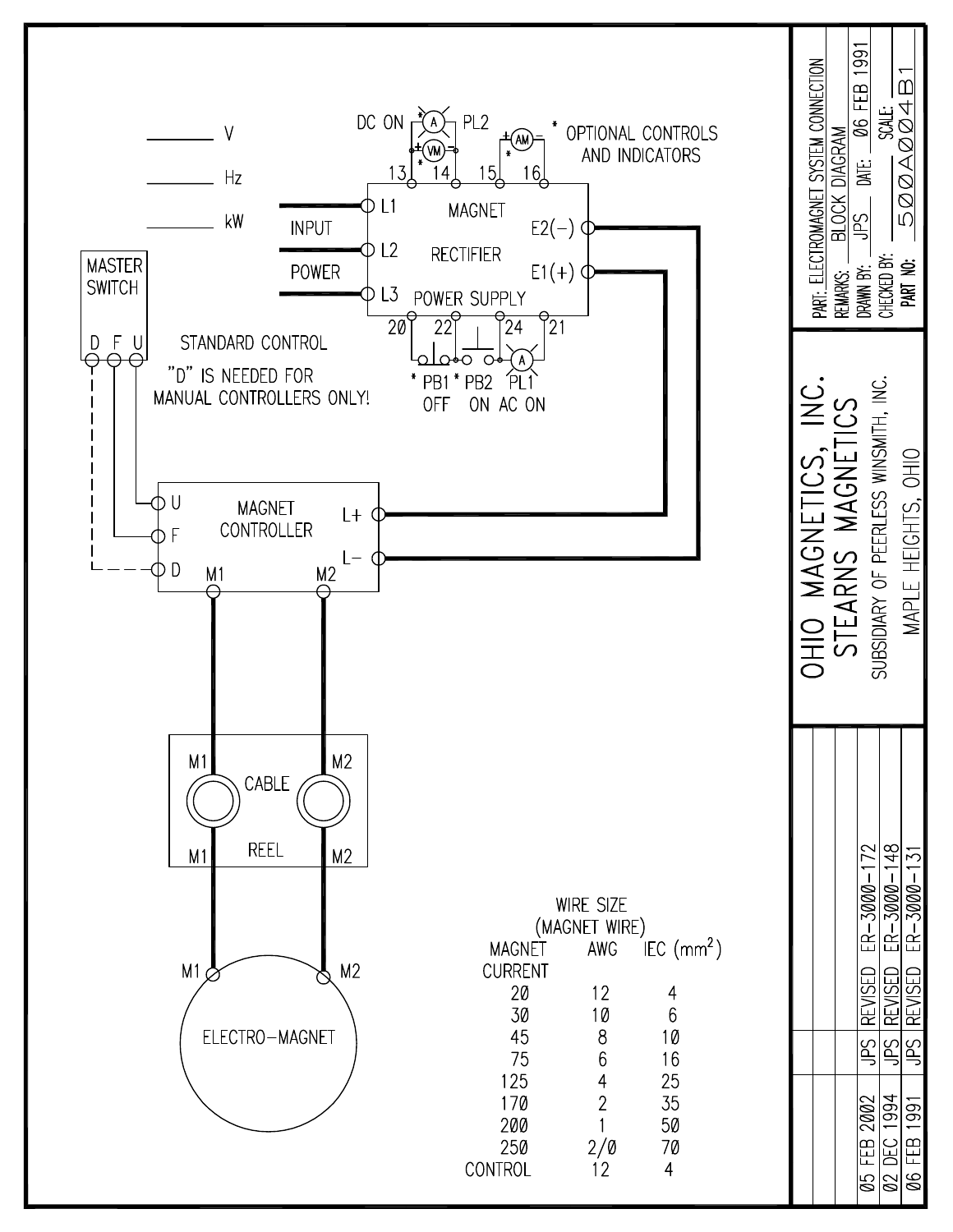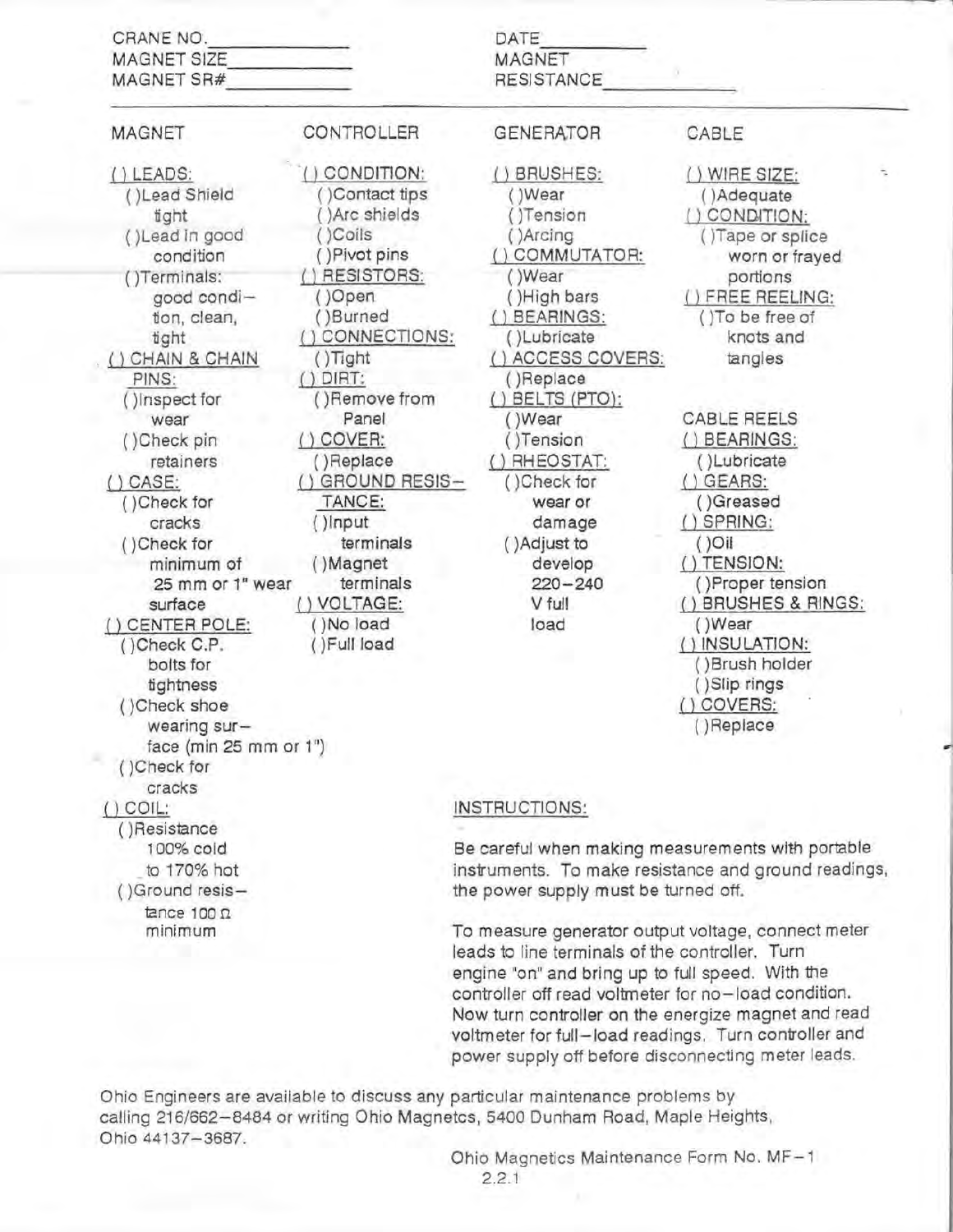| CRANE NO.<br><b>MAGNET SIZE</b><br>MAGNET SR#                                                                                                                                                                                                                                                                                                                                                                                                      |                                                                                                                                                                                                                                                                                                                                          | DATE<br>MAGNET<br><b>RESISTANCE</b>                                                                                                                                                                                                                                                                                   |                                                                                                                                                                                                                                                                                                                                                                                                                           |
|----------------------------------------------------------------------------------------------------------------------------------------------------------------------------------------------------------------------------------------------------------------------------------------------------------------------------------------------------------------------------------------------------------------------------------------------------|------------------------------------------------------------------------------------------------------------------------------------------------------------------------------------------------------------------------------------------------------------------------------------------------------------------------------------------|-----------------------------------------------------------------------------------------------------------------------------------------------------------------------------------------------------------------------------------------------------------------------------------------------------------------------|---------------------------------------------------------------------------------------------------------------------------------------------------------------------------------------------------------------------------------------------------------------------------------------------------------------------------------------------------------------------------------------------------------------------------|
| <b>MAGNET</b>                                                                                                                                                                                                                                                                                                                                                                                                                                      | CONTROLLER                                                                                                                                                                                                                                                                                                                               | <b>GENERATOR</b>                                                                                                                                                                                                                                                                                                      | CABLE                                                                                                                                                                                                                                                                                                                                                                                                                     |
| () LEADS:<br>()Lead Shield<br>tight<br>()Lead in good<br>condition<br>()Terminals:<br>good condi-<br>tion, clean,<br>tight<br>CHAIN & CHAIN<br>PINS:<br>()Inspect for<br>wear<br>()Check pin<br>retainers<br>$()$ CASE:<br>()Check for<br>cracks<br>()Check for<br>minimum of<br>25 mm or 1" wear<br>surface<br>() CENTER POLE:<br>()Check C.P.<br>bolts for<br>tightness<br>()Check shoe<br>wearing sur-<br>face (min 25 mm or 1")<br>()Check for | ) CONDITION:<br>Contact tips<br>)Arc shields<br>)Coils<br>()Pivot pins<br>() RESISTORS:<br>()Open<br>()Burned<br>CONNECTIONS:<br>$()$ Tight<br>$()$ DIRT:<br>()Remove from<br>Panel<br>COVER:<br>()Replace<br><b>GROUND RESIS-</b><br>TANCE:<br>()Input<br>terminals<br>()Magnet<br>terminals<br>() VOLTAGE:<br>()No load<br>()Full load | () BRUSHES:<br>()Wear<br>()Tension<br>()Arcing<br>() COMMUTATOR:<br>()Wear<br>()High bars<br>() BEARINGS:<br>()Lubricate<br>() ACCESS COVERS:<br>()Replace<br>$()$ BELTS $(PTO)$ :<br>()Wear<br>()Tension<br>RHEOSTAT:<br>()Check for<br>wear or<br>damage<br>()Adjust to<br>develop<br>$220 - 240$<br>V full<br>load | () WIRE SIZE:<br>÷.<br>()Adequate<br>CONDITION:<br>()Tape or splice<br>worn or frayed<br>portions<br>) FREE REELING:<br>() To be free of<br>knots and<br>tangles<br>CABLE REELS<br>() BEARINGS:<br>()Lubricate<br>$()$ GEARS:<br>()Greased<br>$()$ SPRING:<br>$()$ Oil<br>() TENSION:<br>()Proper tension<br>() BRUSHES & RINGS:<br>()Wear<br>() INSULATION:<br>()Brush holder<br>()Slip rings<br>() COVERS:<br>()Replace |
| cracks<br>$()$ COIL:                                                                                                                                                                                                                                                                                                                                                                                                                               |                                                                                                                                                                                                                                                                                                                                          | INSTRUCTIONS:                                                                                                                                                                                                                                                                                                         |                                                                                                                                                                                                                                                                                                                                                                                                                           |
| ()Resistance<br>100% cold<br>to 170% hot<br>()Ground resis-<br>tance $100 \Omega$<br>minimum                                                                                                                                                                                                                                                                                                                                                       |                                                                                                                                                                                                                                                                                                                                          | Be careful when making measurements with portable<br>the power supply must be turned off.<br>To measure generator output voltage, connect meter<br>leads to line terminals of the controller. Turn<br>engine "on" and bring up to full speed. With the                                                                | instruments. To make resistance and ground readings,                                                                                                                                                                                                                                                                                                                                                                      |

Ohio Engineers are available to discuss any particular maintenance problems by calling 216/662-8484 or writing Ohio Magnetcs, 5400 Dunham Road, Maple Heights, Ohio 44137-3687.

Ohio Magnetics Maintenance Form No. MF-1  $2.2.1$ 

controller off read voltmeter for no-load condition. Now turn controller on the energize magnet and read voltmeter for full-load readings. Turn controller and power supply off before disconnecting meter leads.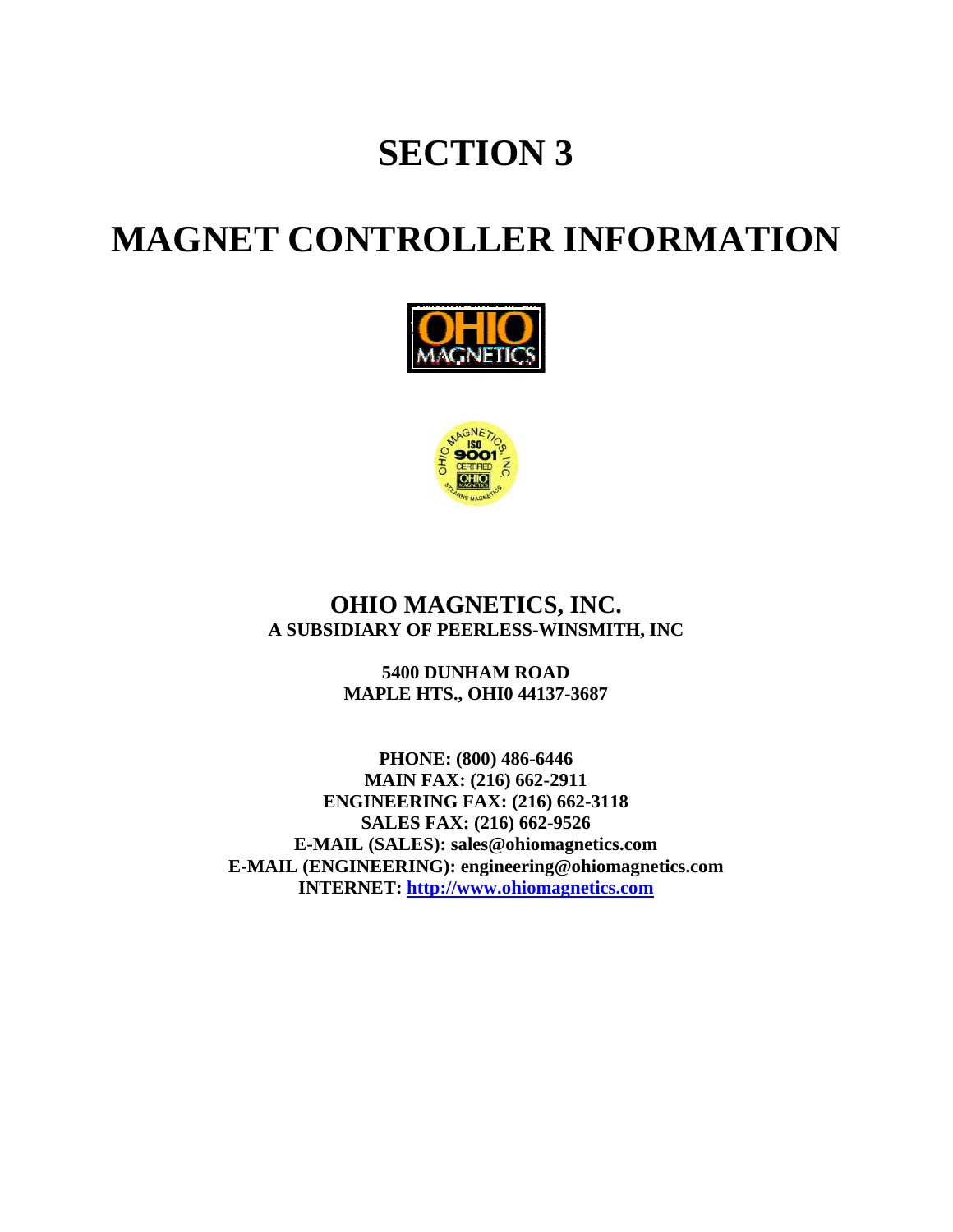# **SECTION 3**

# **MAGNET CONTROLLER INFORMATION**





### **OHIO MAGNETICS, INC. A SUBSIDIARY OF PEERLESS-WINSMITH, INC**

**5400 DUNHAM ROAD MAPLE HTS., OHI0 44137-3687** 

**PHONE: (800) 486-6446 MAIN FAX: (216) 662-2911 ENGINEERING FAX: (216) 662-3118 SALES FAX: (216) 662-9526 E-MAIL (SALES): sales@ohiomagnetics.com E-MAIL (ENGINEERING): engineering@ohiomagnetics.com INTERNET: http://www.ohiomagnetics.com**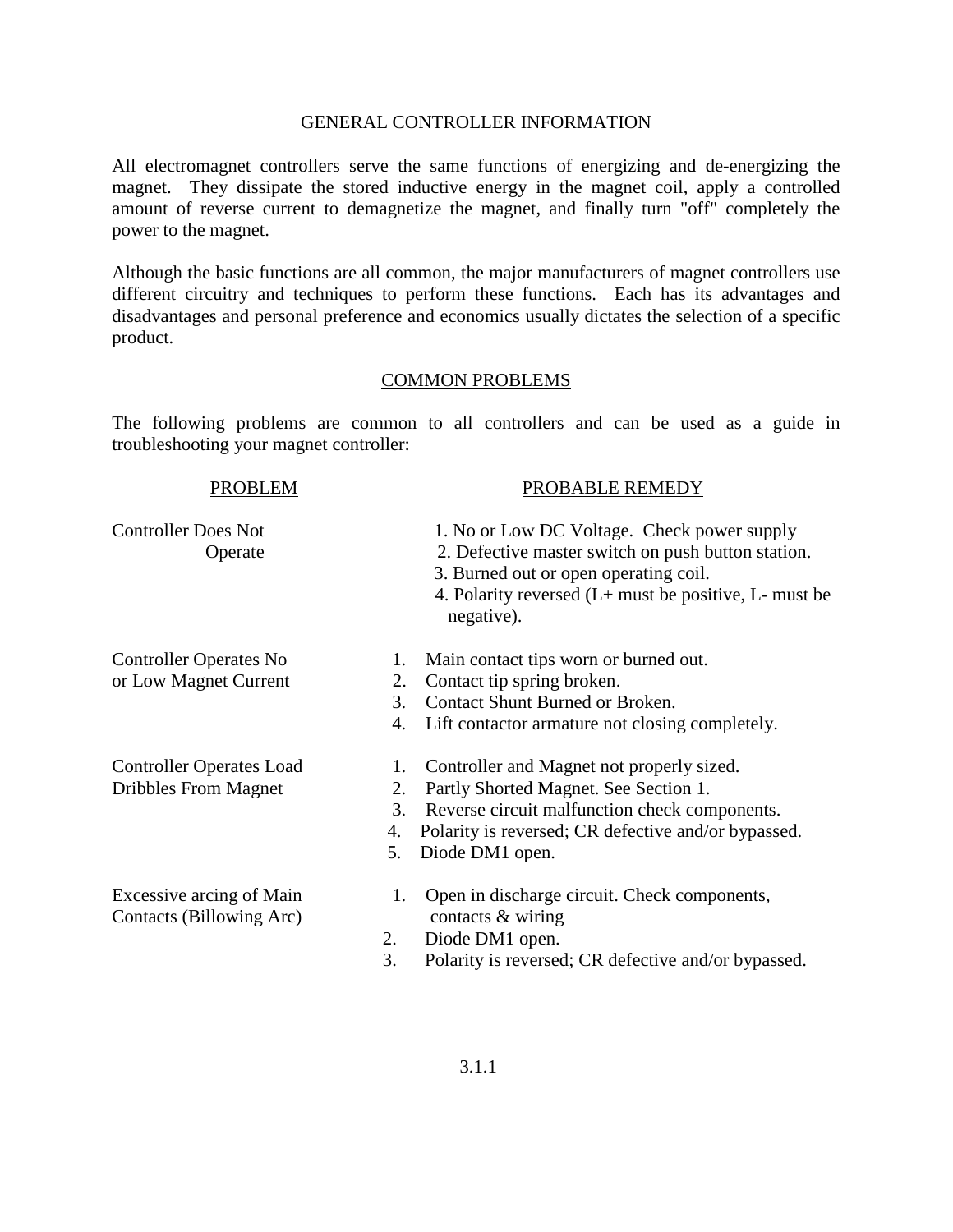### GENERAL CONTROLLER INFORMATION

All electromagnet controllers serve the same functions of energizing and de-energizing the magnet. They dissipate the stored inductive energy in the magnet coil, apply a controlled amount of reverse current to demagnetize the magnet, and finally turn "off" completely the power to the magnet.

Although the basic functions are all common, the major manufacturers of magnet controllers use different circuitry and techniques to perform these functions. Each has its advantages and disadvantages and personal preference and economics usually dictates the selection of a specific product.

### COMMON PROBLEMS

The following problems are common to all controllers and can be used as a guide in troubleshooting your magnet controller:

| <b>PROBLEM</b>                                                 | PROBABLE REMEDY                                                                                                                                                                                                                             |
|----------------------------------------------------------------|---------------------------------------------------------------------------------------------------------------------------------------------------------------------------------------------------------------------------------------------|
| <b>Controller Does Not</b><br>Operate                          | 1. No or Low DC Voltage. Check power supply<br>2. Defective master switch on push button station.<br>3. Burned out or open operating coil.<br>4. Polarity reversed $(L+$ must be positive, $L-$ must be<br>negative).                       |
| <b>Controller Operates No</b><br>or Low Magnet Current         | Main contact tips worn or burned out.<br>1.<br>Contact tip spring broken.<br>2.<br>Contact Shunt Burned or Broken.<br>3.<br>4.<br>Lift contactor armature not closing completely.                                                           |
| <b>Controller Operates Load</b><br><b>Dribbles From Magnet</b> | Controller and Magnet not properly sized.<br>1.<br>Partly Shorted Magnet. See Section 1.<br>2.<br>3.<br>Reverse circuit malfunction check components.<br>Polarity is reversed; CR defective and/or bypassed.<br>4.<br>Diode DM1 open.<br>5. |
| <b>Excessive arcing of Main</b><br>Contacts (Billowing Arc)    | Open in discharge circuit. Check components,<br>1.<br>contacts & wiring<br>Diode DM1 open.<br>2.<br>3.<br>Polarity is reversed; CR defective and/or bypassed.                                                                               |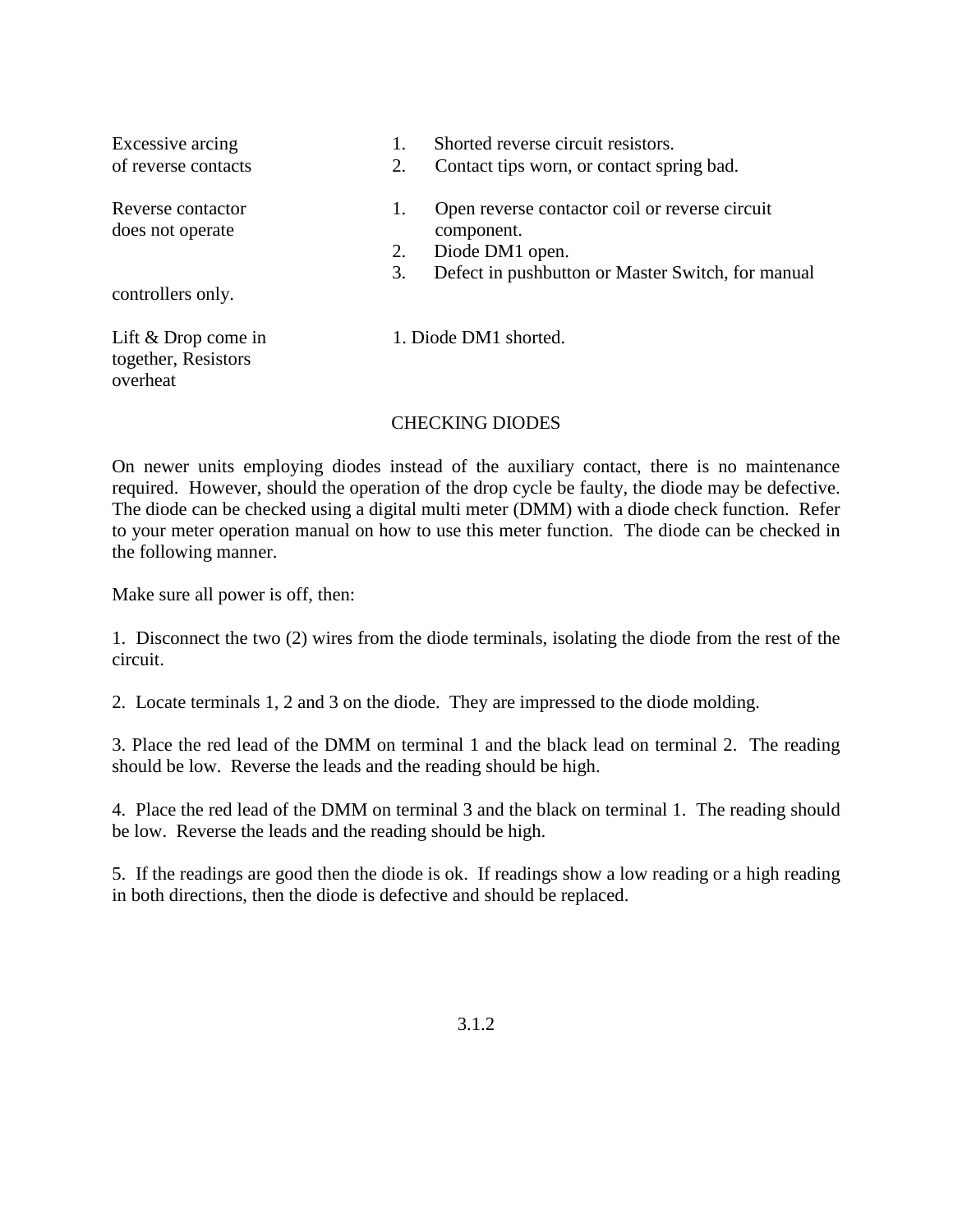| Excessive arcing                                         |    | Shorted reverse circuit resistors.                |
|----------------------------------------------------------|----|---------------------------------------------------|
| of reverse contacts                                      | 2. | Contact tips worn, or contact spring bad.         |
| Reverse contactor                                        | 1. | Open reverse contactor coil or reverse circuit    |
| does not operate                                         |    | component.                                        |
|                                                          | 2. | Diode DM1 open.                                   |
|                                                          | 3. | Defect in pushbutton or Master Switch, for manual |
| controllers only.                                        |    |                                                   |
| Lift $&$ Drop come in<br>together, Resistors<br>overheat |    | 1. Diode DM1 shorted.                             |

### CHECKING DIODES

On newer units employing diodes instead of the auxiliary contact, there is no maintenance required. However, should the operation of the drop cycle be faulty, the diode may be defective. The diode can be checked using a digital multi meter (DMM) with a diode check function. Refer to your meter operation manual on how to use this meter function. The diode can be checked in the following manner.

Make sure all power is off, then:

1. Disconnect the two (2) wires from the diode terminals, isolating the diode from the rest of the circuit.

2. Locate terminals 1, 2 and 3 on the diode. They are impressed to the diode molding.

3. Place the red lead of the DMM on terminal 1 and the black lead on terminal 2. The reading should be low. Reverse the leads and the reading should be high.

4. Place the red lead of the DMM on terminal 3 and the black on terminal 1. The reading should be low. Reverse the leads and the reading should be high.

5. If the readings are good then the diode is ok. If readings show a low reading or a high reading in both directions, then the diode is defective and should be replaced.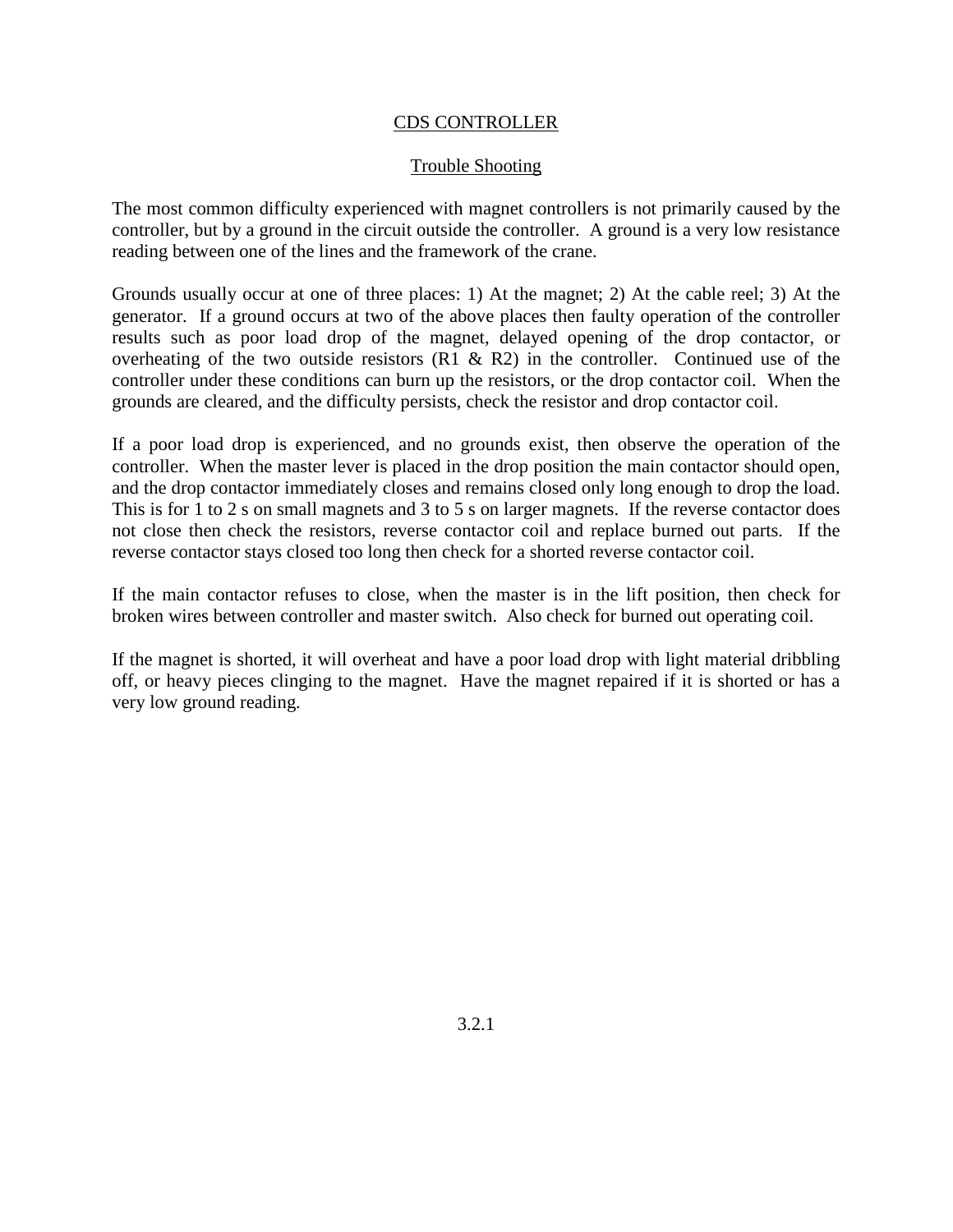### CDS CONTROLLER

### Trouble Shooting

The most common difficulty experienced with magnet controllers is not primarily caused by the controller, but by a ground in the circuit outside the controller. A ground is a very low resistance reading between one of the lines and the framework of the crane.

Grounds usually occur at one of three places: 1) At the magnet; 2) At the cable reel; 3) At the generator. If a ground occurs at two of the above places then faulty operation of the controller results such as poor load drop of the magnet, delayed opening of the drop contactor, or overheating of the two outside resistors  $(R1 \& R2)$  in the controller. Continued use of the controller under these conditions can burn up the resistors, or the drop contactor coil. When the grounds are cleared, and the difficulty persists, check the resistor and drop contactor coil.

If a poor load drop is experienced, and no grounds exist, then observe the operation of the controller. When the master lever is placed in the drop position the main contactor should open, and the drop contactor immediately closes and remains closed only long enough to drop the load. This is for 1 to 2 s on small magnets and 3 to 5 s on larger magnets. If the reverse contactor does not close then check the resistors, reverse contactor coil and replace burned out parts. If the reverse contactor stays closed too long then check for a shorted reverse contactor coil.

If the main contactor refuses to close, when the master is in the lift position, then check for broken wires between controller and master switch. Also check for burned out operating coil.

If the magnet is shorted, it will overheat and have a poor load drop with light material dribbling off, or heavy pieces clinging to the magnet. Have the magnet repaired if it is shorted or has a very low ground reading.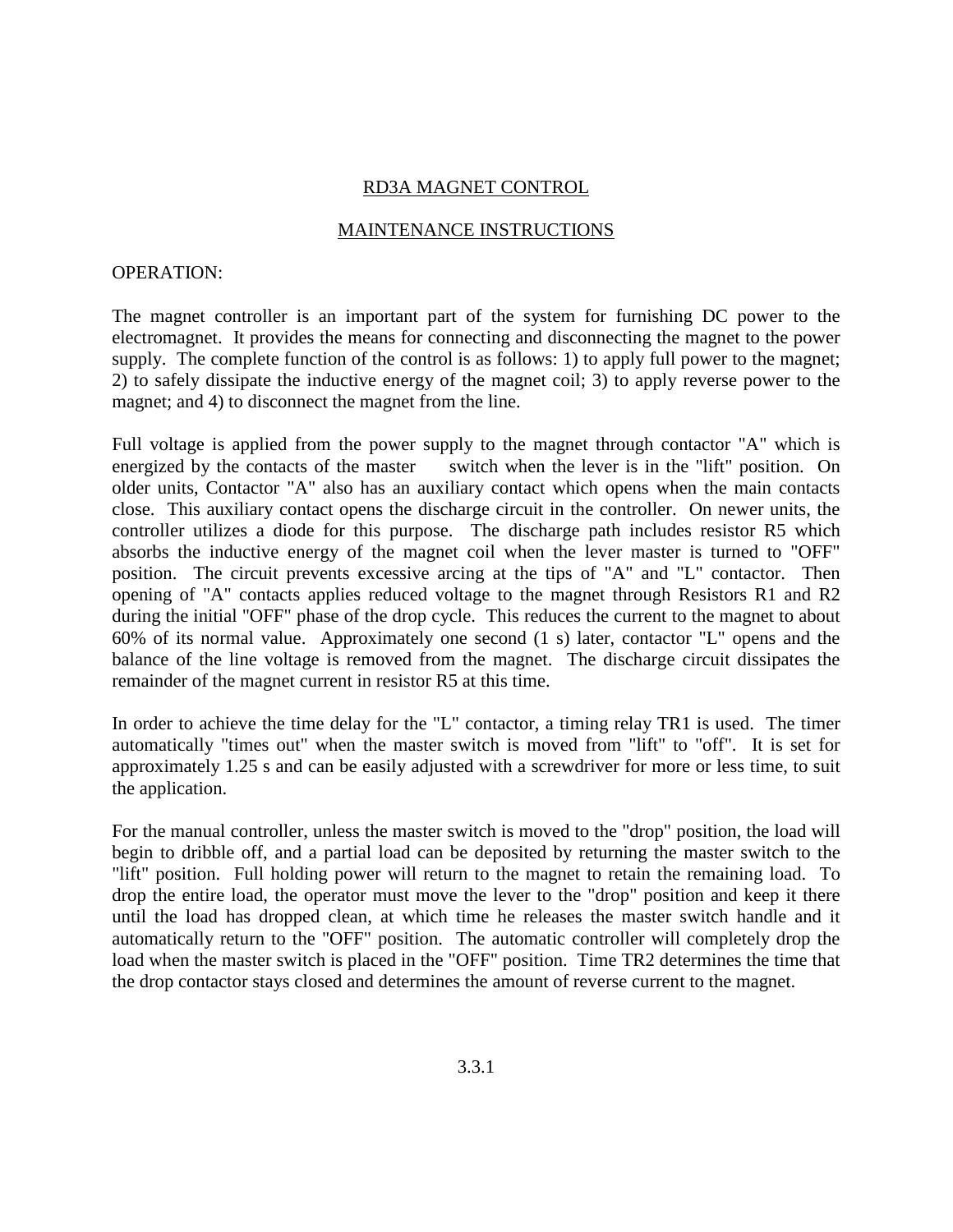### RD3A MAGNET CONTROL

### MAINTENANCE INSTRUCTIONS

### OPERATION:

The magnet controller is an important part of the system for furnishing DC power to the electromagnet. It provides the means for connecting and disconnecting the magnet to the power supply. The complete function of the control is as follows: 1) to apply full power to the magnet; 2) to safely dissipate the inductive energy of the magnet coil; 3) to apply reverse power to the magnet; and 4) to disconnect the magnet from the line.

Full voltage is applied from the power supply to the magnet through contactor "A" which is energized by the contacts of the master switch when the lever is in the "lift" position. On older units, Contactor "A" also has an auxiliary contact which opens when the main contacts close. This auxiliary contact opens the discharge circuit in the controller. On newer units, the controller utilizes a diode for this purpose. The discharge path includes resistor R5 which absorbs the inductive energy of the magnet coil when the lever master is turned to "OFF" position. The circuit prevents excessive arcing at the tips of "A" and "L" contactor. Then opening of "A" contacts applies reduced voltage to the magnet through Resistors R1 and R2 during the initial "OFF" phase of the drop cycle. This reduces the current to the magnet to about 60% of its normal value. Approximately one second (1 s) later, contactor "L" opens and the balance of the line voltage is removed from the magnet. The discharge circuit dissipates the remainder of the magnet current in resistor R5 at this time.

In order to achieve the time delay for the "L" contactor, a timing relay TR1 is used. The timer automatically "times out" when the master switch is moved from "lift" to "off". It is set for approximately 1.25 s and can be easily adjusted with a screwdriver for more or less time, to suit the application.

For the manual controller, unless the master switch is moved to the "drop" position, the load will begin to dribble off, and a partial load can be deposited by returning the master switch to the "lift" position. Full holding power will return to the magnet to retain the remaining load. To drop the entire load, the operator must move the lever to the "drop" position and keep it there until the load has dropped clean, at which time he releases the master switch handle and it automatically return to the "OFF" position. The automatic controller will completely drop the load when the master switch is placed in the "OFF" position. Time TR2 determines the time that the drop contactor stays closed and determines the amount of reverse current to the magnet.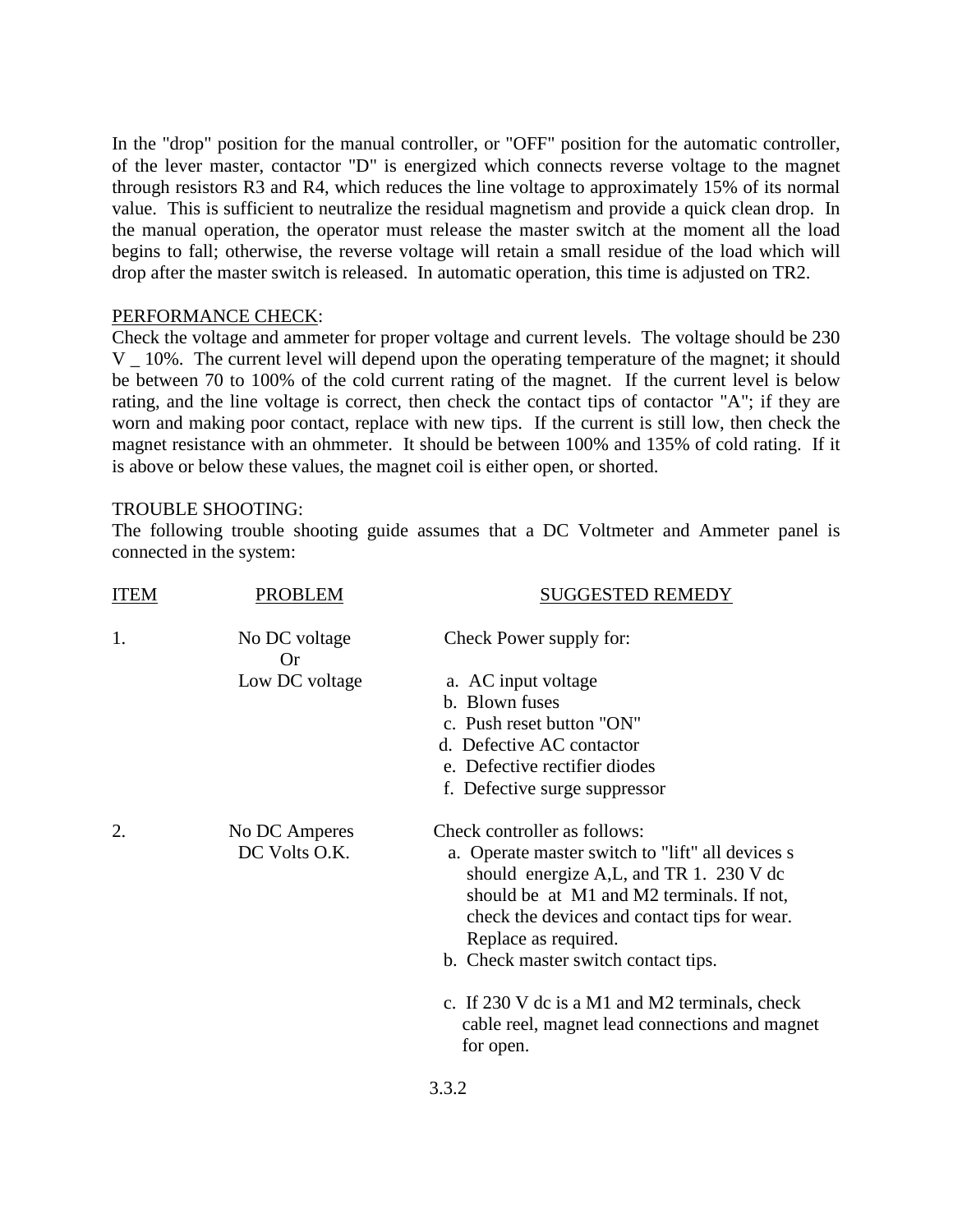In the "drop" position for the manual controller, or "OFF" position for the automatic controller, of the lever master, contactor "D" is energized which connects reverse voltage to the magnet through resistors R3 and R4, which reduces the line voltage to approximately 15% of its normal value. This is sufficient to neutralize the residual magnetism and provide a quick clean drop. In the manual operation, the operator must release the master switch at the moment all the load begins to fall; otherwise, the reverse voltage will retain a small residue of the load which will drop after the master switch is released. In automatic operation, this time is adjusted on TR2.

### PERFORMANCE CHECK:

Check the voltage and ammeter for proper voltage and current levels. The voltage should be 230 V \_ 10%. The current level will depend upon the operating temperature of the magnet; it should be between 70 to 100% of the cold current rating of the magnet. If the current level is below rating, and the line voltage is correct, then check the contact tips of contactor "A"; if they are worn and making poor contact, replace with new tips. If the current is still low, then check the magnet resistance with an ohmmeter. It should be between 100% and 135% of cold rating. If it is above or below these values, the magnet coil is either open, or shorted.

### TROUBLE SHOOTING:

The following trouble shooting guide assumes that a DC Voltmeter and Ammeter panel is connected in the system:

| <b>ITEM</b> | <b>PROBLEM</b>                 | <b>SUGGESTED REMEDY</b>                                                                                                                                                                                                                                                                  |
|-------------|--------------------------------|------------------------------------------------------------------------------------------------------------------------------------------------------------------------------------------------------------------------------------------------------------------------------------------|
| 1.          | No DC voltage<br><b>Or</b>     | Check Power supply for:                                                                                                                                                                                                                                                                  |
|             | Low DC voltage                 | a. AC input voltage                                                                                                                                                                                                                                                                      |
|             |                                | b. Blown fuses                                                                                                                                                                                                                                                                           |
|             |                                | c. Push reset button "ON"                                                                                                                                                                                                                                                                |
|             |                                | d. Defective AC contactor                                                                                                                                                                                                                                                                |
|             |                                | e. Defective rectifier diodes                                                                                                                                                                                                                                                            |
|             |                                | f. Defective surge suppressor                                                                                                                                                                                                                                                            |
| 2.          | No DC Amperes<br>DC Volts O.K. | Check controller as follows:<br>a. Operate master switch to "lift" all devices s<br>should energize A,L, and TR 1. 230 V dc<br>should be at M1 and M2 terminals. If not,<br>check the devices and contact tips for wear.<br>Replace as required.<br>b. Check master switch contact tips. |
|             |                                | c. If 230 V dc is a M1 and M2 terminals, check<br>cable reel, magnet lead connections and magnet<br>for open.                                                                                                                                                                            |
|             |                                |                                                                                                                                                                                                                                                                                          |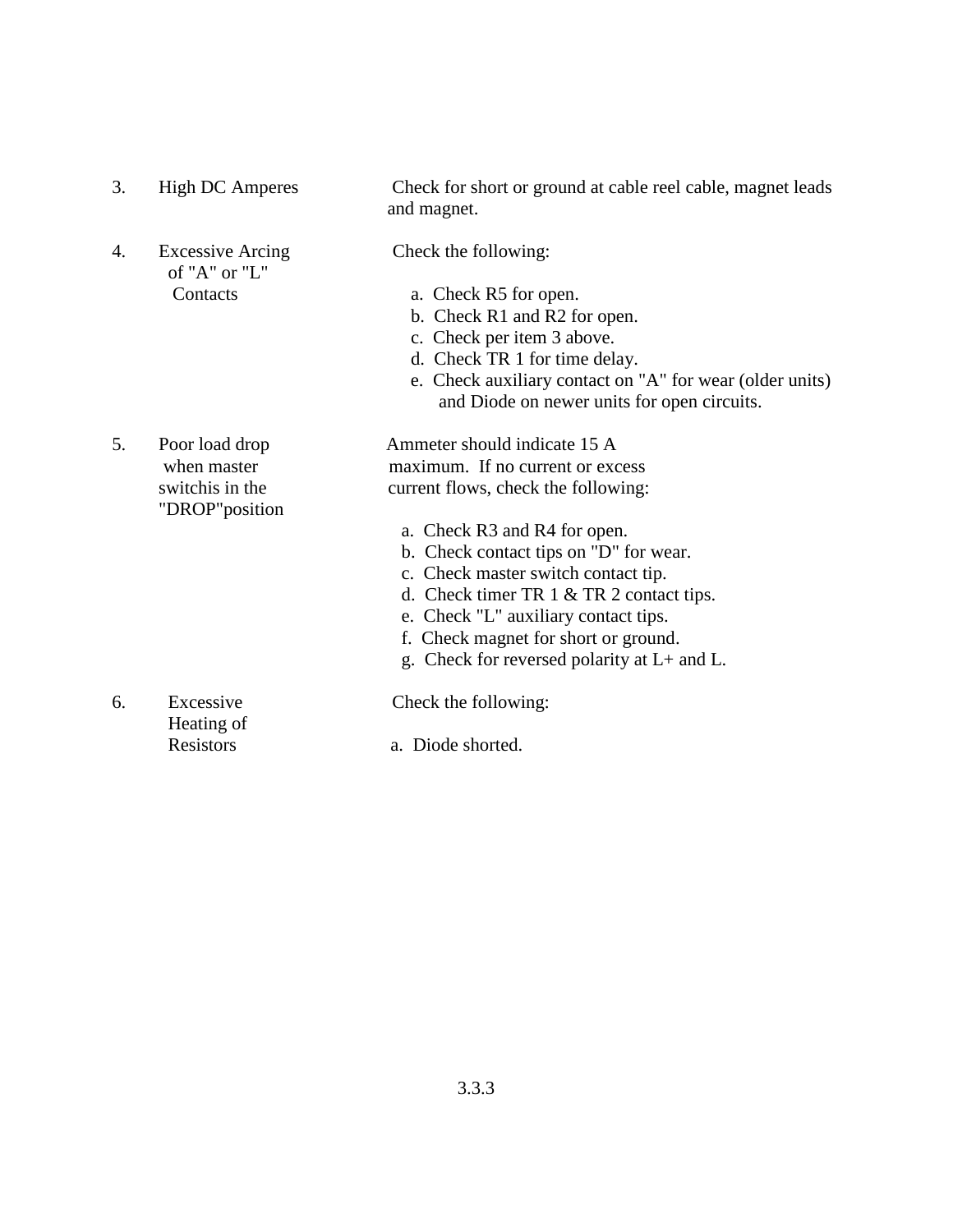| 3. | <b>High DC Amperes</b>                   | Check for short or ground at cable reel cable, magnet leads<br>and magnet.                              |
|----|------------------------------------------|---------------------------------------------------------------------------------------------------------|
| 4. | <b>Excessive Arcing</b><br>of "A" or "L" | Check the following:                                                                                    |
|    | Contacts                                 | a. Check R5 for open.                                                                                   |
|    |                                          | b. Check R1 and R2 for open.                                                                            |
|    |                                          | c. Check per item 3 above.                                                                              |
|    |                                          | d. Check TR 1 for time delay.                                                                           |
|    |                                          | e. Check auxiliary contact on "A" for wear (older units)<br>and Diode on newer units for open circuits. |
| 5. | Poor load drop                           | Ammeter should indicate 15 A                                                                            |
|    | when master                              | maximum. If no current or excess                                                                        |
|    | switchis in the<br>"DROP" position       | current flows, check the following:                                                                     |
|    |                                          | a. Check R3 and R4 for open.                                                                            |
|    |                                          | b. Check contact tips on "D" for wear.                                                                  |
|    |                                          | c. Check master switch contact tip.                                                                     |
|    |                                          | d. Check timer TR $1 < TR$ 2 contact tips.                                                              |
|    |                                          | e. Check "L" auxiliary contact tips.                                                                    |
|    |                                          | f. Check magnet for short or ground.                                                                    |
|    |                                          | g. Check for reversed polarity at $L+$ and $L$ .                                                        |
| 6. | Excessive<br>Heating of                  | Check the following:                                                                                    |
|    | Resistors                                | a. Diode shorted.                                                                                       |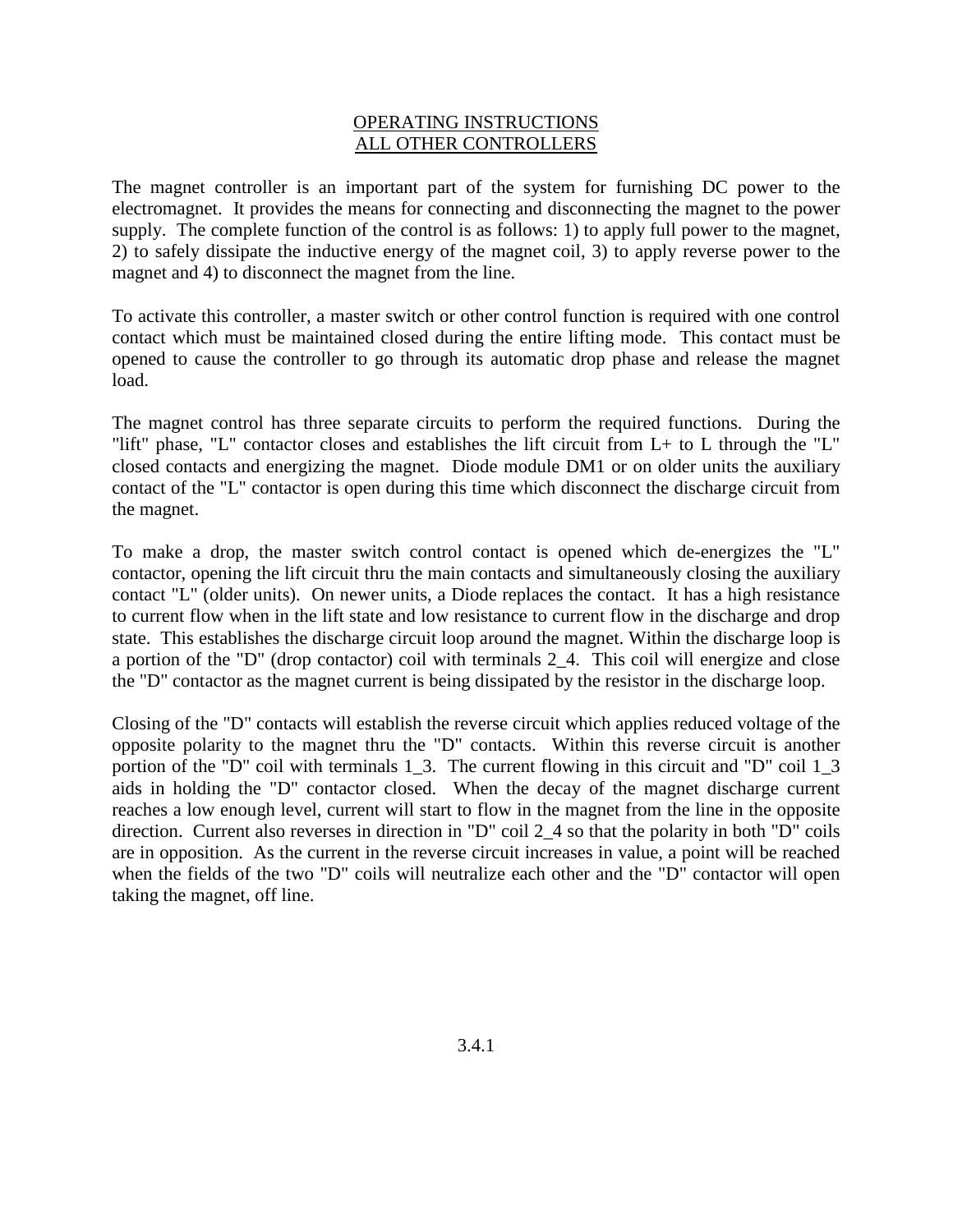### OPERATING INSTRUCTIONS ALL OTHER CONTROLLERS

The magnet controller is an important part of the system for furnishing DC power to the electromagnet. It provides the means for connecting and disconnecting the magnet to the power supply. The complete function of the control is as follows: 1) to apply full power to the magnet, 2) to safely dissipate the inductive energy of the magnet coil, 3) to apply reverse power to the magnet and 4) to disconnect the magnet from the line.

To activate this controller, a master switch or other control function is required with one control contact which must be maintained closed during the entire lifting mode. This contact must be opened to cause the controller to go through its automatic drop phase and release the magnet load.

The magnet control has three separate circuits to perform the required functions. During the "lift" phase, "L" contactor closes and establishes the lift circuit from L+ to L through the "L" closed contacts and energizing the magnet. Diode module DM1 or on older units the auxiliary contact of the "L" contactor is open during this time which disconnect the discharge circuit from the magnet.

To make a drop, the master switch control contact is opened which de-energizes the "L" contactor, opening the lift circuit thru the main contacts and simultaneously closing the auxiliary contact "L" (older units). On newer units, a Diode replaces the contact. It has a high resistance to current flow when in the lift state and low resistance to current flow in the discharge and drop state. This establishes the discharge circuit loop around the magnet. Within the discharge loop is a portion of the "D" (drop contactor) coil with terminals 2\_4. This coil will energize and close the "D" contactor as the magnet current is being dissipated by the resistor in the discharge loop.

Closing of the "D" contacts will establish the reverse circuit which applies reduced voltage of the opposite polarity to the magnet thru the "D" contacts. Within this reverse circuit is another portion of the "D" coil with terminals 1\_3. The current flowing in this circuit and "D" coil 1\_3 aids in holding the "D" contactor closed. When the decay of the magnet discharge current reaches a low enough level, current will start to flow in the magnet from the line in the opposite direction. Current also reverses in direction in "D" coil 2\_4 so that the polarity in both "D" coils are in opposition. As the current in the reverse circuit increases in value, a point will be reached when the fields of the two "D" coils will neutralize each other and the "D" contactor will open taking the magnet, off line.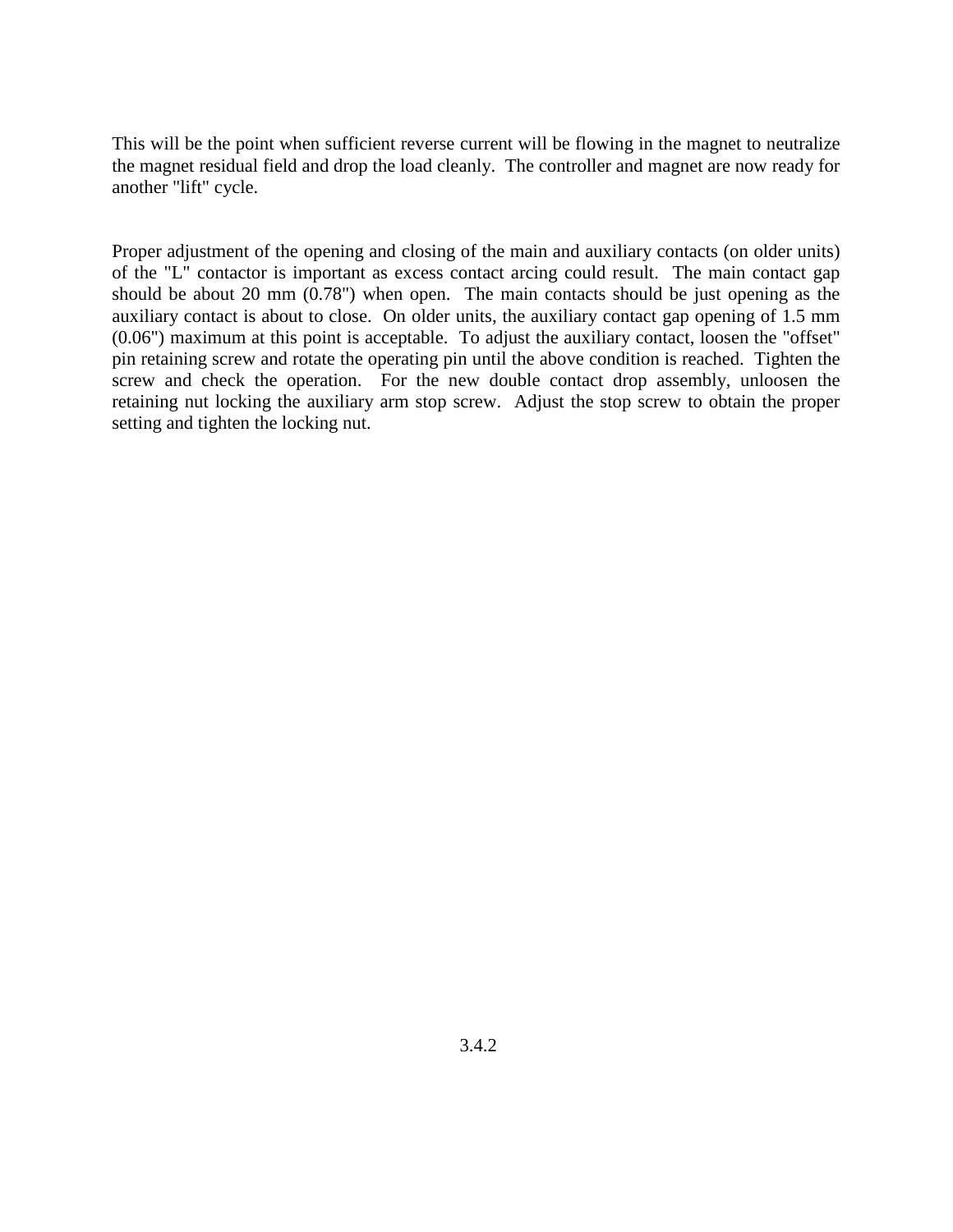This will be the point when sufficient reverse current will be flowing in the magnet to neutralize the magnet residual field and drop the load cleanly. The controller and magnet are now ready for another "lift" cycle.

Proper adjustment of the opening and closing of the main and auxiliary contacts (on older units) of the "L" contactor is important as excess contact arcing could result. The main contact gap should be about 20 mm (0.78") when open. The main contacts should be just opening as the auxiliary contact is about to close. On older units, the auxiliary contact gap opening of 1.5 mm (0.06") maximum at this point is acceptable. To adjust the auxiliary contact, loosen the "offset" pin retaining screw and rotate the operating pin until the above condition is reached. Tighten the screw and check the operation. For the new double contact drop assembly, unloosen the retaining nut locking the auxiliary arm stop screw. Adjust the stop screw to obtain the proper setting and tighten the locking nut.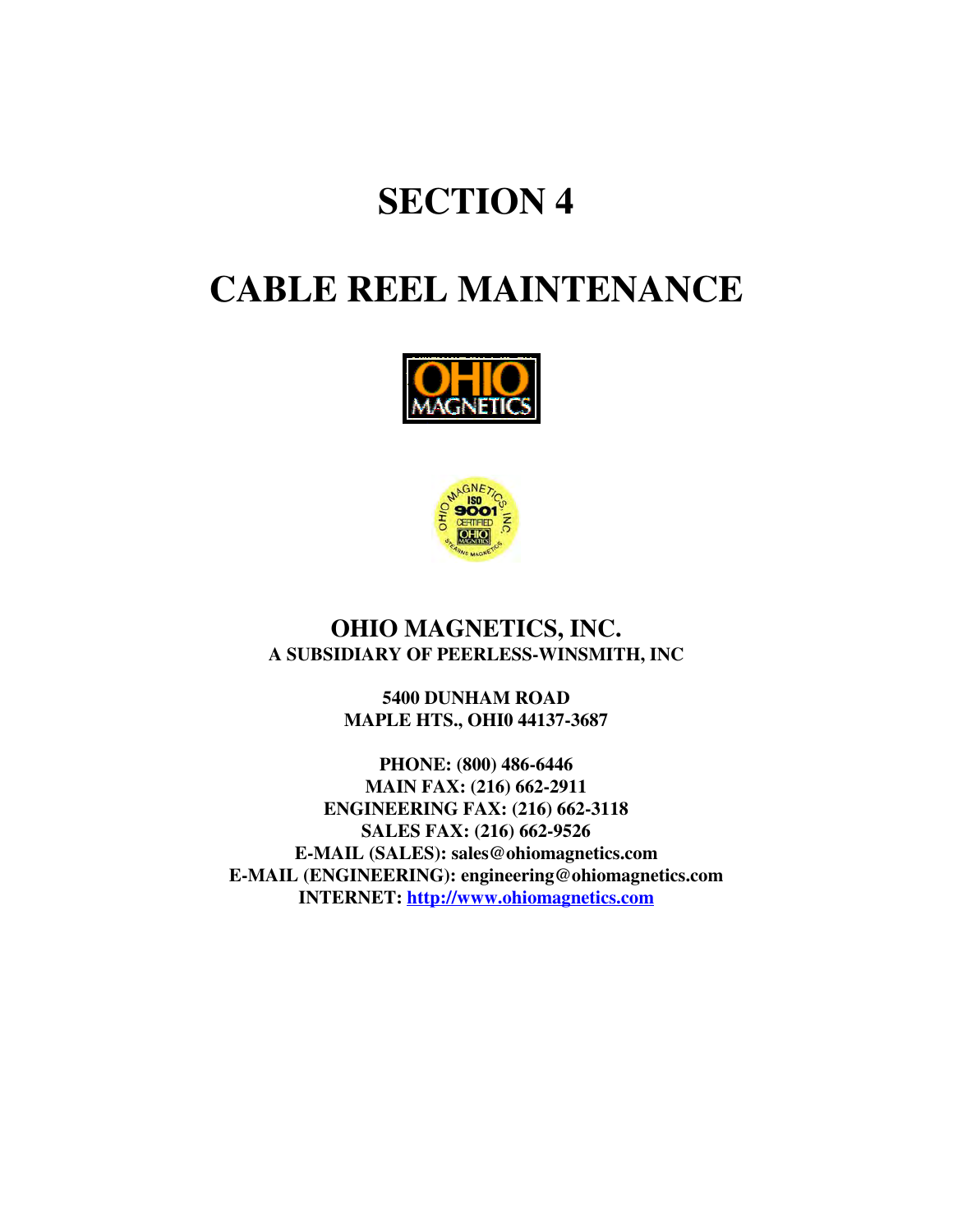# **SECTION 4**

# **CABLE REEL MAINTENANCE**





### **OHIO MAGNETICS, INC. A SUBSIDIARY OF PEERLESS-WINSMITH, INC**

**5400 DUNHAM ROAD MAPLE HTS., OHI0 44137-3687**

**PHONE: (800) 486-6446 MAIN FAX: (216) 662-2911 ENGINEERING FAX: (216) 662-3118 SALES FAX: (216) 662-9526 E-MAIL (SALES): sales@ohiomagnetics.com E-MAIL (ENGINEERING): engineering@ohiomagnetics.com INTERNET: http://www.ohiomagnetics.com**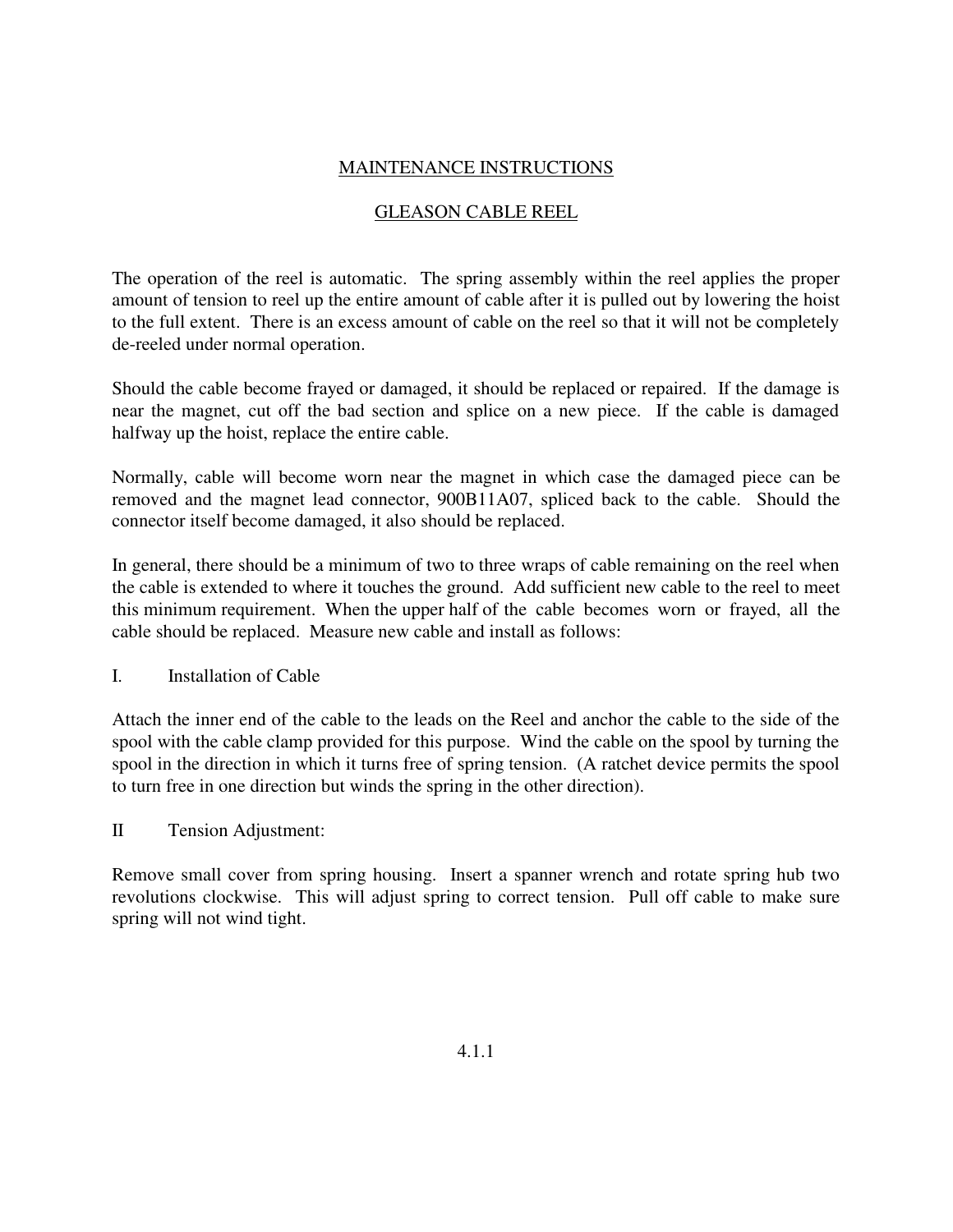### MAINTENANCE INSTRUCTIONS

### GLEASON CABLE REEL

The operation of the reel is automatic. The spring assembly within the reel applies the proper amount of tension to reel up the entire amount of cable after it is pulled out by lowering the hoist to the full extent. There is an excess amount of cable on the reel so that it will not be completely de-reeled under normal operation.

Should the cable become frayed or damaged, it should be replaced or repaired. If the damage is near the magnet, cut off the bad section and splice on a new piece. If the cable is damaged halfway up the hoist, replace the entire cable.

Normally, cable will become worn near the magnet in which case the damaged piece can be removed and the magnet lead connector, 900B11A07, spliced back to the cable. Should the connector itself become damaged, it also should be replaced.

In general, there should be a minimum of two to three wraps of cable remaining on the reel when the cable is extended to where it touches the ground. Add sufficient new cable to the reel to meet this minimum requirement. When the upper half of the cable becomes worn or frayed, all the cable should be replaced. Measure new cable and install as follows:

I. Installation of Cable

Attach the inner end of the cable to the leads on the Reel and anchor the cable to the side of the spool with the cable clamp provided for this purpose. Wind the cable on the spool by turning the spool in the direction in which it turns free of spring tension. (A ratchet device permits the spool to turn free in one direction but winds the spring in the other direction).

II Tension Adjustment:

Remove small cover from spring housing. Insert a spanner wrench and rotate spring hub two revolutions clockwise. This will adjust spring to correct tension. Pull off cable to make sure spring will not wind tight.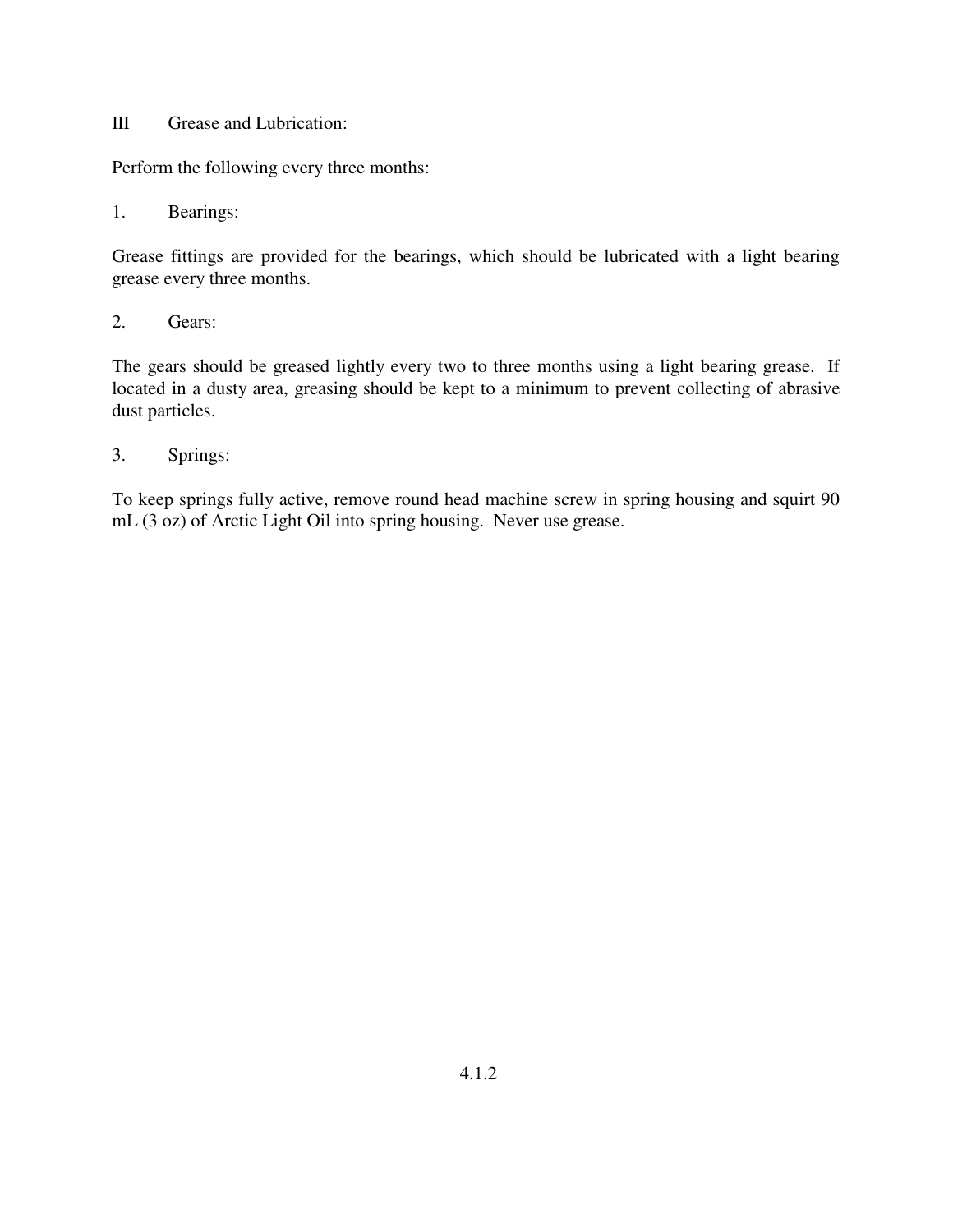### III Grease and Lubrication:

Perform the following every three months:

1. Bearings:

Grease fittings are provided for the bearings, which should be lubricated with a light bearing grease every three months.

2. Gears:

The gears should be greased lightly every two to three months using a light bearing grease. If located in a dusty area, greasing should be kept to a minimum to prevent collecting of abrasive dust particles.

3. Springs:

To keep springs fully active, remove round head machine screw in spring housing and squirt 90 mL (3 oz) of Arctic Light Oil into spring housing. Never use grease.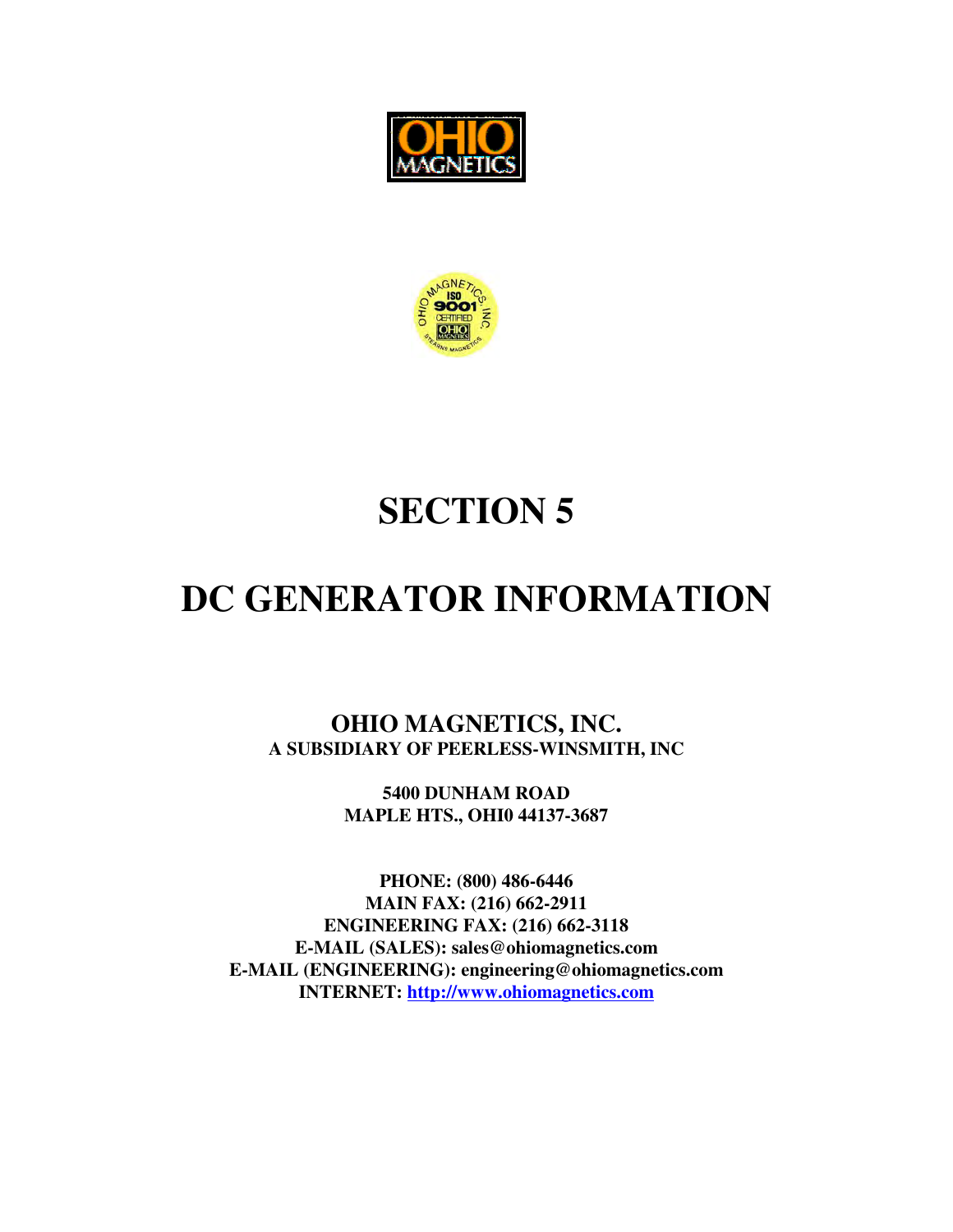



# **SECTION 5**

# DC GENERATOR INFORMATION

OHIO MAGNETICS, INC. A SUBSIDIARY OF PEERLESS-WINSMITH, INC

> 5400 DUNHAM ROAD **MAPLE HTS., OHI0 44137-3687**

PHONE: (800) 486-6446 **MAIN FAX: (216) 662-2911 ENGINEERING FAX: (216) 662-3118** E-MAIL (SALES): sales@ohiomagnetics.com E-MAIL (ENGINEERING): engineering@ohiomagnetics.com **INTERNET:** http://www.ohiomagnetics.com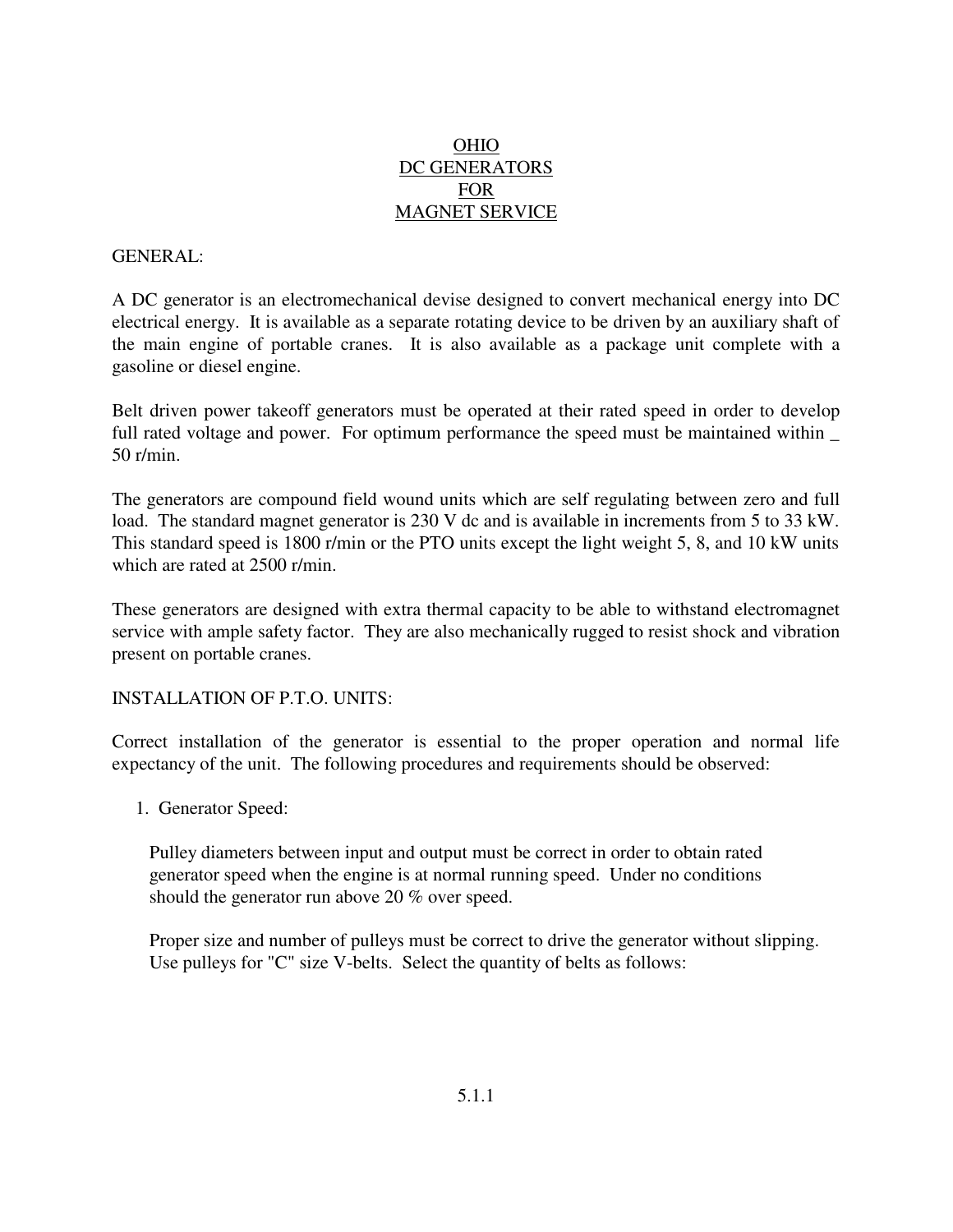### **OHIO** DC GENERATORS **FOR MAGNET SERVICE**

### **GENERAL:**

A DC generator is an electromechanical devise designed to convert mechanical energy into DC electrical energy. It is available as a separate rotating device to be driven by an auxiliary shaft of the main engine of portable cranes. It is also available as a package unit complete with a gasoline or diesel engine.

Belt driven power takeoff generators must be operated at their rated speed in order to develop full rated voltage and power. For optimum performance the speed must be maintained within \_  $50$  r/min.

The generators are compound field wound units which are self regulating between zero and full load. The standard magnet generator is 230 V dc and is available in increments from 5 to 33 kW. This standard speed is 1800 r/min or the PTO units except the light weight 5, 8, and 10 kW units which are rated at 2500 r/min.

These generators are designed with extra thermal capacity to be able to withstand electromagnet service with ample safety factor. They are also mechanically rugged to resist shock and vibration present on portable cranes.

### **INSTALLATION OF P.T.O. UNITS:**

Correct installation of the generator is essential to the proper operation and normal life expectancy of the unit. The following procedures and requirements should be observed:

1. Generator Speed:

Pulley diameters between input and output must be correct in order to obtain rated generator speed when the engine is at normal running speed. Under no conditions should the generator run above 20 % over speed.

Proper size and number of pulleys must be correct to drive the generator without slipping. Use pulleys for "C" size V-belts. Select the quantity of belts as follows: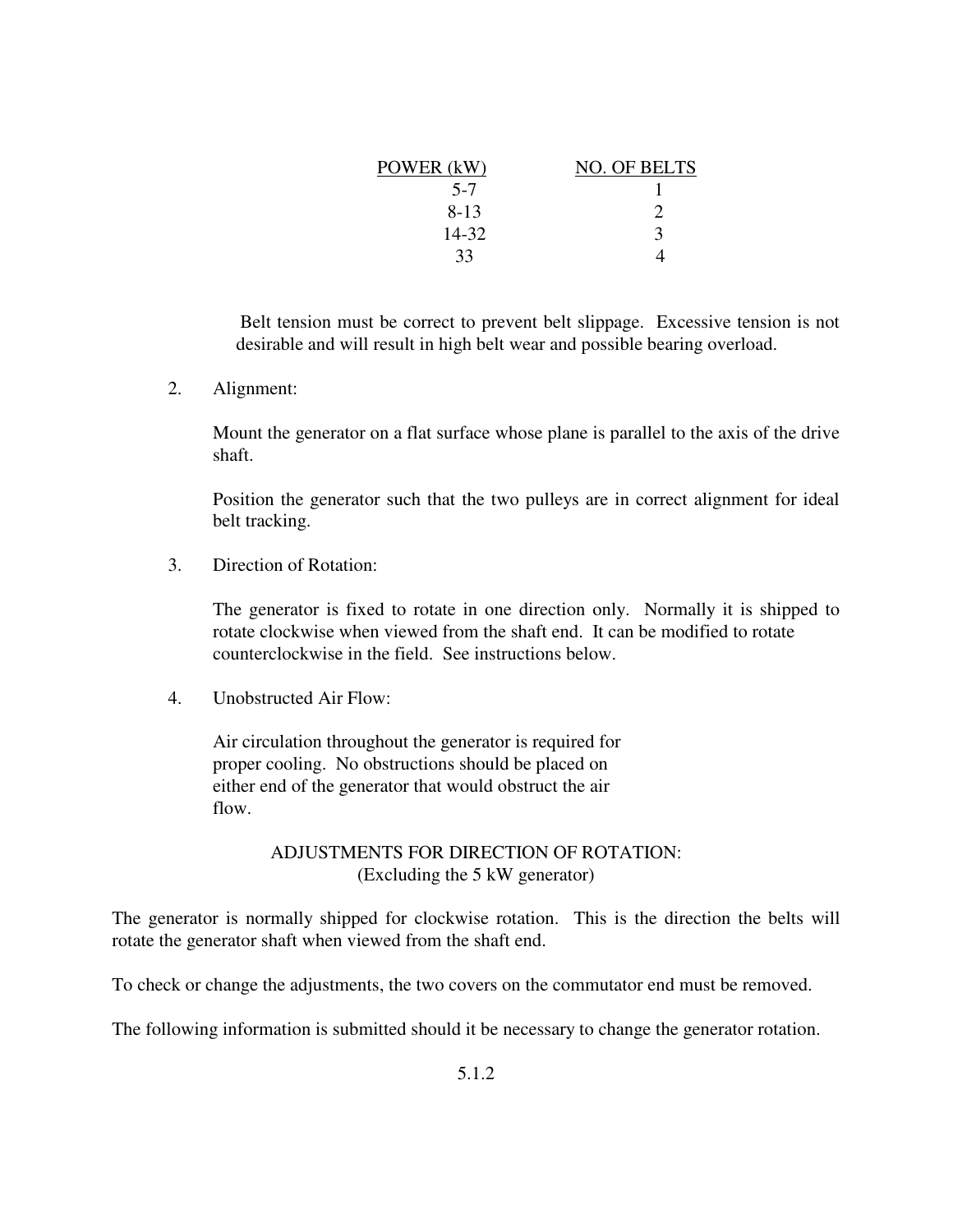| POWER (kW) | NO. OF BELTS |
|------------|--------------|
| $5 - 7$    |              |
| $8-13$     |              |
| 14-32      | $\mathbf 3$  |
| 33         |              |

Belt tension must be correct to prevent belt slippage. Excessive tension is not desirable and will result in high belt wear and possible bearing overload.

 $2.$ Alignment:

> Mount the generator on a flat surface whose plane is parallel to the axis of the drive shaft.

> Position the generator such that the two pulleys are in correct alignment for ideal belt tracking.

 $3.$ Direction of Rotation:

> The generator is fixed to rotate in one direction only. Normally it is shipped to rotate clockwise when viewed from the shaft end. It can be modified to rotate counterclockwise in the field. See instructions below.

 $\overline{4}$ Unobstructed Air Flow:

> Air circulation throughout the generator is required for proper cooling. No obstructions should be placed on either end of the generator that would obstruct the air flow.

### ADJUSTMENTS FOR DIRECTION OF ROTATION: (Excluding the 5 kW generator)

The generator is normally shipped for clockwise rotation. This is the direction the belts will rotate the generator shaft when viewed from the shaft end.

To check or change the adjustments, the two covers on the commutator end must be removed.

The following information is submitted should it be necessary to change the generator rotation.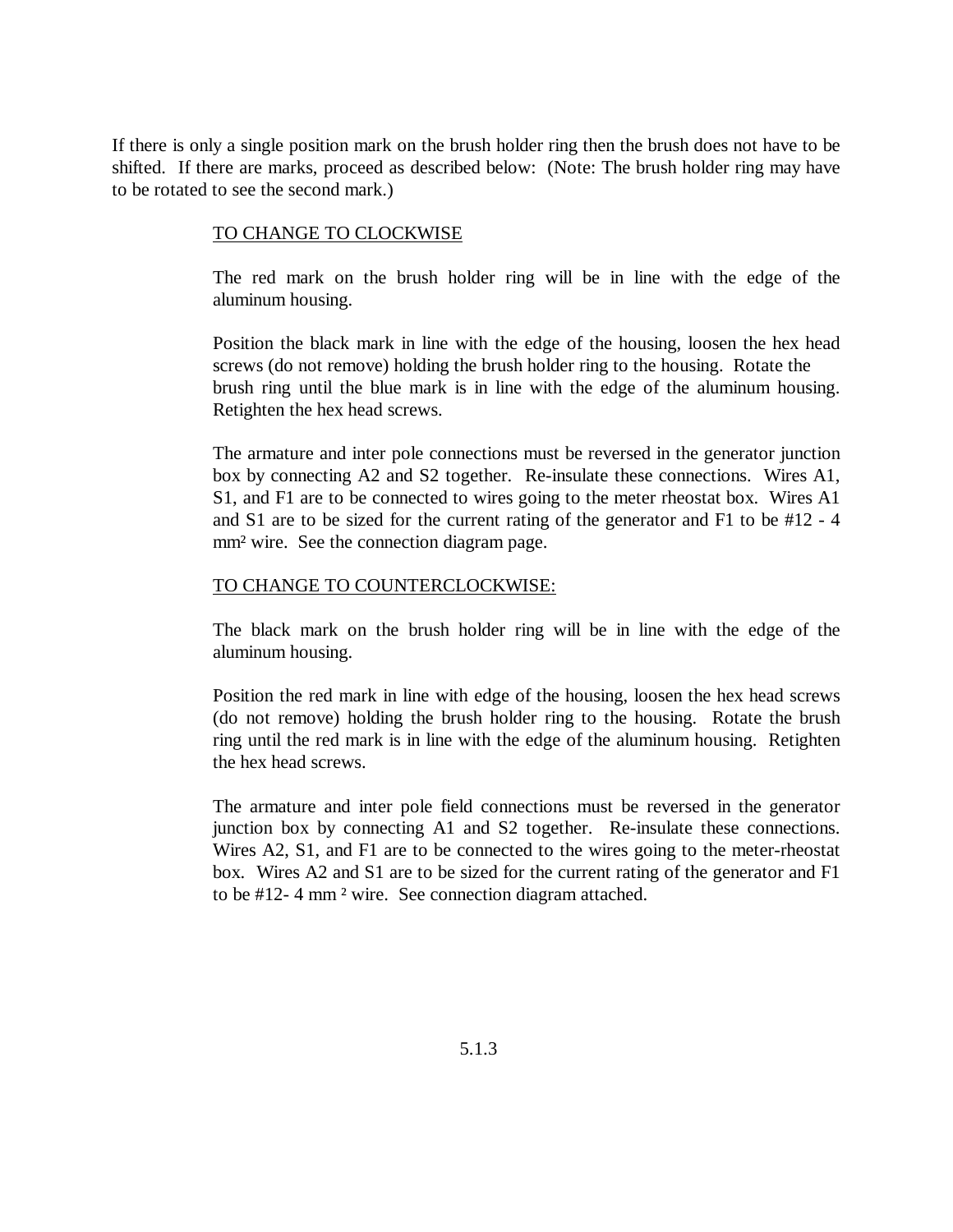If there is only a single position mark on the brush holder ring then the brush does not have to be shifted. If there are marks, proceed as described below: (Note: The brush holder ring may have to be rotated to see the second mark.)

### TO CHANGE TO CLOCKWISE

The red mark on the brush holder ring will be in line with the edge of the aluminum housing.

Position the black mark in line with the edge of the housing, loosen the hex head screws (do not remove) holding the brush holder ring to the housing. Rotate the brush ring until the blue mark is in line with the edge of the aluminum housing. Retighten the hex head screws.

The armature and inter pole connections must be reversed in the generator junction box by connecting A2 and S2 together. Re-insulate these connections. Wires A1, S1, and F1 are to be connected to wires going to the meter rheostat box. Wires A1 and S1 are to be sized for the current rating of the generator and F1 to be #12 - 4 mm<sup>2</sup> wire. See the connection diagram page.

### TO CHANGE TO COUNTERCLOCKWISE:

The black mark on the brush holder ring will be in line with the edge of the aluminum housing.

Position the red mark in line with edge of the housing, loosen the hex head screws (do not remove) holding the brush holder ring to the housing. Rotate the brush ring until the red mark is in line with the edge of the aluminum housing. Retighten the hex head screws.

The armature and inter pole field connections must be reversed in the generator junction box by connecting A1 and S2 together. Re-insulate these connections. Wires A2, S1, and F1 are to be connected to the wires going to the meter-rheostat box. Wires A2 and S1 are to be sized for the current rating of the generator and F1 to be #12-4 mm<sup>2</sup> wire. See connection diagram attached.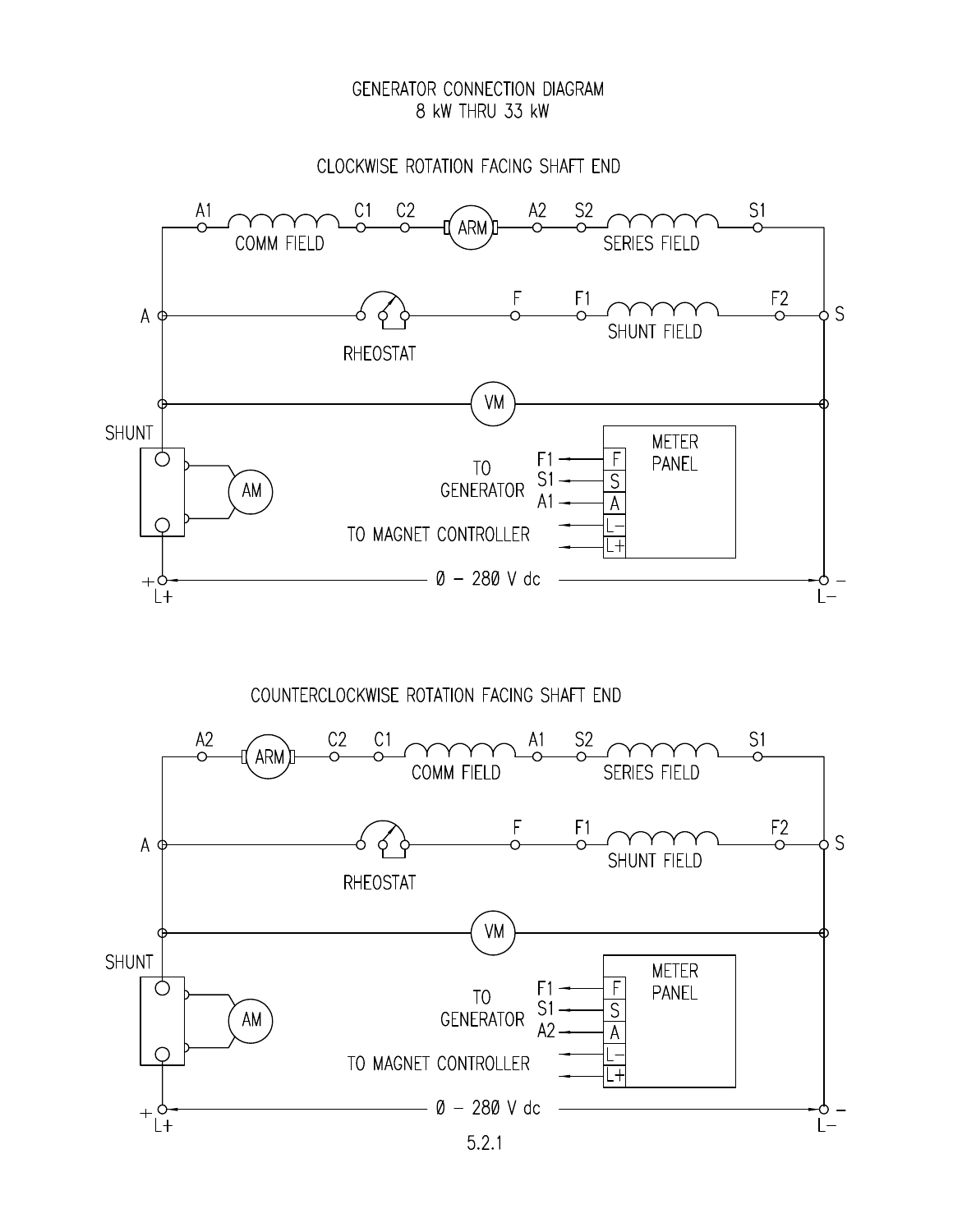### GENERATOR CONNECTION DIAGRAM 8 kW THRU 33 kW

CLOCKWISE ROTATION FACING SHAFT END



COUNTERCLOCKWISE ROTATION FACING SHAFT END

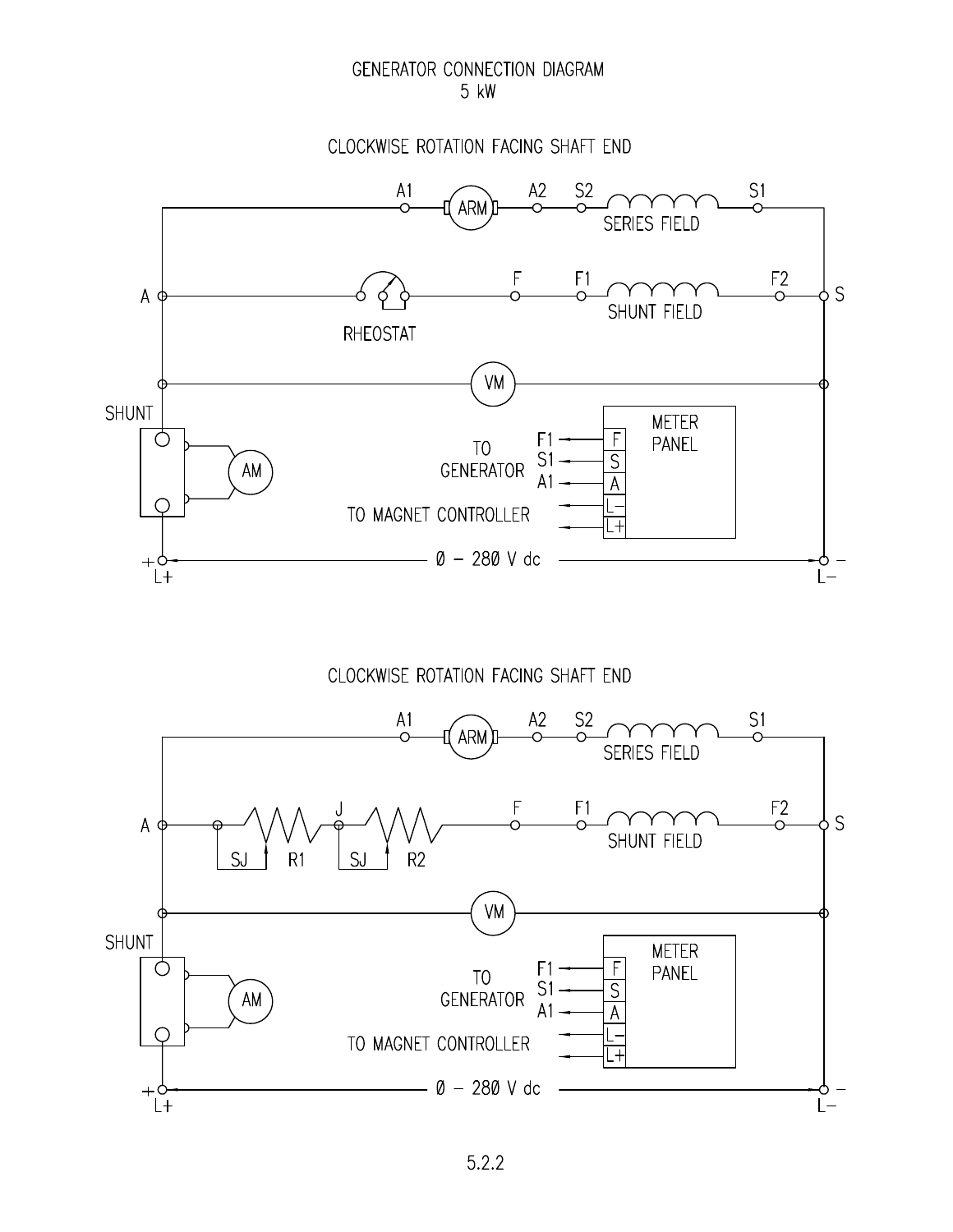### GENERATOR CONNECTION DIAGRAM 5 kW

### CLOCKWISE ROTATION FACING SHAFT END



### CLOCKWISE ROTATION FACING SHAFT END

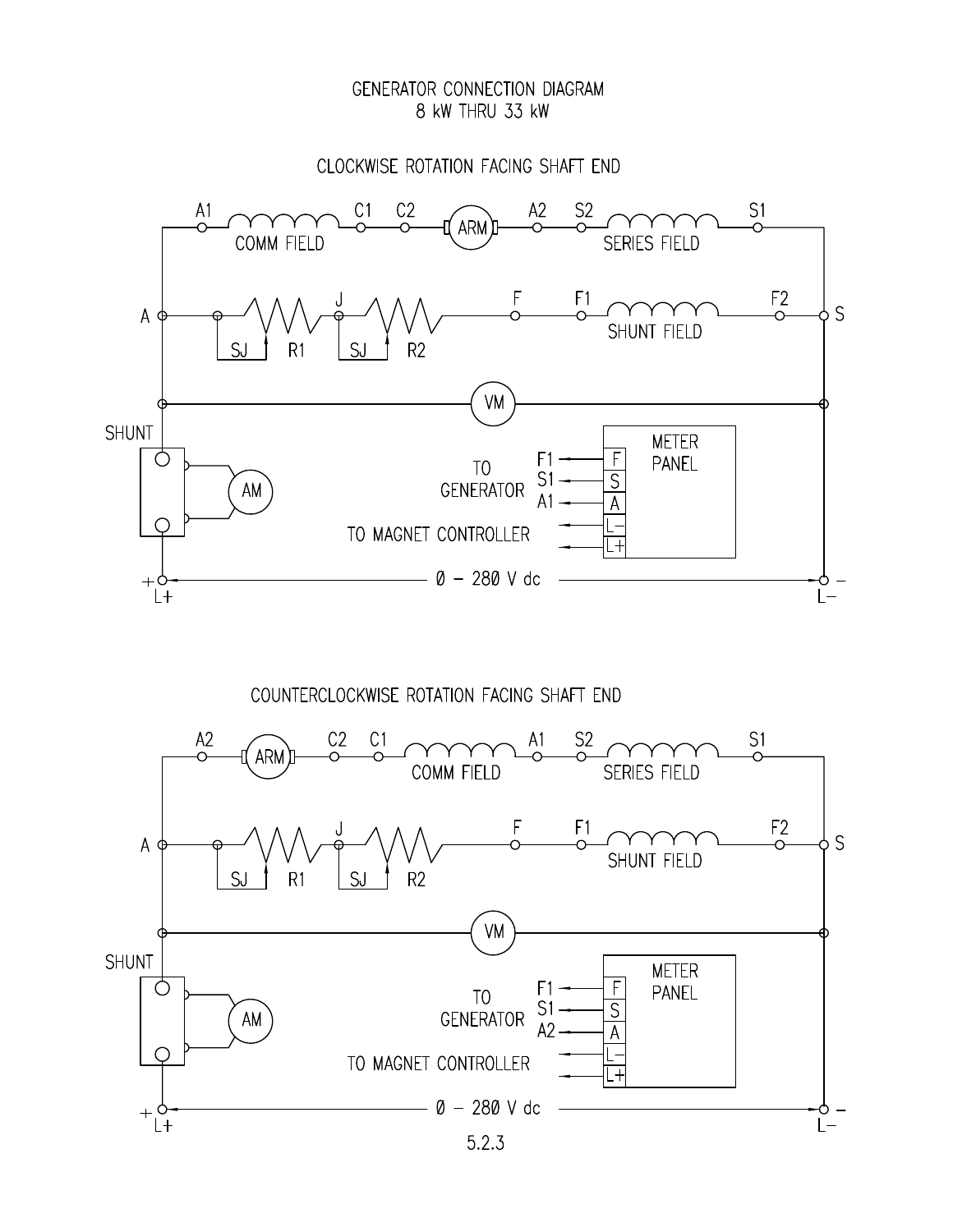### GENERATOR CONNECTION DIAGRAM 8 kW THRU 33 kW

CLOCKWISE ROTATION FACING SHAFT END



COUNTERCLOCKWISE ROTATION FACING SHAFT END

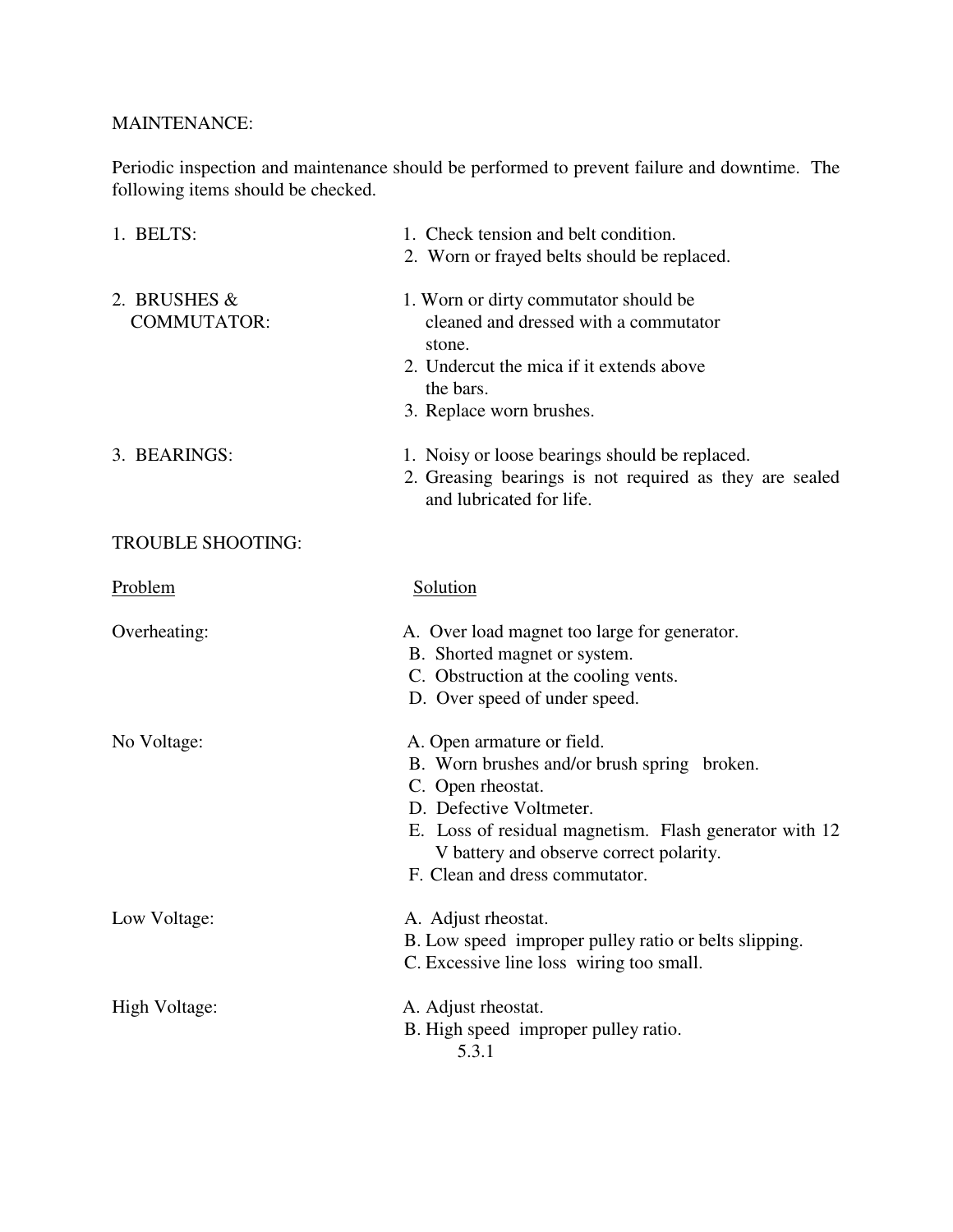### **MAINTENANCE:**

Periodic inspection and maintenance should be performed to prevent failure and downtime. The following items should be checked.

| 1. BELTS:                          | 1. Check tension and belt condition.<br>2. Worn or frayed belts should be replaced.                                                                                                                                                                              |
|------------------------------------|------------------------------------------------------------------------------------------------------------------------------------------------------------------------------------------------------------------------------------------------------------------|
| 2. BRUSHES &<br><b>COMMUTATOR:</b> | 1. Worn or dirty commutator should be<br>cleaned and dressed with a commutator<br>stone.<br>2. Undercut the mica if it extends above<br>the bars.<br>3. Replace worn brushes.                                                                                    |
| 3. BEARINGS:                       | 1. Noisy or loose bearings should be replaced.<br>2. Greasing bearings is not required as they are sealed<br>and lubricated for life.                                                                                                                            |
| <b>TROUBLE SHOOTING:</b>           |                                                                                                                                                                                                                                                                  |
| Problem                            | Solution                                                                                                                                                                                                                                                         |
| Overheating:                       | A. Over load magnet too large for generator.<br>B. Shorted magnet or system.<br>C. Obstruction at the cooling vents.<br>D. Over speed of under speed.                                                                                                            |
| No Voltage:                        | A. Open armature or field.<br>B. Worn brushes and/or brush spring broken.<br>C. Open rheostat.<br>D. Defective Voltmeter.<br>E. Loss of residual magnetism. Flash generator with 12<br>V battery and observe correct polarity.<br>F. Clean and dress commutator. |
| Low Voltage:                       | A. Adjust rheostat.<br>B. Low speed improper pulley ratio or belts slipping.<br>C. Excessive line loss wiring too small.                                                                                                                                         |
| High Voltage:                      | A. Adjust rheostat.<br>B. High speed improper pulley ratio.<br>5.3.1                                                                                                                                                                                             |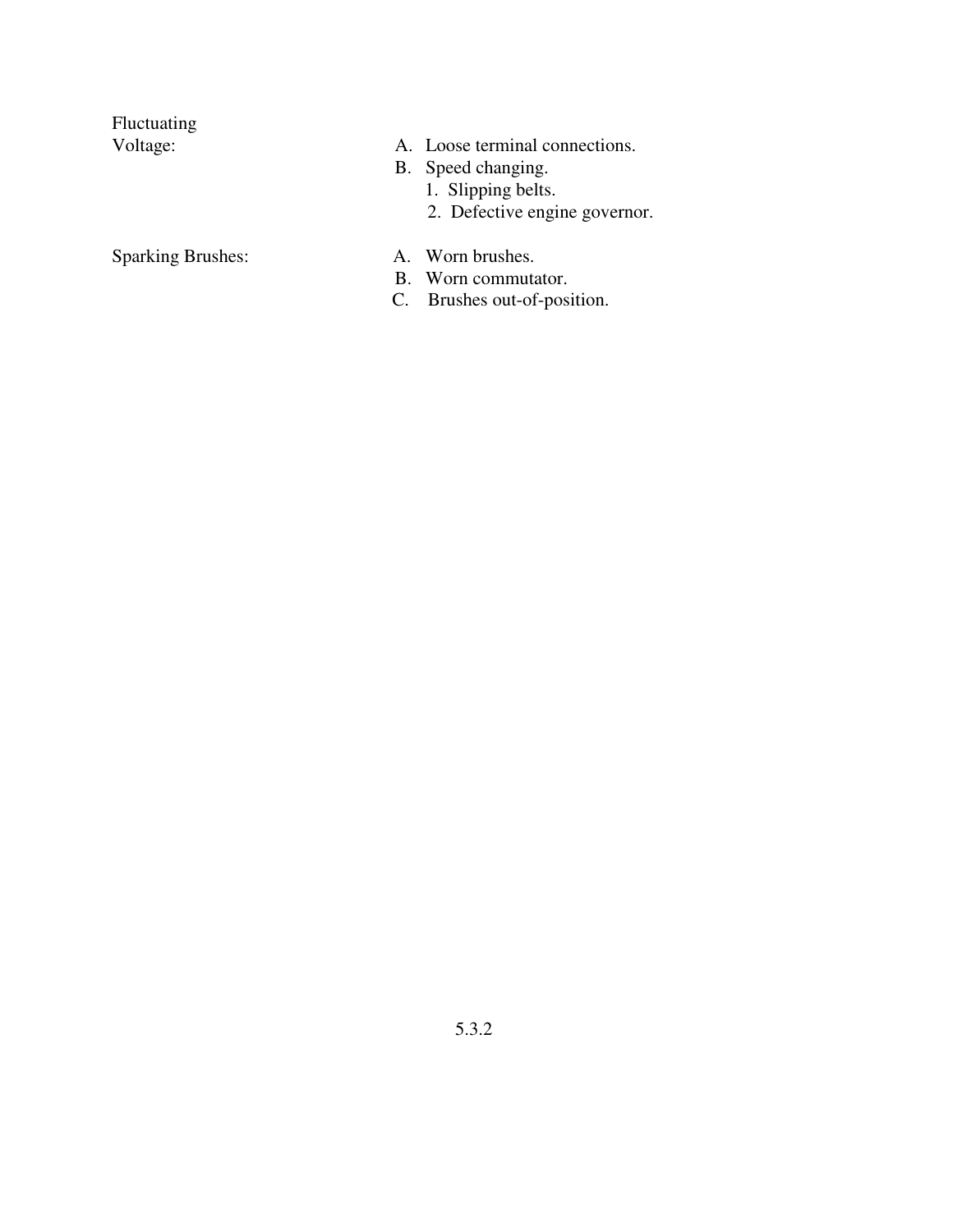Fluctuating Voltage:

- A. Loose terminal connections.
- B. Speed changing.
	-
	- 1. Slipping belts.<br>2. Defective engine governor.

**Sparking Brushes:** 

- A. Worn brushes.
- B. Worn commutator.
- C. Brushes out-of-position.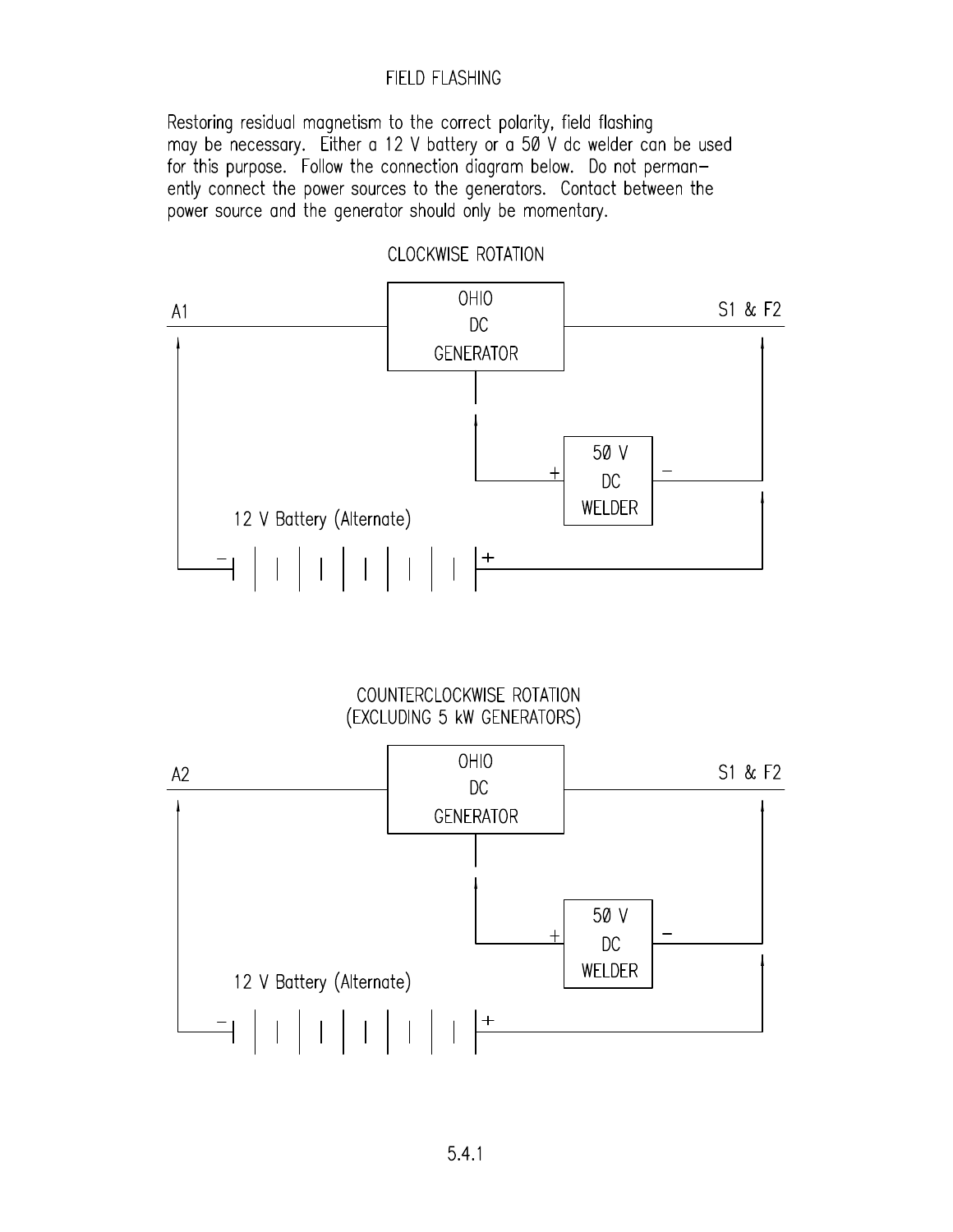### FIELD FLASHING

Restoring residual magnetism to the correct polarity, field flashing may be necessary. Either a 12 V battery or a 50 V dc welder can be used for this purpose. Follow the connection diagram below. Do not permanently connect the power sources to the generators. Contact between the power source and the generator should only be momentary.



COUNTERCLOCKWISE ROTATION (EXCLUDING 5 kW GENERATORS)

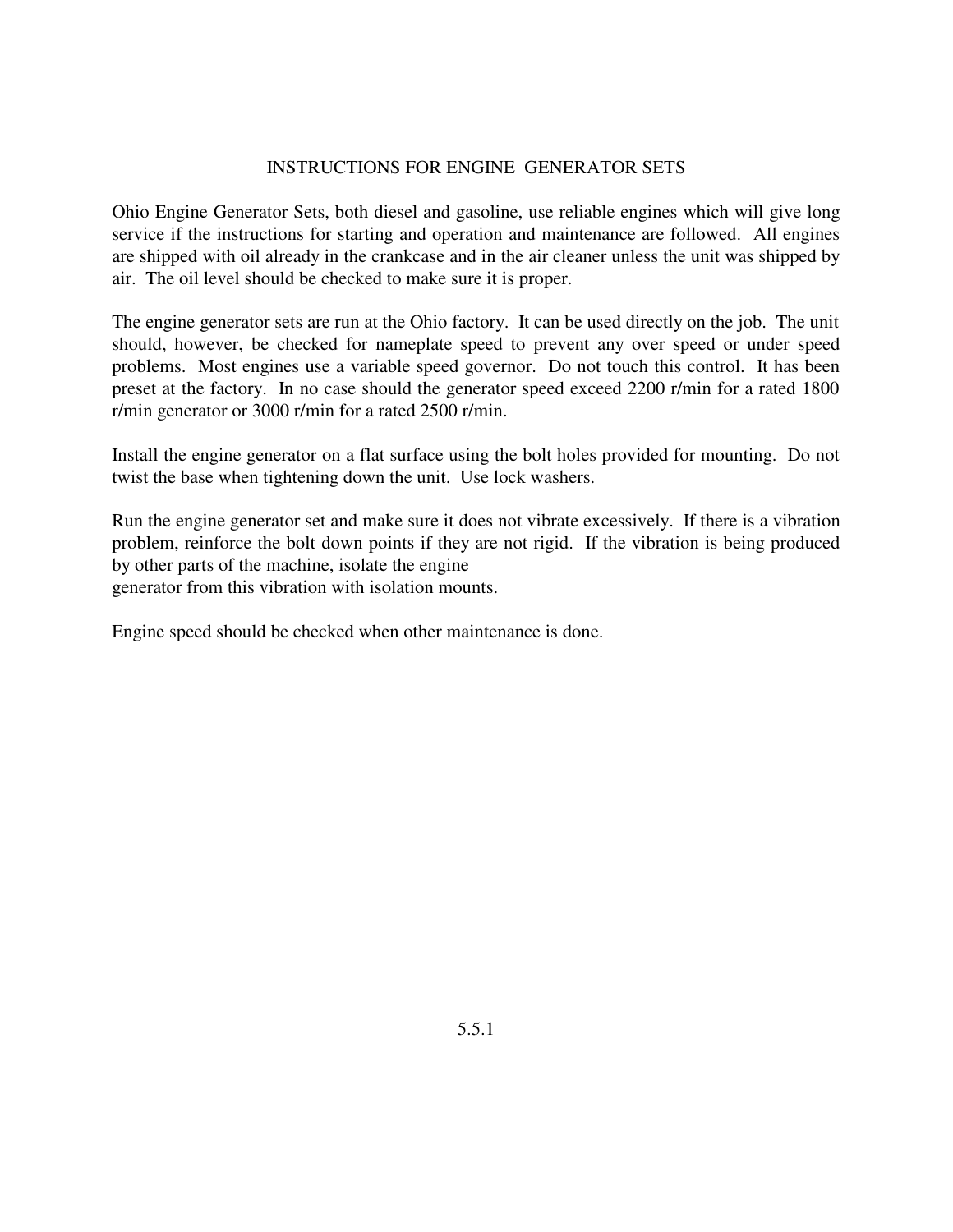### **INSTRUCTIONS FOR ENGINE GENERATOR SETS**

Ohio Engine Generator Sets, both diesel and gasoline, use reliable engines which will give long service if the instructions for starting and operation and maintenance are followed. All engines are shipped with oil already in the crankcase and in the air cleaner unless the unit was shipped by air. The oil level should be checked to make sure it is proper.

The engine generator sets are run at the Ohio factory. It can be used directly on the job. The unit should, however, be checked for nameplate speed to prevent any over speed or under speed problems. Most engines use a variable speed governor. Do not touch this control. It has been preset at the factory. In no case should the generator speed exceed 2200 r/min for a rated 1800 r/min generator or 3000 r/min for a rated 2500 r/min.

Install the engine generator on a flat surface using the bolt holes provided for mounting. Do not twist the base when tightening down the unit. Use lock washers.

Run the engine generator set and make sure it does not vibrate excessively. If there is a vibration problem, reinforce the bolt down points if they are not rigid. If the vibration is being produced by other parts of the machine, isolate the engine generator from this vibration with isolation mounts.

Engine speed should be checked when other maintenance is done.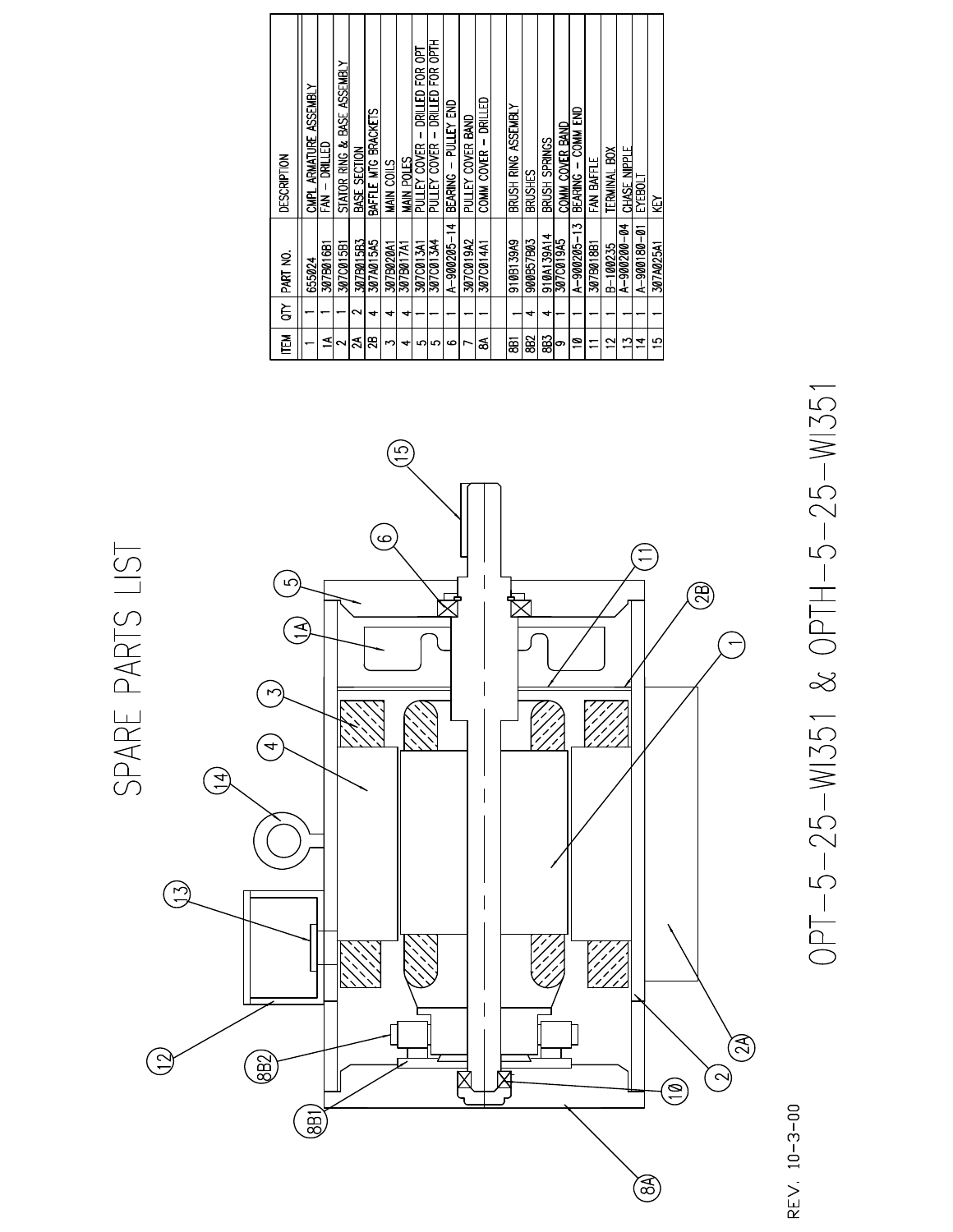| <b>DESCRIPTION</b> | CMPL ARMATURE ASSEMBLY | DRILLED<br>」<br>圣 | stator ring $\bm{k}$ base assembly | BASE SECTION       | BAFFLE MTG BRACKETS | MAIN COILS | MAIN POLES | DRILLED FOR OPT<br>PULLEY COVER | DRILLED FOR OPTH<br>$\mathbf{I}$<br>PULLEY COVER | BEARING – PULLEY END | PULLEY COVER BAND | COMM COVER - DRILLED | BRUSH RING ASSEMBLY | BRUSHES   | BRUSH SPRINGS | COMM COVER BAND | COMM END<br>BEARING -    | FAN BAFFLE | TERMINAL BOX | CHASE NIPPLE | ENEBOLT     | Κ         |
|--------------------|------------------------|-------------------|------------------------------------|--------------------|---------------------|------------|------------|---------------------------------|--------------------------------------------------|----------------------|-------------------|----------------------|---------------------|-----------|---------------|-----------------|--------------------------|------------|--------------|--------------|-------------|-----------|
| PART NO.           | 655024                 | 307B016B1         | 3070015B1                          | 307B015B3          | 307A015A5           | 307B020A1  | 307B017A1  | 307C013A1                       | 307C013A4                                        | $A - 900205 - 14$    | 307C019A2         | 307C014A1            | 910B139A9           | 900B57B03 | 910A139A14    | 307C019A5       | A-900205-13              | 307B018B1  | B-100235     | A-9002000-04 | A-900180-01 | 307A025A1 |
| $\Xi$              |                        |                   |                                    | $\scriptstyle\sim$ | $\ddot{}$           | ෑ          | ෑ          |                                 |                                                  |                      |                   |                      |                     | ↽         | ෑ             |                 |                          |            |              |              |             |           |
| Ě                  |                        | ⋖                 | $\sim$                             | న                  | 28                  | r          | ↽          | ഥ                               | ഗ                                                | ဖ                    |                   | శ                    | ā                   | 882       | 83            | တ               | $\overline{\phantom{a}}$ |            | $\sim$       | m            | Ā           | 10        |



# OPT-5-25-WI351 & OPTH-5-25-WI351

REV. 10-3-00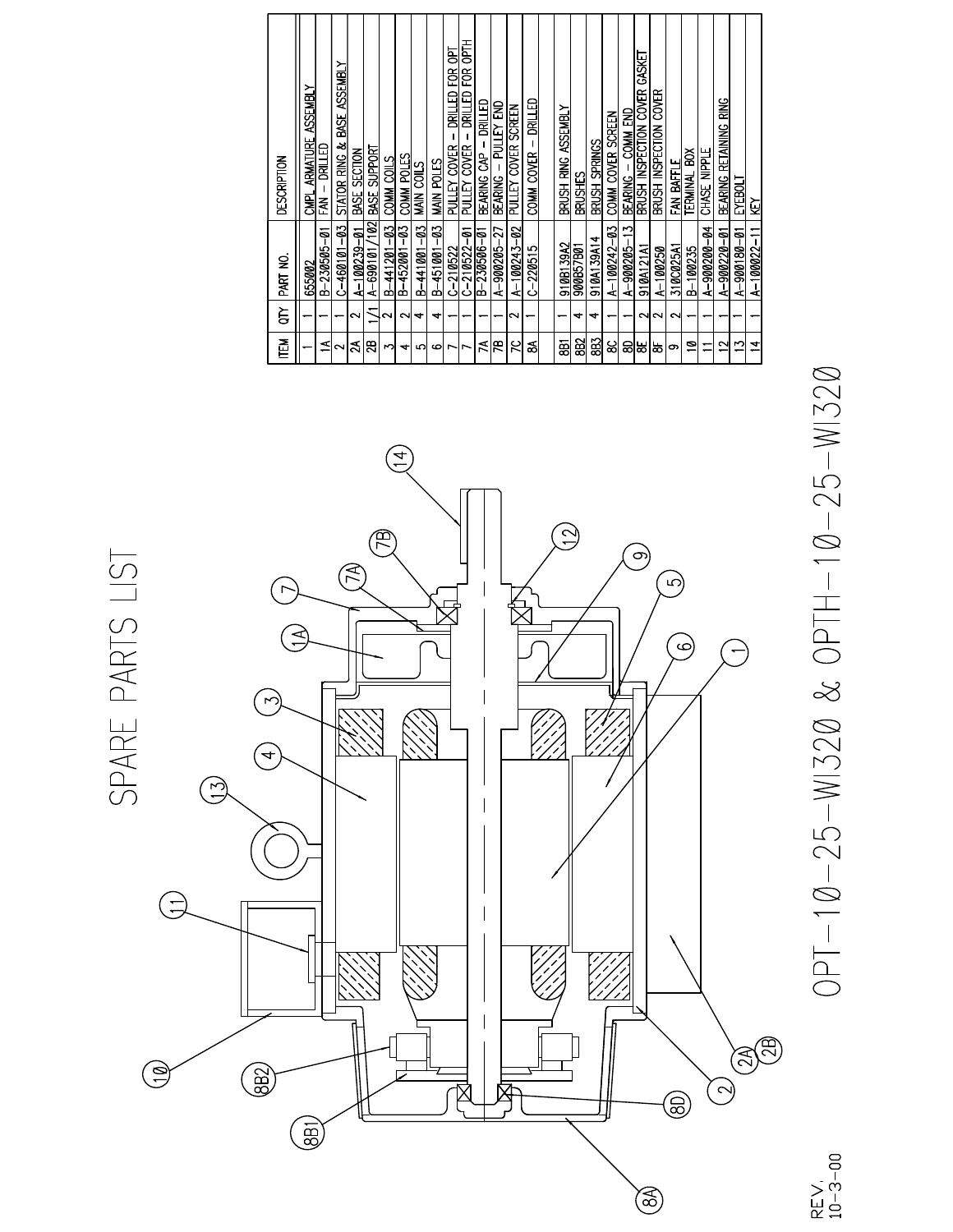| 즡       | ξ      | PART NO.                       | DESCRIPTION                                  |
|---------|--------|--------------------------------|----------------------------------------------|
|         |        | 655002                         | <b>ASSEMBLY</b><br>CMPL ARMATURE             |
| ⋖       |        | B-230505-01                    | 品式<br>- KM<br>KM                             |
| $\sim$  |        | $C - 460101 - 03$              | BASE ASSEMBLY<br>STATOR RING &               |
| న       | ິ      | $A - 100239 - 01$              | BASE SECTION                                 |
| සු      |        | (102)<br>$A - 690101$          | BASE SUPPORT                                 |
| m       | ี      | $B - 441201 - 03$              | COMM COILS                                   |
| ↤       | പ      | $B - 452001 - 03$              | COMM POLES                                   |
| 5       | +      | B-441001-03                    | MAIN COILS                                   |
| $\circ$ | ↽      | B-451001-03                    | MAIN POLES                                   |
| ∼       |        |                                | FOR OPT<br>DRILLED<br>PULLEY COVER           |
| חו      |        | $\frac{C-210522}{C-210522-01}$ | <b>ELS</b><br>EOR<br>DRILLED<br>PULLEY COVER |
| ≾       |        | $\overline{B-230506-01}$       | DRILLED<br>BEARING CAP                       |
| æ       |        | A-900205-27                    | PULLEY END<br><b>BEARING</b>                 |
| ς       | $\sim$ | $A - 100243 - 02$              | PULLEY COVER SCREEN                          |
| వ       |        | $C - 220515$                   | - DRILLED<br>COMM COVER                      |
|         |        |                                |                                              |
| ā       |        | 910/B139A2                     | Brush Ring Assembly                          |
| 882     | ↽      | 900B57B01                      | BRUSHES                                      |
| 383     | +      | 910A139A14                     | BRUSH SPRINGS                                |
| జ       |        | $A-100242-03$                  | Comm Cover Screen                            |
| ඝ       |        | $A - 900205 - 13$              | BEARING - COMM END                           |
| ₩       |        | 910A121A1                      | BRUSH INSPECTION COVER GASKET                |
| 농       | NN     | A-100250                       | <b>COVER</b><br>BRUSH INSPECTION             |
| ග       | N      | 310C025A1                      | FAN BAFFLE                                   |
| ុ       |        | B-100235                       | ă<br><b>TERMINAL</b>                         |
|         |        | A-900200-04                    | CHASE NIPPLE                                 |
| $\sim$  |        | A-900220-01                    | <b>RING</b><br>BEARING RETAINING             |
| S       |        | $A - 900180 - 01$              | EYEBOLT                                      |
| ュ       |        | $A - 1000022 - 11$             | ξŽ                                           |



OPT-10-25-WI320 & OPTH-10-25-WI320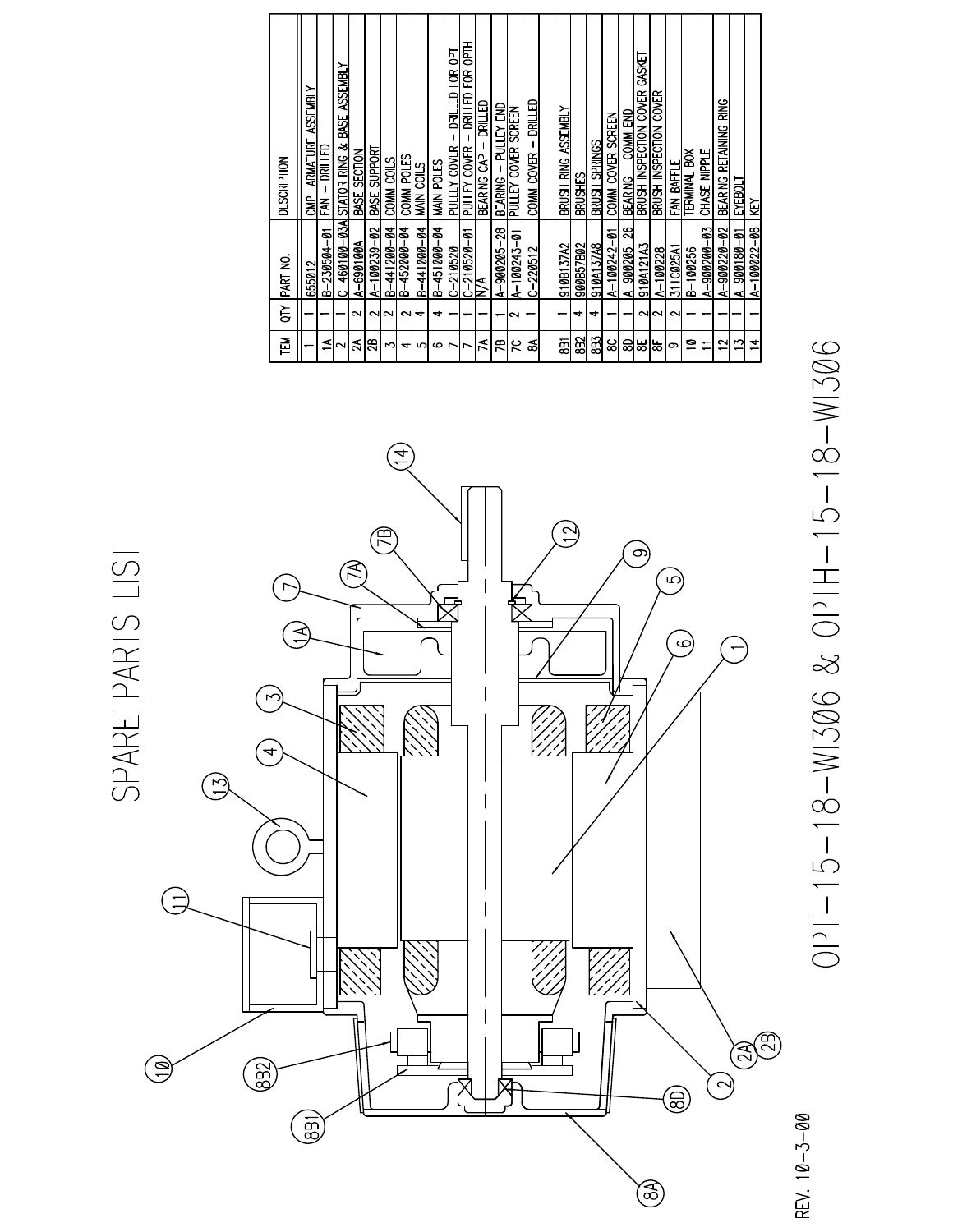| Ě      | ξ      | PART NO.                     | <b>DESCRIPTION</b>                                  |
|--------|--------|------------------------------|-----------------------------------------------------|
|        |        |                              |                                                     |
|        |        | 655012                       | <b>ASSEMBLY</b><br><b>ARMATURE</b><br><b>CMPL</b>   |
| ⋖      |        | B-230504-01                  | $FM - RULED$                                        |
| $\sim$ |        | $C - 460100 - 03A$           | STATOR RING & BASE ASSEMBLY                         |
| న      | $\sim$ | A-690100A                    | BASE SECTION                                        |
| æ      | NN     | $A - 100239 - 02$            | BASE SUPPORT                                        |
| r      |        | $B - 441200 - 04$            | COMM COILS                                          |
| 4      | $\sim$ | B-452000-04                  | <b>COMM POLES</b>                                   |
| ഥ      |        | B-441000-04                  | MAIN COILS                                          |
| م      | +      | B-451000-04                  | MAIN POLES                                          |
|        |        | $-210520$<br>اٺ              | ēΟ<br>ĕ<br>DRILLED<br>PULLEY COVER                  |
|        |        | $\frac{ C-210520-01 }{ V A}$ | 통<br>ទ្រ<br><b>RILLED</b><br><b>COVER</b><br>PULLEY |
| й      |        | E                            | DRILLED<br>BEARING CAP                              |
| Æ      |        | A-900205-28                  | PULLEY END<br><b>BEARING</b>                        |
| 50     | $\sim$ | $A - 100243 - 01$            | SCREEN<br><b>COVER</b><br>PULLEY                    |
| వ      |        | $C - 220512$                 | - DRILLED<br>COMM COVER                             |
|        |        |                              |                                                     |
| ā      |        | 910B137A2                    | Brush Ring Assembly                                 |
| 882    | 4      | 900B57B02                    | BRUSHES                                             |
| 8B3    | ෑ      | 910A137A8                    | Brush Springs                                       |
| ၼ      |        | $A-100242-01$                | COMM COVER SCREEN                                   |
| ඝ      |        | A-900205-26                  | COMM END<br>BEARING -                               |
| ₩      |        | 910A121A3                    | <b>GASKET</b><br>BRUSH INSPECTION COVER             |
| ౹ఙ     | ี่ ผ   | A-100228                     | BRUSH INSPECTION COVER                              |
| တ      | $\sim$ | 311C025A1                    | FAN BAFFLE                                          |
| ុ      |        | $B-100256$                   | ă<br><b>TERMINAL</b>                                |
| ┯      |        | $A - 900200 - 03$            | CHASE NIPPLE                                        |
| $\sim$ |        | $A - 900220 - 02$            | RING<br>BEARING RETAINING                           |
| S      |        | A-900180-01                  | EYEBOLI                                             |
| 14     |        | $A - 100022 - 08$            | ΚŅ                                                  |



0PT-15-18-WI306 & OPTH-15-18-WI306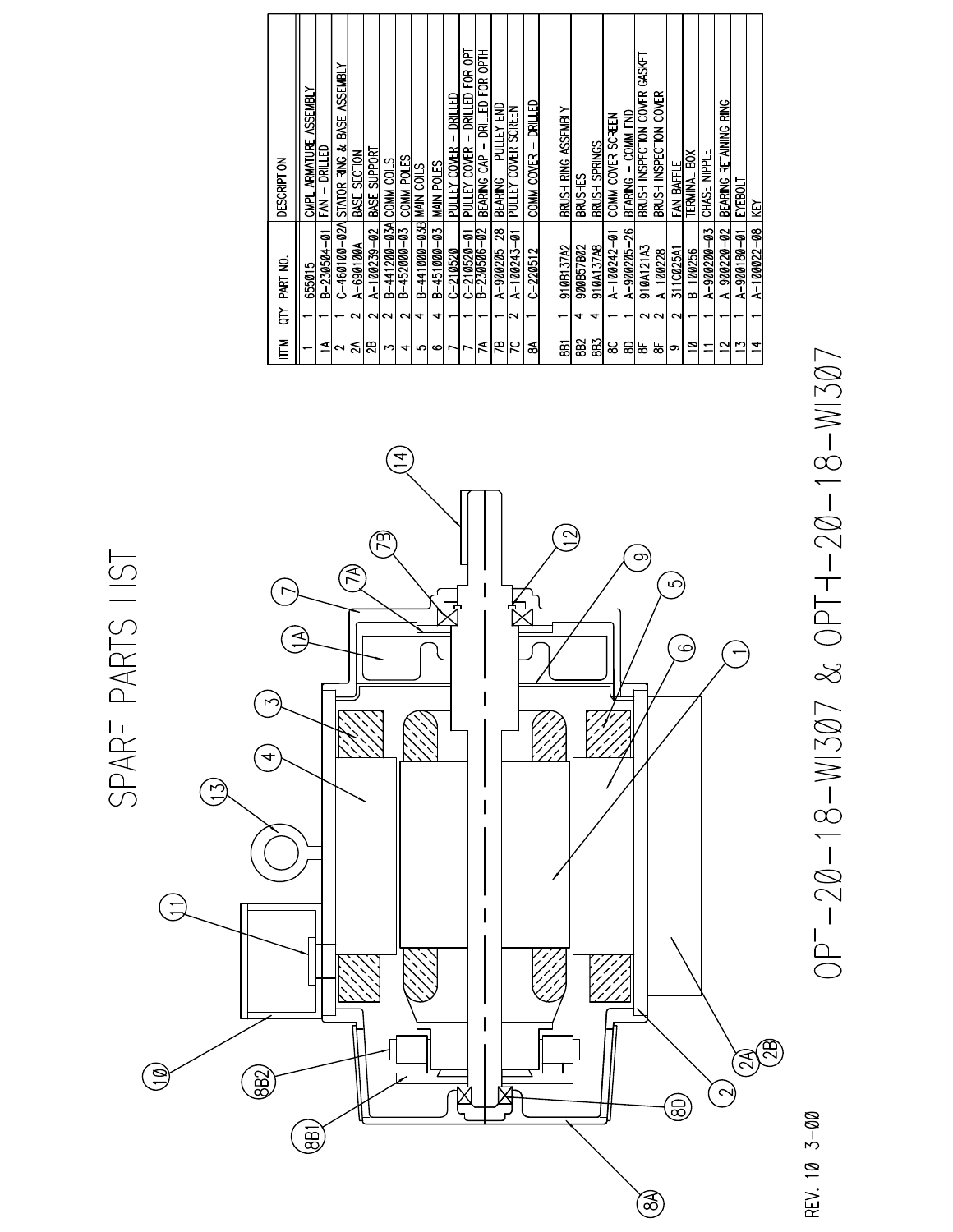| 迳              | È      | PART NO.                          | <b>DESCRIPTION</b>                                |
|----------------|--------|-----------------------------------|---------------------------------------------------|
|                |        | 655015                            | <b>ASSEMBLY</b><br>CMPL ARMATURE                  |
| ⋖              |        | B-230504-01                       | $FM - RULED$                                      |
|                |        | $C-460100-02A$                    | BASE ASSEMBLY<br>STATOR RING &                    |
| న              | $\sim$ | $A - 690100A$                     | BASE SECTION                                      |
| g              | $\sim$ | $A - 100239 - 02$                 | BASE SUPPORT                                      |
| ∽              |        | $B-441200-03A$                    | COMM COILS                                        |
| 4              | $\sim$ | B-452000-03                       | COMM POLES                                        |
| 5              |        | B-441000-03B                      | MAIN COILS                                        |
| مە             | ෑ      | B-451000-03                       | MAIN POLES                                        |
|                |        | $C - 210520$                      | 医耳巴<br>PULLEY COVER                               |
|                |        | $\frac{C-210520-01}{B-230506-02}$ | ह<br>Ê<br>DRILLED<br>PULLEY COVER                 |
| й              |        |                                   | FOR OPTH<br>DRILLED<br>BEARING CAP                |
| m              |        | A-900205-28                       | BEARING - PULLEY END                              |
| 5              | N      | $A - 100243 - 01$                 | PULLEY COVER SCREEN                               |
| శ              |        | $C - 220512$                      | - DRILLED<br>COMM COVER                           |
|                |        |                                   |                                                   |
| ā              |        | 910B137A2                         | Brush Ring Assembly                               |
| 882            | ෑ      | 900B57B02                         | BRUSHES                                           |
| 8B3            | ෑ      | 910A137A8                         | BRUSH SPRINGS                                     |
| జ              |        | A-100242-01                       | COMM COVER SCREEN                                 |
| ඝ              |        | A-900205-26                       | COMM END<br>BEARING -                             |
| ₩              | $\sim$ | 910A121A3                         | GASKET<br>BRUSH INSPECTION COVER                  |
| ౹ఙ             |        | A-100228                          | BRUSH INSPECTION COVER                            |
| တ              | N      | 311C025A1                         | FAN BAFFLE                                        |
| ខ              |        | B-100256                          | š<br><b>TERMINAL</b>                              |
|                |        | A-900200-03                       | CHASE NIPPLE                                      |
| N              |        | $A - 900220 - 02$                 | <b>SNIS</b><br><b>RETAINING</b><br><b>BEARING</b> |
| r              |        | A-900180-01                       | EYEBOLT                                           |
| $\overline{1}$ |        | A-100022-08                       | ŠΣ                                                |



OPT-20-18-WI307 & OPTH-20-18-WI307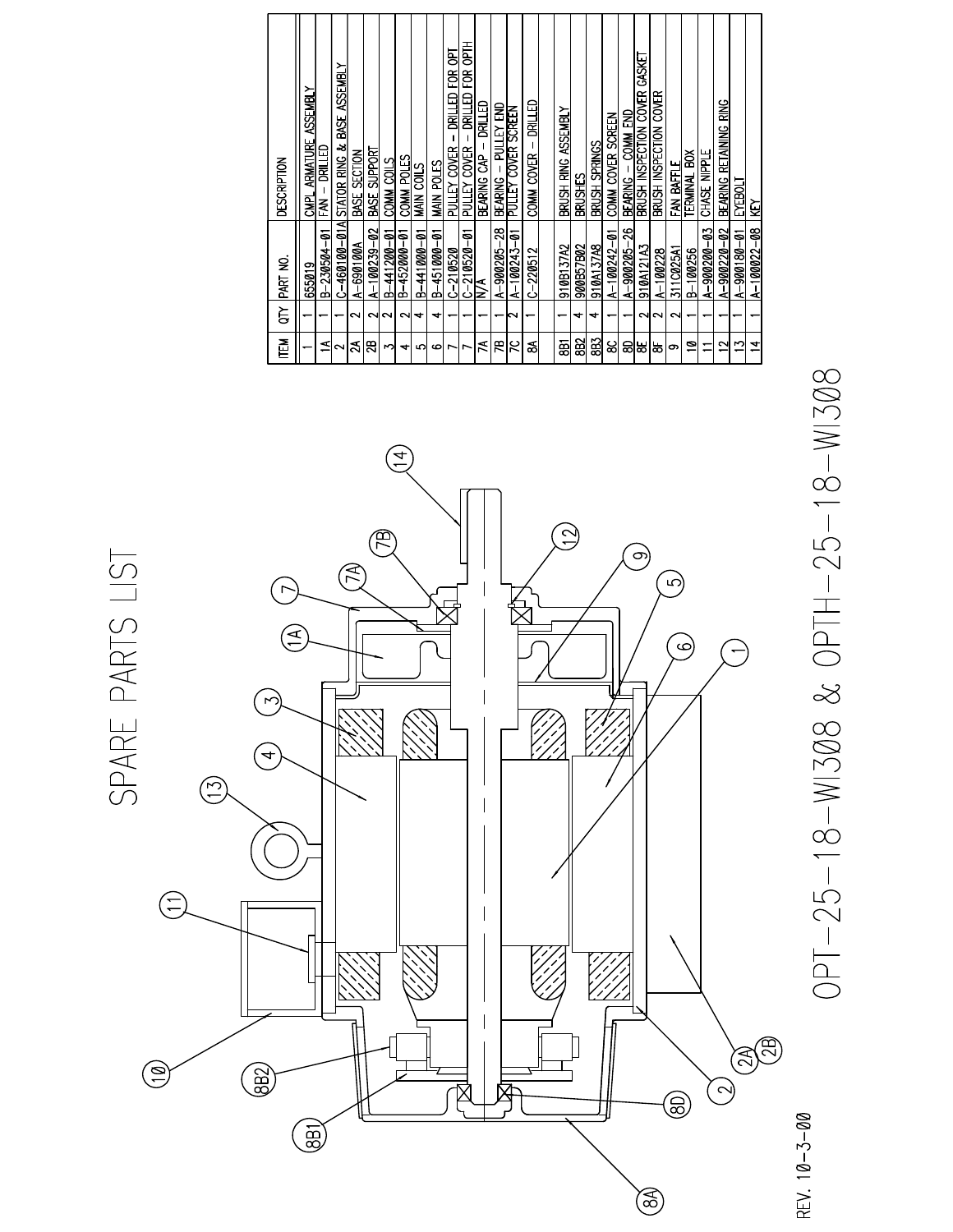| 匵            | ξ      | ş<br>PART I                        | DESCRIPTION                                       |
|--------------|--------|------------------------------------|---------------------------------------------------|
|              |        | 655019                             | <b>ASSEMBLY</b><br><b>ARMATURE</b><br><b>CMPL</b> |
| ⋖            |        | B-230504-01                        | DRILLED<br>ЕĂ                                     |
| $\sim$       |        | $C-460100-01A$                     | <b>BASE ASSEMBLY</b><br>STATOR RING &             |
| న            | $\sim$ | A-690100A                          | BASE SECTION                                      |
| 28           | $\sim$ | $A-100239-02$                      | BASE SUPPORT                                      |
| m            |        | B-441200-01                        | COMM COILS                                        |
| +            | $\sim$ | B-452000-01                        | COMM POLES                                        |
| ഗ            |        | B-441000-01                        | MAIN COILS                                        |
| G            | ↤      | B-451000-01                        | MAIN POLES                                        |
| ∼            |        | $C - 210520$                       | ēσ<br>EOR<br>DRILLED<br>PULLEY COVER              |
| ∼            |        | $\frac{-210520-01}{\sqrt{1}}$<br>ن | 통<br>E<br>医耳巴<br>PULLEY COVER                     |
| ₹            |        | z                                  | 圆圆<br>BEARING CAP                                 |
| m            |        | A-900205-28                        | PULLEY END<br>$\mathbf{I}$<br><b>BEARING</b>      |
| K            | N      | $A - 100243 - 01$                  | PULLEY COVER SCREEN                               |
| శ            |        | $C-220512$                         | 品式<br>COMM COVER -                                |
|              |        |                                    |                                                   |
| 8f           |        | 910B137A2                          | Brush Ring Assembly                               |
| ඝු           | ↽      | 900B57B02                          | BRUSHES                                           |
| 383          | ෑ      | 910A137A8                          | BRUSH SPRINGS                                     |
| ଌ            |        | $A-100242-01$                      | COMM COVER SCREEN                                 |
| ඝ            |        | A-900205-26                        | BEARING - COMM END                                |
| ₩            |        | 910A121A3                          | BRUSH INSPECTION COVER GASKET                     |
| ఙ            | $\sim$ | $A-1000228$                        | <b>COVER</b><br>BRUSH INSPECTION                  |
| တ            | $\sim$ | 311C025A1                          | FAN BAFFLE                                        |
| ø            |        | B-100256                           | TERMINAL BOX                                      |
|              |        | $A - 900200 - 03$                  | CHASE NIPPLE                                      |
| $\mathbf{r}$ |        | $A - 900220 - 02$                  | BEARING RETAINING RING                            |
| S            |        | A-900180-01                        | EYEBOLI                                           |
| 4            |        | $A-100022-08$                      | ē                                                 |
|              |        |                                    |                                                   |



0PT-25-18-WI308 & OPTH-25-18-WI308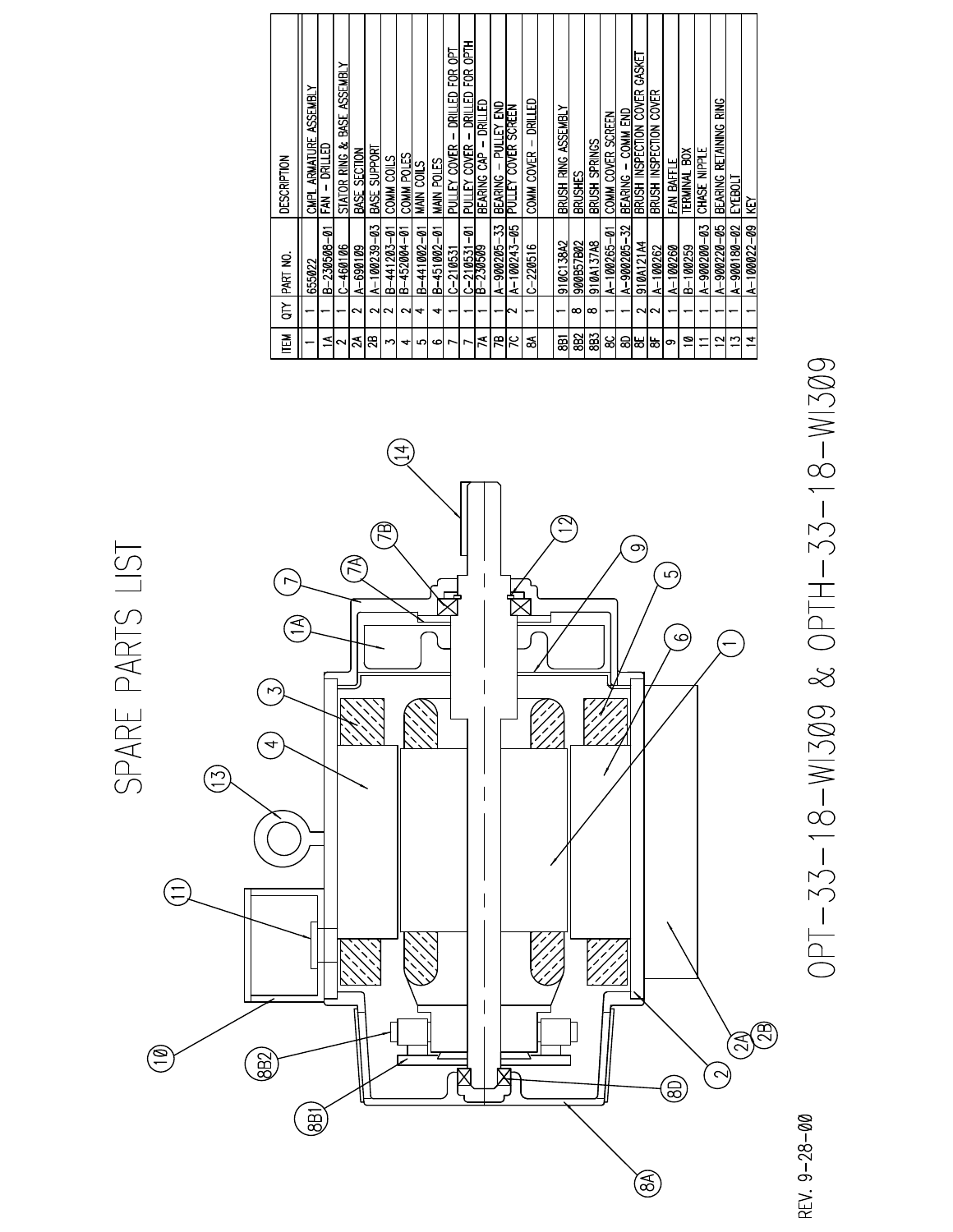| DESCRIPTION | ASSEMBLY<br><b>ARMATURE</b><br>CMPL | <b>CONTRO</b><br>ЕĂ | STATOR RING & BASE ASSEMBLY | BASE SECTION | BASE SUPPORT   | COMM COILS    | COMM POLES  | MAIN COILS    | MAIN POLES  | DRILLED FOR OPT<br>PULLEY COVER | 좁아<br>EQR<br>θ<br>晨<br>PULLEY COVER  | 日本国<br>BEARING CAP | PULLEY END<br>$\mathbf{I}$<br><b>BEARING</b> | PULLEY COVER SCREEN | 品式<br>COMM COVER - | <u>ASSEMBLY</u><br>BRUSH RING | BRUSHES   | BRUSH SPRINGS | COMM COVER SCREEN | COMM END<br>bearing — | BRUSH INSPECTION COVER GASKET | BRUSH INSPECTION COVER | FAN BAFFLE   | TERMINAL BOX | CHASE NIPPLE      | <u>BEARING RETAINING RING</u> | EXEBOLT     | ΚY                |
|-------------|-------------------------------------|---------------------|-----------------------------|--------------|----------------|---------------|-------------|---------------|-------------|---------------------------------|--------------------------------------|--------------------|----------------------------------------------|---------------------|--------------------|-------------------------------|-----------|---------------|-------------------|-----------------------|-------------------------------|------------------------|--------------|--------------|-------------------|-------------------------------|-------------|-------------------|
| PART NO     | 655022                              | B-230508-01         | $C-460106$                  | A-690109     | $A-100239-03$  | $B-441203-01$ | B-452004-01 | $B-441002-01$ | B-451002-01 | $C-210531$                      | နု<br>$-210531$<br>$-230509$<br>لماك |                    | A-900205-33                                  | $A - 100243 - 05$   | $C - 220516$       | 910C138A2                     | 900B57B02 | 910A137A8     | $A - 100265 - 01$ | A-900205-32           | 910A121A4                     | $A - 100262$           | $A - 100260$ | $B-100259$   | $A - 900200 - 03$ | A-900220-05                   | A-900180-02 | $A - 100022 - 09$ |
| ξ           |                                     |                     |                             | ∾            | NN             |               | N           | ෑ             | ෑ           |                                 |                                      |                    |                                              | N                   |                    |                               | ∞         | ∞             |                   |                       | N                             | $\sim$                 |              |              |                   |                               |             |                   |
| 百三          |                                     | ⋖                   | ∾                           | న            | $\overline{a}$ | M             | ↽           | ഗ             | ڡ           | r                               | r                                    | ₹                  | Æ                                            | χ                   | ౙ                  | ā                             | 8B2       | 8B3           | ଞ୍ଜ               | ඝ                     | ಹ                             | ္ထ                     | တ            | ្ទ           |                   | ∾                             | r           | $\overline{1}$    |



OPT-33-18-WI309 & OPTH-33-18-WI309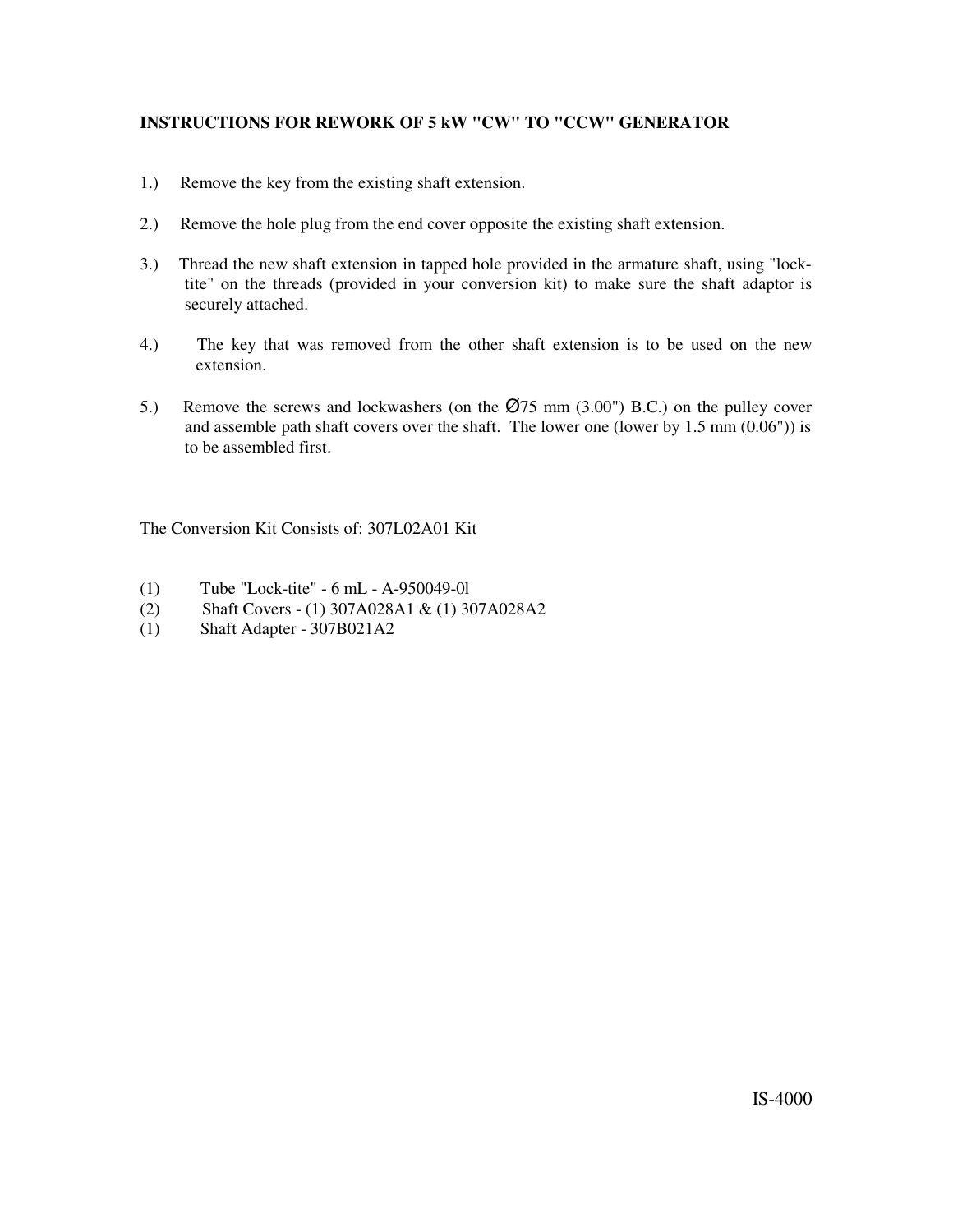### **INSTRUCTIONS FOR REWORK OF 5 kW "CW" TO "CCW" GENERATOR**

- $1.)$ Remove the key from the existing shaft extension.
- $2.)$ Remove the hole plug from the end cover opposite the existing shaft extension.
- Thread the new shaft extension in tapped hole provided in the armature shaft, using "lock- $3.)$ tite" on the threads (provided in your conversion kit) to make sure the shaft adaptor is securely attached.
- $4.$ The key that was removed from the other shaft extension is to be used on the new extension.
- Remove the screws and lockwashers (on the  $\emptyset$ 75 mm (3.00") B.C.) on the pulley cover  $5.)$ and assemble path shaft covers over the shaft. The lower one (lower by  $1.5 \text{ mm } (0.06^{\circ})$ ) is to be assembled first.

The Conversion Kit Consists of: 307L02A01 Kit

- $(1)$ Tube "Lock-tite" - 6 mL - A-950049-01
- $(2)$ Shaft Covers - (1) 307A028A1 & (1) 307A028A2
- Shaft Adapter 307B021A2  $(1)$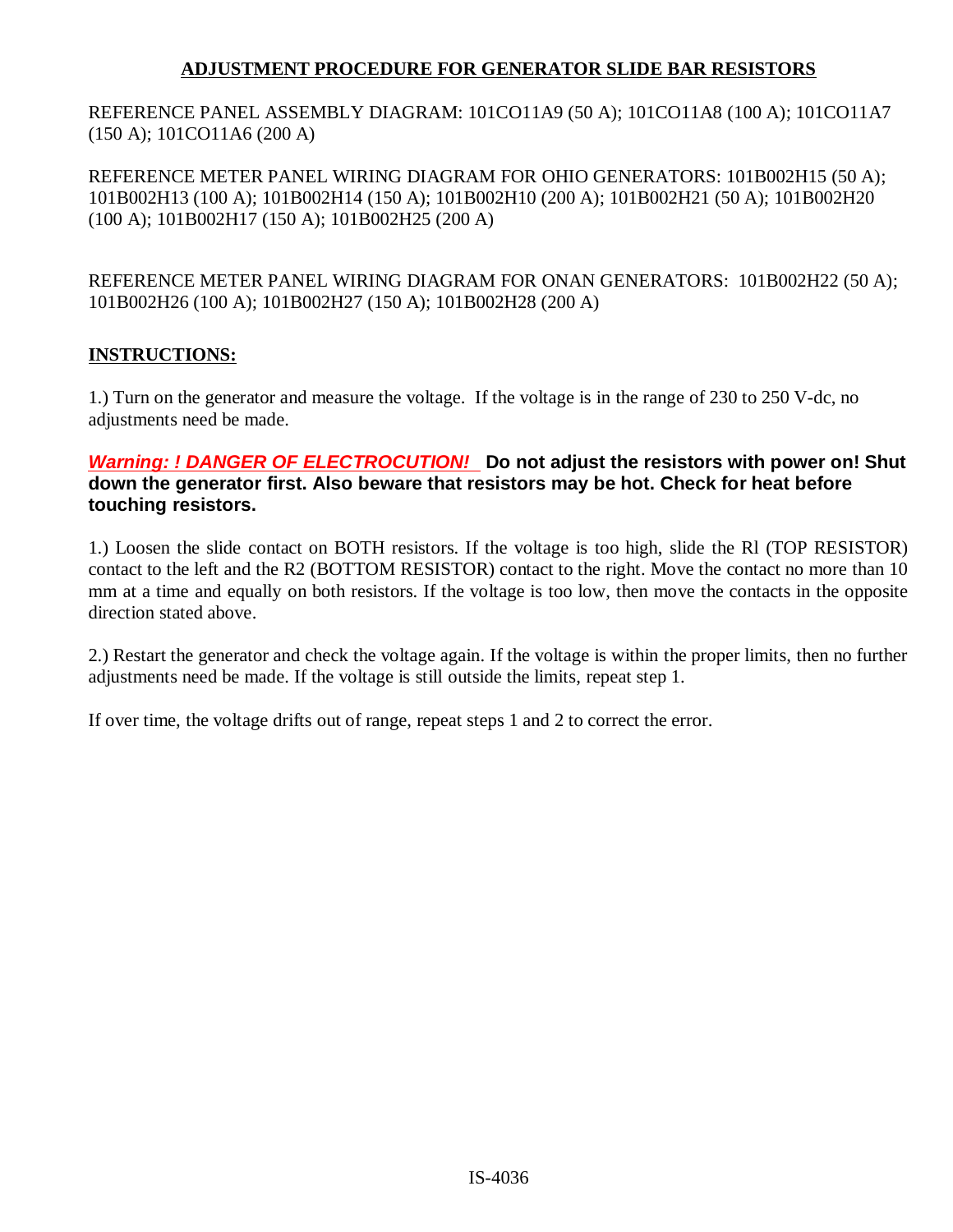### **ADJUSTMENT PROCEDURE FOR GENERATOR SLIDE BAR RESISTORS**

REFERENCE PANEL ASSEMBLY DIAGRAM: 101CO11A9 (50 A); 101CO11A8 (100 A); 101CO11A7  $(150 A); 101CO11A6 (200 A)$ 

REFERENCE METER PANEL WIRING DIAGRAM FOR OHIO GENERATORS: 101B002H15 (50 A); 101B002H13 (100 A); 101B002H14 (150 A); 101B002H10 (200 A); 101B002H21 (50 A); 101B002H20  $(100 A); 101B002H17 (150 A); 101B002H25 (200 A)$ 

REFERENCE METER PANEL WIRING DIAGRAM FOR ONAN GENERATORS: 101B002H22 (50 A); 101B002H26 (100 A); 101B002H27 (150 A); 101B002H28 (200 A)

### **INSTRUCTIONS:**

1.) Turn on the generator and measure the voltage. If the voltage is in the range of 230 to 250 V-dc, no adjustments need be made.

### Warning: ! DANGER OF ELECTROCUTION! Do not adjust the resistors with power on! Shut down the generator first. Also beware that resistors may be hot. Check for heat before touching resistors.

1.) Loosen the slide contact on BOTH resistors. If the voltage is too high, slide the RI (TOP RESISTOR) contact to the left and the R2 (BOTTOM RESISTOR) contact to the right. Move the contact no more than 10 mm at a time and equally on both resistors. If the voltage is too low, then move the contacts in the opposite direction stated above.

2.) Restart the generator and check the voltage again. If the voltage is within the proper limits, then no further adjustments need be made. If the voltage is still outside the limits, repeat step 1.

If over time, the voltage drifts out of range, repeat steps 1 and 2 to correct the error.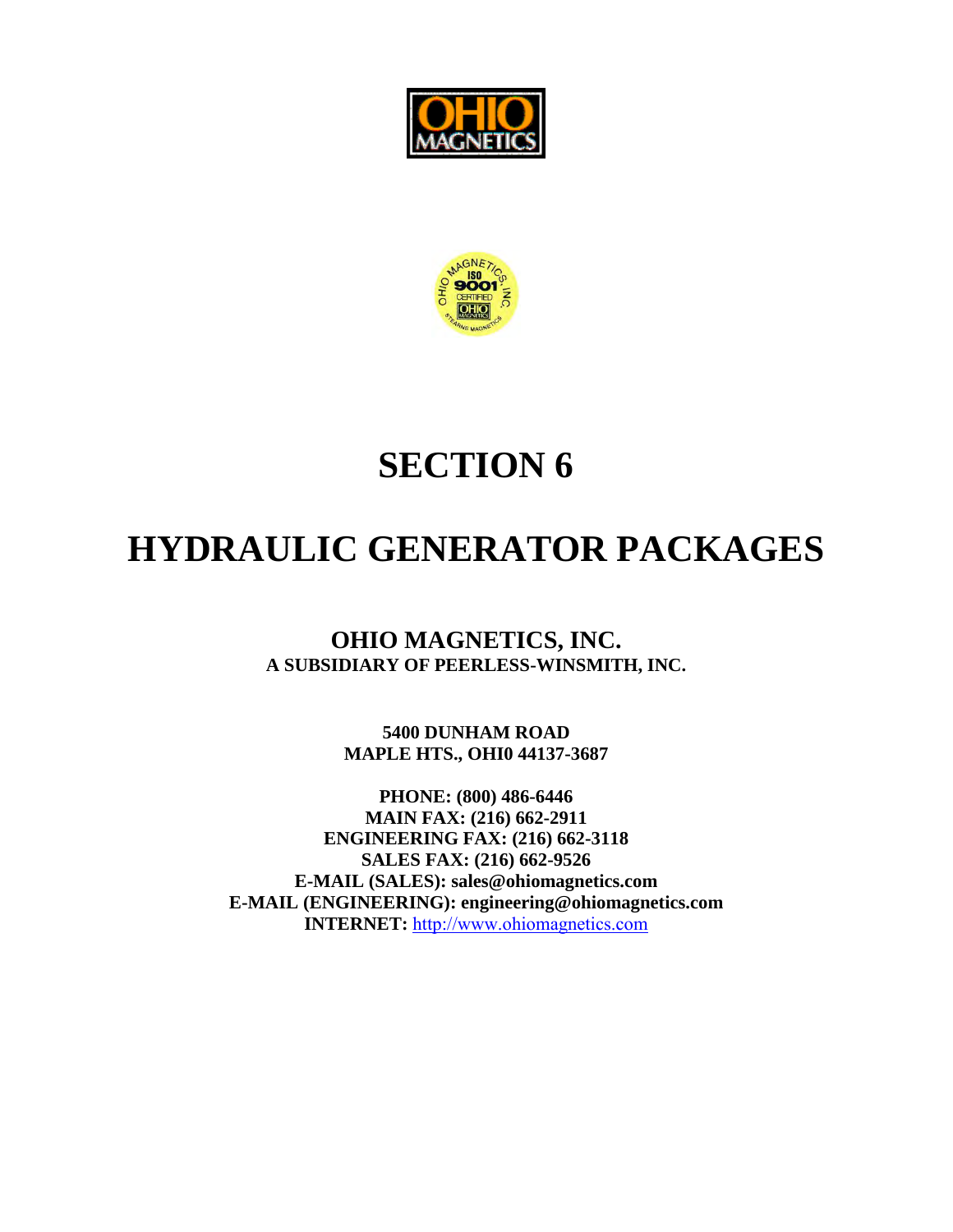



# **SECTION 6**

# **HYDRAULIC GENERATOR PACKAGES**

**OHIO MAGNETICS, INC. A SUBSIDIARY OF PEERLESS-WINSMITH, INC.** 

> **5400 DUNHAM ROAD MAPLE HTS., OHI0 44137-3687**

**PHONE: (800) 486-6446 MAIN FAX: (216) 662-2911 ENGINEERING FAX: (216) 662-3118 SALES FAX: (216) 662-9526 E-MAIL (SALES): sales@ohiomagnetics.com E-MAIL (ENGINEERING): engineering@ohiomagnetics.com INTERNET:** [http://www.ohiomagnetics.com](http://www.ohiomagnetics.com/)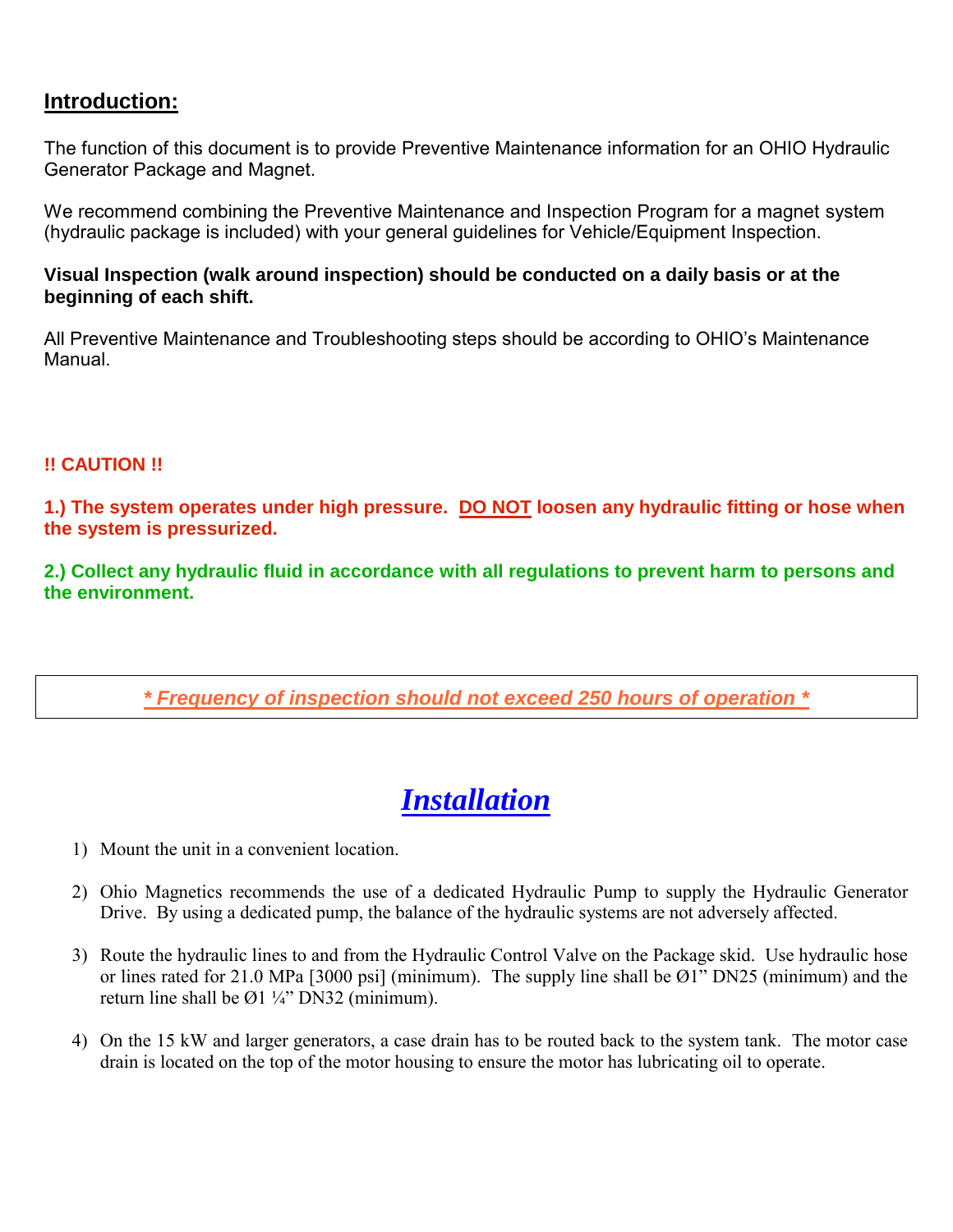### **Introduction:**

The function of this document is to provide Preventive Maintenance information for an OHIO Hydraulic Generator Package and Magnet.

We recommend combining the Preventive Maintenance and Inspection Program for a magnet system (hydraulic package is included) with your general guidelines for Vehicle/Equipment Inspection.

### **Visual Inspection (walk around inspection) should be conducted on a daily basis or at the beginning of each shift.**

All Preventive Maintenance and Troubleshooting steps should be according to OHIO's Maintenance Manual.

### **!! CAUTION !!**

**1.) The system operates under high pressure. DO NOT loosen any hydraulic fitting or hose when the system is pressurized.** 

**2.) Collect any hydraulic fluid in accordance with all regulations to prevent harm to persons and the environment.** 

*\* Frequency of inspection should not exceed 250 hours of operation \**

# *Installation*

- 1) Mount the unit in a convenient location.
- 2) Ohio Magnetics recommends the use of a dedicated Hydraulic Pump to supply the Hydraulic Generator Drive. By using a dedicated pump, the balance of the hydraulic systems are not adversely affected.
- 3) Route the hydraulic lines to and from the Hydraulic Control Valve on the Package skid. Use hydraulic hose or lines rated for 21.0 MPa [3000 psi] (minimum). The supply line shall be Ø1" DN25 (minimum) and the return line shall be  $\varnothing$ 1 ¼" DN32 (minimum).
- 4) On the 15 kW and larger generators, a case drain has to be routed back to the system tank. The motor case drain is located on the top of the motor housing to ensure the motor has lubricating oil to operate.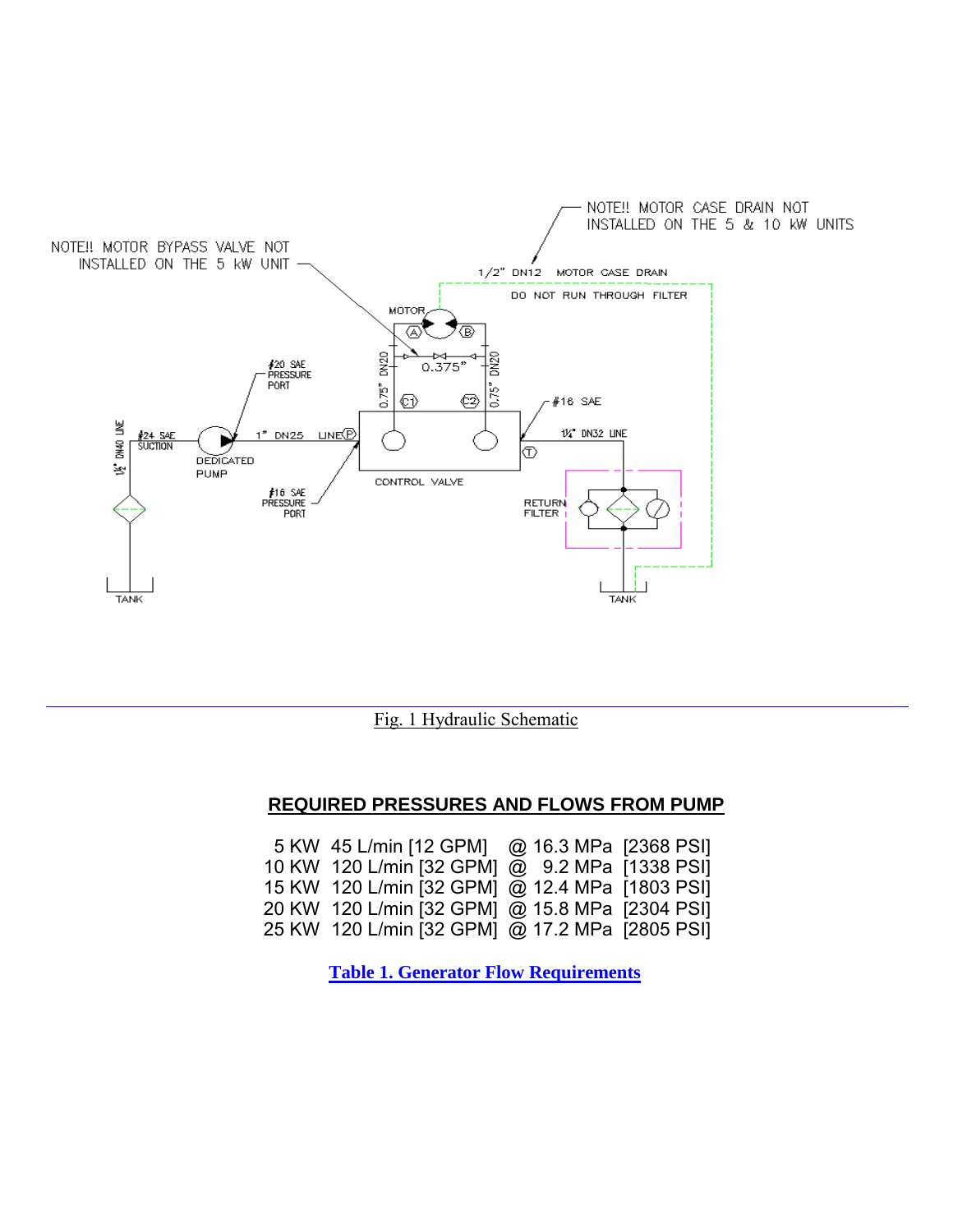

Fig. 1 Hydraulic Schematic

### **REQUIRED PRESSURES AND FLOWS FROM PUMP**

| 5 KW 45 L/min [12 GPM] @ 16.3 MPa [2368 PSI]   |  |
|------------------------------------------------|--|
| 10 KW 120 L/min [32 GPM] @ 9.2 MPa [1338 PSI]  |  |
| 15 KW 120 L/min [32 GPM] @ 12.4 MPa [1803 PSI] |  |
| 20 KW 120 L/min [32 GPM] @ 15.8 MPa [2304 PSI] |  |
| 25 KW 120 L/min [32 GPM] @ 17.2 MPa [2805 PSI] |  |

 **Table 1. Generator Flow Requirements**